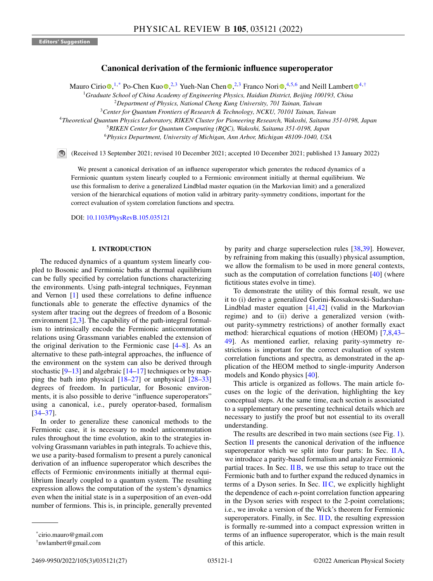# **Canonical derivation of the fermionic influence superoperator**

Maur[o](https://orcid.org/0000-0003-2963-2469) Cirio  $\bullet$  $\bullet$ [,](https://orcid.org/0000-0003-3682-7432) <sup>1,\*</sup> Po-Chen Kuo  $\bullet$ , <sup>2, 3</sup> Yueh-Nan Chen  $\bullet$ , <sup>2, 3</sup> Franco Nori  $\bullet$ , <sup>4, 5,6</sup> and Neill Lambert  $\bullet$ <sup>4,†</sup>

<sup>1</sup>*Graduate School of China Academy of Engineering Physics, Haidian District, Beijing 100193, China*

<sup>4</sup>*Theoretical Quantum Physics Laboratory, RIKEN Cluster for Pioneering Research, Wakoshi, Saitama 351-0198, Japan*

<sup>5</sup>*RIKEN Center for Quantum Computing (RQC), Wakoshi, Saitama 351-0198, Japan*

<sup>6</sup>*Physics Department, University of Michigan, Ann Arbor, Michigan 48109-1040, USA*

(Received 13 September 2021; revised 10 December 2021; accepted 10 December 2021; published 13 January 2022)

We present a canonical derivation of an influence superoperator which generates the reduced dynamics of a Fermionic quantum system linearly coupled to a Fermionic environment initially at thermal equilibrium. We use this formalism to derive a generalized Lindblad master equation (in the Markovian limit) and a generalized version of the hierarchical equations of motion valid in arbitrary parity-symmetry conditions, important for the correct evaluation of system correlation functions and spectra.

DOI: [10.1103/PhysRevB.105.035121](https://doi.org/10.1103/PhysRevB.105.035121)

## **I. INTRODUCTION**

The reduced dynamics of a quantum system linearly coupled to Bosonic and Fermionic baths at thermal equilibrium can be fully specified by correlation functions characterizing the environments. Using path-integral techniques, Feynman and Vernon [\[1\]](#page-24-0) used these correlations to define influence functionals able to generate the effective dynamics of the system after tracing out the degrees of freedom of a Bosonic environment  $[2,3]$ . The capability of the path-integral formalism to intrinsically encode the Fermionic anticommutation relations using Grassmann variables enabled the extension of the original derivation to the Fermionic case [\[4–8\]](#page-24-0). As an alternative to these path-integral approaches, the influence of the environment on the system can also be derived through stochastic  $[9-13]$  and algebraic  $[14-17]$  techniques or by mapping the bath into physical  $[18-27]$  $[18-27]$  or unphysical  $[28-33]$ degrees of freedom. In particular, for Bosonic environments, it is also possible to derive "influence superoperators" using a canonical, i.e., purely operator-based, formalism [\[34–37\]](#page-25-0).

In order to generalize these canonical methods to the Fermionic case, it is necessary to model anticommutation rules throughout the time evolution, akin to the strategies involving Grassmann variables in path integrals. To achieve this, we use a parity-based formalism to present a purely canonical derivation of an influence superoperator which describes the effects of Fermionic environments initially at thermal equilibrium linearly coupled to a quantum system. The resulting expression allows the computation of the system's dynamics even when the initial state is in a superposition of an even-odd number of fermions. This is, in principle, generally prevented

by parity and charge superselection rules [\[38,39\]](#page-25-0). However, by refraining from making this (usually) physical assumption, we allow the formalism to be used in more general contexts, such as the computation of correlation functions  $[40]$  (where fictitious states evolve in time).

To demonstrate the utility of this formal result, we use it to (i) derive a generalized Gorini-Kossakowski-Sudarshan-Lindblad master equation  $[41, 42]$  (valid in the Markovian regime) and to (ii) derive a generalized version (without parity-symmetry restrictions) of another formally exact method: hierarchical equations of motion (HEOM) [\[7,8,](#page-24-0)[43–](#page-25-0) [49\]](#page-25-0). As mentioned earlier, relaxing parity-symmetry restrictions is important for the correct evaluation of system correlation functions and spectra, as demonstrated in the application of the HEOM method to single-impurity Anderson models and Kondo physics [\[40\]](#page-25-0).

This article is organized as follows. The main article focuses on the logic of the derivation, highlighting the key conceptual steps. At the same time, each section is associated to a supplementary one presenting technical details which are necessary to justify the proof but not essential to its overall understanding.

The results are described in two main sections (see Fig. [1\)](#page-1-0). Section [II](#page-1-0) presents the canonical derivation of the influence superoperator which we split into four parts: In Sec.  $\rm{II}A$ , we introduce a parity-based formalism and analyze Fermionic partial traces. In Sec.  $\overline{I}$  IB, we use this setup to trace out the Fermionic bath and to further expand the reduced dynamics in terms of a Dyson series. In Sec.  $\overline{HC}$ , we explicitly highlight the dependence of each *n*-point correlation function appearing in the Dyson series with respect to the 2-point correlations; i.e., we invoke a version of the Wick's theorem for Fermionic superoperators. Finally, in Sec. IID, the resulting expression is formally re-summed into a compact expression written in terms of an influence superoperator, which is the main result of this article.

<sup>2</sup>*Department of Physics, National Cheng Kung University, 701 Tainan, Taiwan*

<sup>3</sup>*Center for Quantum Frontiers of Research & Technology, NCKU, 70101 Tainan, Taiwan*

<sup>\*</sup>cirio.mauro@gmail.com

<sup>†</sup>nwlambert@gmail.com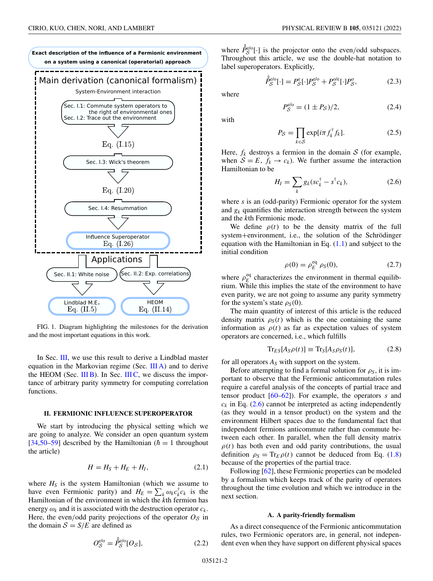<span id="page-1-0"></span>

FIG. 1. Diagram highlighting the milestones for the derivation and the most important equations in this work.

In Sec. III, we use this result to derive a Lindblad master equation in the Markovian regime (Sec. [III A\)](#page-4-0) and to derive the HEOM (Sec. [III B\)](#page-5-0). In Sec. [III C,](#page-6-0) we discuss the importance of arbitrary parity symmetry for computing correlation functions.

## **II. FERMIONIC INFLUENCE SUPEROPERATOR**

We start by introducing the physical setting which we are going to analyze. We consider an open quantum system [\[34,50](#page-25-0)[–59\]](#page-26-0) described by the Hamiltonian ( $\hbar = 1$  throughout the article)

$$
H = HS + HE + HI, \t(2.1)
$$

where  $H<sub>S</sub>$  is the system Hamiltonian (which we assume to have even Fermionic parity) and  $H_E = \sum_k \omega_k c_k^{\dagger} c_k$  is the Hamiltonian of the environment in which the *k*th fermion has energy  $\omega_k$  and it is associated with the destruction operator  $c_k$ . Here, the even/odd parity projections of the operator  $O<sub>S</sub>$  in the domain  $S = S/E$  are defined as

where  $\hat{P}_{\mathcal{S}}^{e/o}[\cdot]$  is the projector onto the even/odd subspaces. Throughout this article, we use the double-hat notation to label superoperators. Explicitly,

 $\hat{P}_{\mathcal{S}}^{\text{e/o}}[\cdot] = P_{\mathcal{S}}^{\text{e}}[\cdot]P_{\mathcal{S}}^{\text{e/o}} + P_{\mathcal{S}}^{\text{o/e}}[\cdot]P_{\mathcal{S}}^{\text{o}}$ 

where

$$
P_S^{e/o} = (1 \pm P_S)/2,
$$
 (2.4)

 $(2.3)$ 

with

$$
P_{\mathcal{S}} = \prod_{k \in \mathcal{S}} \exp[i\pi f_k^{\dagger} f_k]. \tag{2.5}
$$

Here,  $f_k$  destroys a fermion in the domain  $S$  (for example, when  $S = E$ ,  $f_k \rightarrow c_k$ ). We further assume the interaction Hamiltonian to be

$$
H_I = \sum_k g_k (s c_k^{\dagger} - s^{\dagger} c_k), \qquad (2.6)
$$

where *s* is an (odd-parity) Fermionic operator for the system and  $g_k$  quantifies the interaction strength between the system and the *k*th Fermionic mode.

We define  $\rho(t)$  to be the density matrix of the full system+environment, i.e., the solution of the Schrödinger equation with the Hamiltonian in Eq.  $(1.1)$  and subject to the initial condition

$$
\rho(0) = \rho_E^{\text{eq}} \ \rho_S(0), \tag{2.7}
$$

where  $\rho_E^{\text{eq}}$  characterizes the environment in thermal equilibrium. While this implies the state of the environment to have even parity, we are not going to assume any parity symmetry for the system's state  $\rho_S(0)$ .

The main quantity of interest of this article is the reduced density matrix  $\rho_S(t)$  which is the one containing the same information as  $\rho(t)$  as far as expectation values of system operators are concerned, i.e., which fulfills

$$
Tr_{ES}[A_S \rho(t)] \equiv Tr_S[A_S \rho_S(t)], \qquad (2.8)
$$

for all operators  $A<sub>S</sub>$  with support on the system.

Before attempting to find a formal solution for  $\rho_S$ , it is important to observe that the Fermionic anticommutation rules require a careful analysis of the concepts of partial trace and tensor product [\[60–62\]](#page-26-0)). For example, the operators *s* and  $c_k$  in Eq. (2.6) cannot be interpreted as acting independently (as they would in a tensor product) on the system and the environment Hilbert spaces due to the fundamental fact that independent fermions anticommute rather than commute between each other. In parallel, when the full density matrix  $\rho(t)$  has both even and odd parity contributions, the usual definition  $\rho_S = \text{Tr}_E \rho(t)$  cannot be deduced from Eq. (1.8) because of the properties of the partial trace.

Following [\[62\]](#page-26-0), these Fermionic properties can be modeled by a formalism which keeps track of the parity of operators throughout the time evolution and which we introduce in the next section.

#### **A. A parity-friendly formalism**

As a direct consequence of the Fermionic anticommutation rules, two Fermionic operators are, in general, not independent even when they have support on different physical spaces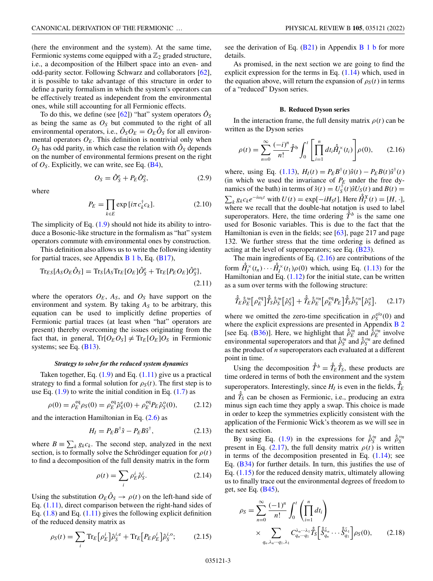<span id="page-2-0"></span>(here the environment and the system). At the same time, Fermionic systems come equipped with a  $\mathbb{Z}_2$  graded structure, i.e., a decomposition of the Hilbert space into an even- and odd-parity sector. Following Schwarz and collaborators [\[62\]](#page-26-0), it is possible to take advantage of this structure in order to define a parity formalism in which the system's operators can be effectively treated as independent from the environmental ones, while still accounting for all Fermionic effects.

To do this, we define (see [\[62\]](#page-26-0)) "hat" system operators  $\hat{O}_S$ as being the same as  $O<sub>S</sub>$  but commuted to the right of all environmental operators, i.e.,  $\hat{O}_S O_E = O_E \hat{O}_S$  for all environmental operators  $O_E$ . This definition is nontrivial only when  $O<sub>S</sub>$  has odd parity, in which case the relation with  $\hat{O}<sub>S</sub>$  depends on the number of environmental fermions present on the right of  $O<sub>S</sub>$ . Explicitly, we can write, see Eq. ( $B<sup>4</sup>$ ),

$$
O_S = \hat{O}_S^e + P_E \hat{O}_S^o, \tag{2.9}
$$

where

$$
P_E = \prod_{k \in E} \exp[i\pi c_k^{\dagger} c_k]. \tag{2.10}
$$

The simplicity of Eq.  $(1.9)$  should not hide its ability to introduce a Bosonic-like structure in the formalism as "hat" system operators commute with environmental ones by construction.

This definition also allows us to write the following identity for partial traces, see Appendix  $\overline{B}1\overline{b}$ , Eq. [\(B17\)](#page-9-0),

$$
\mathrm{Tr}_{ES}[A_S O_E \hat{O}_S] = \mathrm{Tr}_S \{ A_S \mathrm{Tr}_E [O_E] \hat{O}_S^e + \mathrm{Tr}_E [P_E O_E] \hat{O}_S^o \},
$$
\n(2.11)

where the operators  $O_E$ ,  $A_S$ , and  $O_S$  have support on the environment and system. By taking  $A<sub>S</sub>$  to be arbitrary, this equation can be used to implicitly define properties of Fermionic partial traces (at least when "hat" operators are present) thereby overcoming the issues originating from the fact that, in general,  $Tr[O_E O_S] \neq Tr_E[O_E]O_S$  in Fermionic systems; see Eq.  $(B13)$ .

#### *Strategy to solve for the reduced system dynamics*

Taken together, Eq.  $(1.9)$  and Eq.  $(1.11)$  give us a practical strategy to find a formal solution for  $\rho_S(t)$ . The first step is to use Eq.  $(1.9)$  to write the initial condition in Eq.  $(1.7)$  as

$$
\rho(0) = \rho_E^{\text{eq}} \rho_S(0) = \rho_E^{\text{eq}} \hat{\rho}_S^{\text{e}}(0) + \rho_E^{\text{eq}} P_E \hat{\rho}_S^{\text{o}}(0), \qquad (2.12)
$$

and the interaction Hamiltonian in Eq. [\(2.6\)](#page-1-0) as

$$
H_I = P_E B^{\dagger} \hat{s} - P_E B \hat{s}^{\dagger}, \qquad (2.13)
$$

where  $B = \sum_k g_k c_k$ . The second step, analyzed in the next section, is to formally solve the Schrödinger equation for  $\rho(t)$ to find a decomposition of the full density matrix in the form

$$
\rho(t) = \sum_{i} \rho_E^i \hat{\rho}_S^i.
$$
\n(2.14)

Using the substitution  $O_E \hat{O}_S \rightarrow \rho(t)$  on the left-hand side of Eq. (1.11), direct comparison between the right-hand sides of Eq. [\(1.8\)](#page-1-0) and Eq. (1.11) gives the following explicit definition of the reduced density matrix as

$$
\rho_S(t) = \sum_i \text{Tr}_E \left[ \rho_E^i \right] \hat{\rho}_S^{i,e} + \text{Tr}_E \left[ P_E \rho_E^i \right] \hat{\rho}_S^{i,o};\tag{2.15}
$$

see the derivation of Eq.  $(B21)$  in Appendix B 1 b for more details.

As promised, in the next section we are going to find the explicit expression for the terms in Eq. (1.14) which, used in the equation above, will return the expansion of  $\rho_S(t)$  in terms of a "reduced" Dyson series.

## **B. Reduced Dyson series**

In the interaction frame, the full density matrix  $\rho(t)$  can be written as the Dyson series

$$
\rho(t) = \sum_{n=0}^{\infty} \frac{(-i)^n}{n!} \hat{T}^{\text{b}} \int_0^t \left[ \prod_{i=1}^n dt_i \hat{H}_i^{\text{x}}(t_i) \right] \rho(0), \qquad (2.16)
$$

where, using Eq. (1.13),  $H_I(t) = P_E B^{\dagger}(t) \hat{s}(t) - P_E B(t) \hat{s}^{\dagger}(t)$ (in which we used the invariance of  $P_E$  under the free dynamics of the bath) in terms of  $\hat{s}(t) = U_{\hat{S}}^{\dagger}(t)\hat{s}U_{S}(t)$  and  $B(t) =$  $\sum_k g_k c_k e^{-i\omega_k t}$  with  $U(t) = \exp[-iH_S t]$ . Here  $\hat{H}_I^X(t) = [H, \cdot]$ , where we recall that the double-hat notation is used to label superoperators. Here, the time ordering  $\hat{T}^b$  is the same one used for Bosonic variables. This is due to the fact that the Hamiltonian is even in the fields; see [\[63\]](#page-26-0), page 217 and page 132. We further stress that the time ordering is defined as acting at the level of superoperators; see Eq.  $(B23)$ .

The main ingredients of Eq.  $(2.16)$  are contributions of the form  $\hat{H}_I^{\times}(t_n) \cdots \hat{H}_I^{\times}(t_1) \rho(0)$  which, using Eq. (1.13) for the Hamiltonian and Eq.  $(1.12)$  for the initial state, can be written as a sum over terms with the following structure:

$$
\hat{\hat{T}}_E \hat{\hat{\rho}}_E^{\prime\prime\prime} [\rho_E^{\text{eq}}] \hat{\hat{T}}_S \hat{\hat{\rho}}_S^{\prime\prime\prime} [\hat{\rho}_S^{\text{e}}] + \hat{\hat{T}}_E \hat{\hat{\rho}}_E^{\prime\prime\prime\prime} [\rho_E^{\text{eq}} P_E] \hat{\hat{T}}_S \hat{\hat{\rho}}_S^{\prime\prime\prime\prime} [\hat{\rho}_S^{\text{o}}], \quad (2.17)
$$

where we omitted the zero-time specification in  $\rho_S^{e/o}(0)$  and where the explicit expressions are presented in Appendix [B 2](#page-9-0) [see Eq. [\(B36\)](#page-11-0)]. Here, we highlight that  $\hat{\rho}_E^{\prime n}$  and  $\hat{\rho}_E^{\prime n}$  involve environmental superoperators and that  $\hat{\rho}_S^m$  and  $\hat{\rho}_S^m$  are defined as the product of *n* superoperators each evaluated at a different point in time.

Using the decomposition  $\hat{\hat{T}}^b = \hat{\hat{T}}_E \hat{\hat{T}}_S$ , these products are time ordered in terms of both the environment and the system superoperators. Interestingly, since  $H_I$  is even in the fields,  $\hat{T}_E$ and  $\hat{T}_S$  can be chosen as Fermionic, i.e., producing an extra minus sign each time they apply a swap. This choice is made in order to keep the symmetries explicitly consistent with the application of the Fermionic Wick's theorem as we will see in the next section.

By using Eq. (1.9) in the expressions for  $\hat{\beta}_S^m$  and  $\hat{\beta}_S^m$ present in Eq. (2.17), the full density matrix  $\rho(t)$  is written in terms of the decomposition presented in Eq.  $(1.14)$ ; see Eq. [\(B34\)](#page-10-0) for further details. In turn, this justifies the use of Eq.  $(1.15)$  for the reduced density matrix, ultimately allowing us to finally trace out the environmental degrees of freedom to get, see Eq.  $(B45)$ ,

$$
\rho_S = \sum_{n=0}^{\infty} \frac{(-1)^n}{n!} \int_0^t \left( \prod_{i=1}^n dt_i \right)
$$
  
 
$$
\times \sum_{q_n, \lambda_n \cdots q_1, \lambda_1} C_{q_n \cdots q_1}^{\lambda_n \cdots \lambda_1} \hat{T}_S \left[ \hat{S}_{q_n}^{\bar{\lambda}_n} \cdots \hat{S}_{q_1}^{\bar{\lambda}_1} \right] \rho_S(0), \qquad (2.18)
$$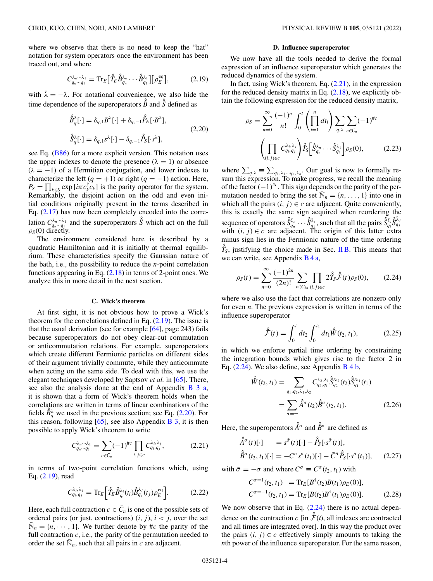<span id="page-3-0"></span>where we observe that there is no need to keep the "hat" notation for system operators once the environment has been traced out, and where

$$
C_{q_n\cdots q_1}^{\lambda_n\cdots\lambda_1} = \text{Tr}_E\big[\hat{T}_E \hat{B}_{q_n}^{\lambda_n} \cdots \hat{B}_{q_1}^{\lambda_1}\big] [\rho_E^{\text{eq}}\big],\tag{2.19}
$$

with  $\bar{\lambda} = -\lambda$ . For notational convenience, we also hide the time dependence of the superoperators  $\hat{\hat{B}}$  and  $\hat{\hat{S}}$  defined as

$$
\hat{\hat{B}}_q^{\lambda}[\cdot] = \delta_{q,1} B^{\lambda}[\cdot] + \delta_{q,-1} \hat{P}_E[\cdot B^{\lambda}],
$$
\n
$$
\hat{\hat{S}}_q^{\lambda}[\cdot] = \delta_{q,1} s^{\lambda}[\cdot] - \delta_{q,-1} \hat{P}_S[\cdot s^{\lambda}],
$$
\n(2.20)

see Eq. [\(B86\)](#page-16-0) for a more explicit version. This notation uses the upper indexes to denote the presence  $(\lambda = 1)$  or absence  $(\lambda = -1)$  of a Hermitian conjugation, and lower indexes to characterize the left  $(q = +1)$  or right  $(q = -1)$  action. Here,  $P_S = \prod_{k \in S} \exp[i\pi c_k^{\dagger} c_k]$  is the parity operator for the system. Remarkably, the disjoint action on the odd and even initial conditions originally present in the terms described in Eq. [\(2.17\)](#page-2-0) has now been completely encoded into the correlation  $C_{q_n\cdots q_1}^{\lambda_n\cdots \lambda_1}$  and the superoperators  $\hat{\hat{S}}$  which act on the full  $\rho_S(0)$  directly.

The environment considered here is described by a quadratic Hamiltonian and it is initially at thermal equilibrium. These characteristics specify the Gaussian nature of the bath, i.e., the possibility to reduce the *n*-point correlation functions appearing in Eq.  $(2.18)$  in terms of 2-point ones. We analyze this in more detail in the next section.

#### **C. Wick's theorem**

At first sight, it is not obvious how to prove a Wick's theorem for the correlations defined in Eq. (2.19). The issue is that the usual derivation (see for example  $[64]$ , page 243) fails because superoperators do not obey clear-cut commutation or anticommutation relations. For example, superoperators which create different Fermionic particles on different sides of their argument trivially commute, while they anticommute when acting on the same side. To deal with this, we use the elegant techniques developed by Saptsov *et al.* in [\[65\]](#page-26-0). There, see also the analysis done at the end of Appendix B 3 a, it is shown that a form of Wick's theorem holds when the correlations are written in terms of linear combinations of the fields  $\hat{B}^{\lambda}_{q}$  we used in the previous section; see Eq. (2.20). For this reason, following  $[65]$ , see also Appendix [B 3,](#page-12-0) it is then possible to apply Wick's theorem to write

$$
C_{q_n\cdots q_1}^{\lambda_n\cdots\lambda_1} = \sum_{c\in\bar{C}_n} (-1)^{\#c} \prod_{i,j\in c} C_{q_i,q_j}^{\lambda_i,\lambda_j},\tag{2.21}
$$

in terms of two-point correlation functions which, using Eq. (2.19), read

$$
C_{q_i,q_j}^{\lambda_i,\lambda_j} = \text{Tr}_E \bigg[ \hat{T}_E \hat{B}_{q_i}^{\lambda_i}(t_i) \hat{B}_{q_j}^{\lambda_j}(t_j) \rho_E^{\text{eq}} \bigg]. \tag{2.22}
$$

Here, each full contraction  $c \in \overline{C}_n$  is one of the possible sets of ordered pairs (or just, contractions)  $(i, j)$ ,  $i < j$ , over the set  $\mathbb{N}_n = \{n, \dots, 1\}$ . We further denote by #*c* the parity of the full contraction *c*, i.e., the parity of the permutation needed to order the set  $\bar{N}_n$ , such that all pairs in *c* are adjacent.

#### **D. Influence superoperator**

We now have all the tools needed to derive the formal expression of an influence superoperator which generates the reduced dynamics of the system.

In fact, using Wick's theorem, Eq. (2.21), in the expression for the reduced density matrix in Eq.  $(2.18)$ , we explicitly obtain the following expression for the reduced density matrix,

$$
\rho_S = \sum_{n=0}^{\infty} \frac{(-1)^n}{n!} \int_0^t \left( \prod_{i=1}^n dt_i \right) \sum_{q,\lambda} \sum_{c \in \tilde{C}_n} (-1)^{\#c}
$$

$$
\left( \prod_{(i,j) \in c} C_{q_i, q_j}^{\lambda_i, \lambda_j} \right) \hat{T}_S \left[ \hat{S}_{q_n}^{\tilde{\lambda}_n} \cdots \hat{S}_{q_1}^{\tilde{\lambda}_1} \right] \rho_S(0), \qquad (2.23)
$$

where  $\sum_{q,\lambda} \equiv \sum_{q_1,\lambda_1\cdots q_n,\lambda_n}$ . Our goal is now to formally resum this expression. To make progress, we recall the meaning of the factor (−1)#*<sup>c</sup>*. This sign depends on the parity of the permutation needed to bring the set  $\mathbb{\bar{N}}_n = \{n, \ldots, 1\}$  into one in which all the pairs  $(i, j) \in c$  are adjacent. Quite conveniently, this is exactly the same sign acquired when reordering the sequence of operators  $\hat{S}_{q_n}^{\bar{\lambda}_n} \cdots \hat{S}_{q_1}^{\bar{\lambda}_1}$ , such that all the pairs  $\hat{S}_{q_i}^{\bar{\lambda}_i} \hat{S}_{q_j}^{\bar{\lambda}_j}$  with  $(i, j) \in c$  are adjacent. The origin of this latter extra minus sign lies in the Fermionic nature of the time ordering  $\hat{T}_S$ , justifying the choice made in Sec. [II B.](#page-2-0) This means that we can write, see Appendix B 4 a,

$$
\rho_S(t) = \sum_{n=0}^{\infty} \frac{(-1)^{2n}}{(2n)!} \sum_{c \in C_{2n}} \prod_{(i,j) \in c} 2\hat{I}_S^2 \hat{F}(t) \rho_S(0), \qquad (2.24)
$$

where we also use the fact that correlations are nonzero only for even *n*. The previous expression is written in terms of the influence superoperator

$$
\hat{\mathcal{F}}(t) = \int_0^t dt_2 \int_0^{t_2} dt_1 \hat{W}(t_2, t_1), \tag{2.25}
$$

in which we enforce partial time ordering by constraining the integration bounds which gives rise to the factor 2 in Eq.  $(2.24)$ . We also define, see Appendix B 4 b,

$$
\hat{W}(t_2, t_1) = \sum_{q_1, q_2, \lambda_1, \lambda_2} C_{q_2, q_1}^{\lambda_2, \lambda_1} \hat{S}_{q_2}^{\bar{\lambda}_2}(t_2) \hat{S}_{q_1}^{\bar{\lambda}_1}(t_1)
$$
\n
$$
= \sum_{\sigma=\pm} \hat{A}^{\sigma}(t_2) \hat{B}^{\sigma}(t_2, t_1). \tag{2.26}
$$

Here, the superoperators  $\hat{A}^{\sigma}$  and  $\hat{B}^{\sigma}$  are defined as

$$
\hat{A}^{\sigma}(t)[\cdot] = s^{\bar{\sigma}}(t)[\cdot] - \hat{P}_{S}[\cdot s^{\bar{\sigma}}(t)],
$$
  

$$
\hat{B}^{\sigma}(t_{2}, t_{1})[\cdot] = -C^{\sigma} s^{\sigma}(t_{1})[\cdot] - \bar{C}^{\bar{\sigma}} \hat{P}_{S}[\cdot s^{\sigma}(t_{1})], \quad (2.27)
$$

with  $\bar{\sigma} = -\sigma$  and where  $C^{\sigma} \equiv C^{\sigma}(t_2, t_1)$  with

$$
C^{\sigma=1}(t_2, t_1) = \text{Tr}_E[B^{\dagger}(t_2)B(t_1)\rho_E(0)],
$$
  
\n
$$
C^{\sigma=-1}(t_2, t_1) = \text{Tr}_E[B(t_2)B^{\dagger}(t_1)\rho_E(0)].
$$
\n(2.28)

We now observe that in Eq.  $(2.24)$  there is no actual dependence on the contraction *c* [in  $\hat{F}(t)$ , all indexes are contracted and all times are integrated over]. In this way the product over the pairs  $(i, j) \in c$  effectively simply amounts to taking the *n*th power of the influence superoperator. For the same reason,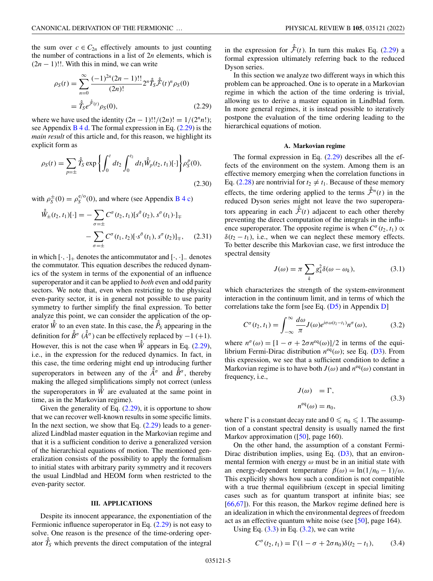<span id="page-4-0"></span>the sum over  $c \in C_{2n}$  effectively amounts to just counting the number of contractions in a list of 2*n* elements, which is  $(2n - 1)!!$ . With this in mind, we can write

$$
\rho_S(t) = \sum_{n=0}^{\infty} \frac{(-1)^{2n} (2n-1)!!}{(2n)!} 2^n \hat{f}_S \hat{\tilde{\mathcal{F}}}(t)^n \rho_S(0)
$$

$$
= \hat{f}_S e^{\hat{\tilde{\mathcal{F}}}(t)} \rho_S(0), \qquad (2.29)
$$

where we have used the identity  $(2n - 1)!!/(2n)! = 1/(2<sup>n</sup>n!)$ ; see Appendix  $\overline{B4d}$ . The formal expression in Eq. (2.29) is the *main result* of this article and, for this reason, we highlight its explicit form as

$$
\rho_S(t) = \sum_{p=\pm} \hat{T}_S \exp\left\{ \int_0^t dt_2 \int_0^{t_2} dt_1 \hat{W}_p(t_2, t_1) [\cdot] \right\} \rho_S^p(0),
$$
\n(2.30)

with  $\rho_S^{\pm}(0) = \rho_S^{e/o}(0)$ , and where (see Appendix B 4 c)

$$
\hat{W}_{\pm}(t_2, t_1)[\cdot] = -\sum_{\sigma=\pm} C^{\sigma}(t_2, t_1)[s^{\tilde{\sigma}}(t_2), s^{\sigma}(t_1) \cdot]_{\mp} \n- \sum_{\sigma=\pm} C^{\sigma}(t_1, t_2)[\cdot s^{\tilde{\sigma}}(t_1), s^{\sigma}(t_2)]_{\mp}, \quad (2.31)
$$

in which  $[\cdot, \cdot]_+$  denotes the anticommutator and  $[\cdot, \cdot]_-$  denotes the commutator. This equation describes the reduced dynamics of the system in terms of the exponential of an influence superoperator and it can be applied to *both* even and odd parity sectors. We note that, even when restricting to the physical even-parity sector, it is in general not possible to use parity symmetry to further simplify the final expression. To better analyze this point, we can consider the application of the operator  $\hat{W}$  to an even state. In this case, the  $\hat{P}_S$  appearing in the definition for  $\hat{B}^{\sigma}$  ( $\hat{A}^{\sigma}$ ) can be effectively replaced by  $-1$  (+1). However, this is not the case when  $\hat{W}$  appears in Eq. (2.29), i.e., in the expression for the reduced dynamics. In fact, in this case, the time ordering might end up introducing further superoperators in between any of the  $A^{\hat{\sigma}}$  and  $\hat{B}^{\sigma}$ , thereby making the alleged simplifications simply not correct (unless the superoperators in  $\hat{W}$  are evaluated at the same point in time, as in the Markovian regime).

Given the generality of Eq.  $(2.29)$ , it is opportune to show that we can recover well-known results in some specific limits. In the next section, we show that Eq.  $(2.29)$  leads to a generalized Lindblad master equation in the Markovian regime and that it is a sufficient condition to derive a generalized version of the hierarchical equations of motion. The mentioned generalization consists of the possibility to apply the formalism to initial states with arbitrary parity symmetry and it recovers the usual Lindblad and HEOM form when restricted to the even-parity sector.

#### **III. APPLICATIONS**

Despite its innocent appearance, the exponentiation of the Fermionic influence superoperator in Eq. (2.29) is not easy to solve. One reason is the presence of the time-ordering operator  $\hat{T}_S$  which prevents the direct computation of the integral

in the expression for  $\hat{\mathcal{F}}(t)$ . In turn this makes Eq. (2.29) a formal expression ultimately referring back to the reduced Dyson series.

In this section we analyze two different ways in which this problem can be approached. One is to operate in a Markovian regime in which the action of the time ordering is trivial, allowing us to derive a master equation in Lindblad form. In more general regimes, it is instead possible to iteratively postpone the evaluation of the time ordering leading to the hierarchical equations of motion.

## **A. Markovian regime**

The formal expression in Eq. (2.29) describes all the effects of the environment on the system. Among them is an effective memory emerging when the correlation functions in Eq. [\(2.28\)](#page-3-0) are nontrivial for  $t_2 \neq t_1$ . Because of these memory effects, the time ordering applied to the terms  $\hat{\mathcal{F}}^n(t)$  in the reduced Dyson series might not leave the two superoperators appearing in each  $\hat{\mathcal{F}}(t)$  adjacent to each other thereby preventing the direct computation of the integrals in the influence superoperator. The opposite regime is when  $C^{\sigma}(t_2, t_1) \propto$  $\delta(t_2 - t_1)$ , i.e., when we can neglect these memory effects. To better describe this Markovian case, we first introduce the spectral density

$$
J(\omega) = \pi \sum_{k} g_k^2 \delta(\omega - \omega_k), \qquad (3.1)
$$

which characterizes the strength of the system-environment interaction in the continuum limit, and in terms of which the correlations take the form [see Eq.  $(D5)$  in Appendix [D\]](#page-23-0)

$$
C^{\sigma}(t_2, t_1) = \int_{-\infty}^{\infty} \frac{d\omega}{\pi} J(\omega) e^{i\sigma \omega(t_2 - t_1)} n^{\sigma}(\omega), \tag{3.2}
$$

where  $n^{\sigma}(\omega) = [1 - \sigma + 2\sigma n^{\text{eq}}(\omega)]/2$  in terms of the equilibrium Fermi-Dirac distribution  $n^{eq}(\omega)$ ; see Eq. [\(D3\)](#page-23-0). From this expression, we see that a sufficient condition to define a Markovian regime is to have both  $J(\omega)$  and  $n^{eq}(\omega)$  constant in frequency, i.e.,

$$
J(\omega) = \Gamma,
$$
  
\n
$$
n^{eq}(\omega) = n_0,
$$
\n(3.3)

where  $\Gamma$  is a constant decay rate and  $0 \le n_0 \le 1$ . The assumption of a constant spectral density is usually named the first Markov approximation ([\[50\]](#page-25-0), page 160).

On the other hand, the assumption of a constant Fermi-Dirac distribution implies, using Eq.  $(D3)$ , that an environmental fermion with energy  $\omega$  must be in an initial state with an energy-dependent temperature  $\beta(\omega) = \ln(1/n_0 - 1)/\omega$ . This explicitly shows how such a condition is not compatible with a true thermal equilibrium (except in special limiting cases such as for quantum transport at infinite bias; see [\[66,67\]](#page-26-0)). For this reason, the Markov regime defined here is an idealization in which the environmental degrees of freedom act as an effective quantum white noise (see [\[50\]](#page-25-0), page 164).

Using Eq.  $(3.3)$  in Eq.  $(3.2)$ , we can write

$$
C^{\sigma}(t_2, t_1) = \Gamma(1 - \sigma + 2\sigma n_0)\delta(t_2 - t_1), \quad (3.4)
$$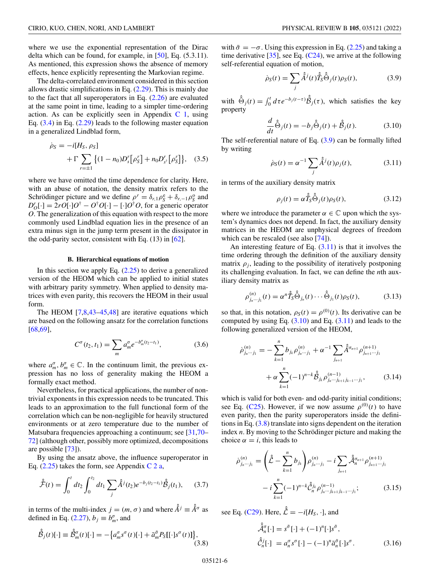<span id="page-5-0"></span>where we use the exponential representation of the Dirac delta which can be found, for example, in [\[50\]](#page-25-0), Eq. (5.3.11). As mentioned, this expression shows the absence of memory effects, hence explicitly representing the Markovian regime.

The delta-correlated environment considered in this section allows drastic simplifications in Eq.  $(2.29)$ . This is mainly due to the fact that all superoperators in Eq. [\(2.26\)](#page-3-0) are evaluated at the same point in time, leading to a simpler time-ordering action. As can be explicitly seen in Appendix  $C_1$ , using Eq.  $(3.4)$  in Eq.  $(2.29)$  leads to the following master equation in a generalized Lindblad form,

$$
\dot{\rho}_S = -i[H_S, \rho_S] + \Gamma \sum_{r=\pm 1} \left\{ (1 - n_0) D_s^r [\rho_S^r] + n_0 D_{s^{\dagger}}^r [\rho_S^r] \right\}, \quad (3.5)
$$

where we have omitted the time dependence for clarity. Here, with an abuse of notation, the density matrix refers to the Schrödinger picture and we define  $\rho^r = \delta_{r,1}\rho^e + \delta_{r,-1}\rho^o$  and  $D'_0$ [·] = 2*rO*[·] $O^{\dagger} - O^{\dagger}O$ [·] – [·] $O^{\dagger}O$ , for a generic operator *O*. The generalization of this equation with respect to the more commonly used Lindblad equation lies in the presence of an extra minus sign in the jump term present in the dissipator in the odd-parity sector, consistent with Eq.  $(13)$  in  $[62]$ .

#### **B. Hierarchical equations of motion**

In this section we apply Eq.  $(2.25)$  to derive a generalized version of the HEOM which can be applied to initial states with arbitrary parity symmetry. When applied to density matrices with even parity, this recovers the HEOM in their usual form.

The HEOM  $[7,8,43-45,48]$  $[7,8,43-45,48]$  are iterative equations which are based on the following ansatz for the correlation functions [\[68,69\]](#page-26-0),

$$
C^{\sigma}(t_2, t_1) = \sum_{m} a_m^{\sigma} e^{-b_m^{\sigma}(t_2 - t_1)}, \qquad (3.6)
$$

where  $a_m^{\sigma}, b_m^{\sigma} \in \mathbb{C}$ . In the continuum limit, the previous expression has no loss of generality making the HEOM a formally exact method.

Nevertheless, for practical applications, the number of nontrivial exponents in this expression needs to be truncated. This leads to an approximation to the full functional form of the correlation which can be non-negligible for heavily structured environments or at zero temperature due to the number of Matsubara frequencies approaching a continuum; see [\[31,](#page-25-0)[70–](#page-26-0) [72\]](#page-26-0) (although other, possibly more optimized, decompositions are possible [\[73\]](#page-26-0)).

By using the ansatz above, the influence superoperator in Eq.  $(2.25)$  takes the form, see Appendix C 2 a,

$$
\hat{\mathcal{F}}(t) = \int_0^t dt_2 \int_0^{t_2} dt_1 \sum_j \hat{A}^j(t_2) e^{-b_j(t_2 - t_1)} \hat{\beta}_j(t_1), \quad (3.7)
$$

in terms of the multi-index  $j = (m, \sigma)$  and where  $\hat{A}^j = \hat{A}^\sigma$  as defined in Eq. [\(2.27\)](#page-3-0),  $b_j \equiv b_m^{\sigma}$ , and

$$
\hat{\hat{\beta}}_j(t)[\cdot] \equiv \hat{\hat{\beta}}_m^{\sigma}(t)[\cdot] = -\big\{a_m^{\sigma} s^{\sigma}(t)[\cdot] + \bar{a}_m^{\bar{\sigma}} P_S[[\cdot] s^{\sigma}(t)]\big\},\tag{3.8}
$$

with  $\bar{\sigma} = -\sigma$ . Using this expression in Eq. [\(2.25\)](#page-3-0) and taking a time derivative [\[35\]](#page-25-0), see Eq.  $(C24)$ , we arrive at the following self-referential equation of motion,

$$
\dot{\rho}_S(t) = \sum_j \hat{A}^j(t) \hat{T}_S \hat{\Theta}_j(t) \rho_S(t), \qquad (3.9)
$$

with  $\hat{\Theta}_j(t) = \int_0^t d\tau e^{-b_j(t-\tau)} \hat{\mathcal{B}}_j(\tau)$ , which satisfies the key property

$$
\frac{d}{dt}\hat{\hat{\Theta}}_j(t) = -b_j\hat{\hat{\Theta}}_j(t) + \hat{\hat{\mathcal{B}}}_j(t).
$$
 (3.10)

The self-referential nature of Eq. (3.9) can be formally lifted by writing

$$
\dot{\rho}_S(t) = \alpha^{-1} \sum_j \hat{A}^j(t) \rho_j(t),
$$
\n(3.11)

in terms of the auxiliary density matrix

$$
\rho_j(t) = \alpha \hat{T}_S \hat{\Theta}_j(t) \rho_S(t), \qquad (3.12)
$$

where we introduce the parameter  $\alpha \in \mathbb{C}$  upon which the system's dynamics does not depend. In fact, the auxiliary density matrices in the HEOM are unphysical degrees of freedom which can be rescaled (see also [\[74\]](#page-26-0)).

An interesting feature of Eq.  $(3.11)$  is that it involves the time ordering through the definition of the auxiliary density matrix  $\rho_i$ , leading to the possibility of iteratively postponing its challenging evaluation. In fact, we can define the *n*th auxiliary density matrix as

$$
\rho_{j_n\cdots j_1}^{(n)}(t) = \alpha^n \hat{\tilde{T}}_S \hat{\Theta}_{j_n}(t) \cdots \hat{\Theta}_{j_1}(t) \rho_S(t), \qquad (3.13)
$$

so that, in this notation,  $\rho_S(t) = \rho^{(0)}(t)$ . Its derivative can be computed by using Eq.  $(3.10)$  and Eq.  $(3.11)$  and leads to the following generalized version of the HEOM,

$$
\dot{\rho}_{j_n\cdots j_1}^{(n)} = -\sum_{k=1}^{n} b_{j_k} \rho_{j_n\cdots j_1}^{(n)} + \alpha^{-1} \sum_{j_{n+1}} \hat{A}^{\sigma_{n+1}} \rho_{j_{n+1}\cdots j_1}^{(n+1)} + \alpha \sum_{k=1}^{n} (-1)^{n-k} \hat{\beta}_{j_k} \rho_{j_n\cdots j_{k+1}j_{k-1}\cdots j_1}^{(n-1)},
$$
\n(3.14)

which is valid for both even- and odd-parity initial conditions; see Eq. [\(C25\)](#page-19-0). However, if we now assume  $\rho^{(0)}(t)$  to have even parity, then the parity superoperators inside the definitions in Eq. (3.8) translate into signs dependent on the iteration index *n*. By moving to the Schrödinger picture and making the choice  $\alpha = i$ , this leads to

$$
\dot{\rho}_{j_n\cdots j_1}^{(n)} = \left(\hat{\hat{\mathcal{L}}}-\sum_{k=1}^n b_{j_k}\right) \rho_{j_n\cdots j_1}^{(n)} - i \sum_{j_{n+1}} \hat{\mathcal{A}}_{n}^{\sigma_{n+1}} \rho_{j_{n+1}\cdots j_1}^{(n+1)} \n- i \sum_{k=1}^n (-1)^{n-k} \hat{\hat{\mathcal{C}}}_{n}^{j_k} \rho_{j_n\cdots j_{k+1}j_{k-1}\cdots j_1}^{(n-1)};
$$
\n(3.15)

see Eq. [\(C29\)](#page-20-0). Here,  $\hat{\hat{\mathcal{L}}} = -i[H_S, \cdot]$ , and

$$
\hat{\mathcal{A}}_n^{\sigma}[\cdot] = s^{\bar{\sigma}}[\cdot] + (-1)^n[\cdot]s^{\bar{\sigma}},
$$
  

$$
\hat{\mathcal{C}}_n^j[\cdot] = a_n^{\sigma} s^{\sigma}[\cdot] - (-1)^n \bar{a}_n^{\bar{\sigma}}[\cdot]s^{\sigma}.
$$
 (3.16)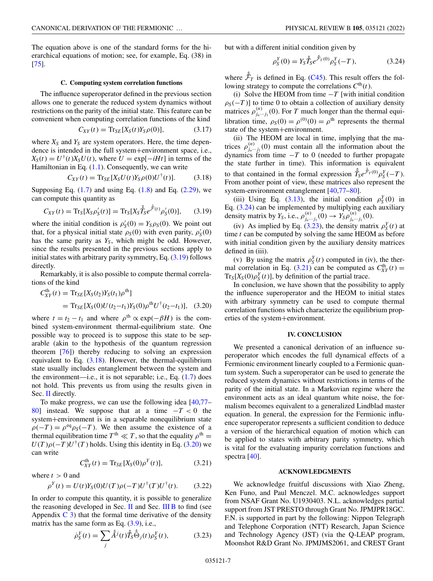<span id="page-6-0"></span>The equation above is one of the standard forms for the hierarchical equations of motion; see, for example, Eq. (38) in [\[75\]](#page-26-0).

# **C. Computing system correlation functions**

The influence superoperator defined in the previous section allows one to generate the reduced system dynamics without restrictions on the parity of the initial state. This feature can be convenient when computing correlation functions of the kind

$$
C_{XY}(t) = \text{Tr}_{SE}[X_S(t)Y_S\rho(0)], \qquad (3.17)
$$

where  $X_S$  and  $Y_S$  are system operators. Here, the time dependence is intended in the full system+environment space, i.e.,  $X_S(t) = U^{\dagger}(t)X_SU(t)$ , where  $U = \exp[-iHt]$  in terms of the Hamiltonian in Eq.  $(1.1)$ . Consequently, we can write

$$
C_{XY}(t) = \text{Tr}_{SE}[X_{S}U(t)Y_{S}\rho(0)U^{\dagger}(t)]. \tag{3.18}
$$

Supposing Eq.  $(1.7)$  and using Eq.  $(1.8)$  and Eq.  $(2.29)$ , we can compute this quantity as

$$
C_{XY}(t) = \text{Tr}_S[X_S \rho'_S(t)] = \text{Tr}_S[X_S \hat{\tilde{T}}_S e^{\hat{\tilde{\mathcal{F}}}(t)} \rho'_S(0)], \qquad (3.19)
$$

where the initial condition is  $\rho'_{S}(0) = Y_{S}\rho_{S}(0)$ . We point out that, for a physical initial state  $\rho_S(0)$  with even parity,  $\rho'_S(0)$ has the same parity as  $Y_s$ , which might be odd. However, since the results presented in the previous sections apply to initial states with arbitrary parity symmetry, Eq. (3.19) follows directly.

Remarkably, it is also possible to compute thermal correlations of the kind

$$
C_{XY}^{\text{th}}(t) = \text{Tr}_{SE}[X_S(t_2)Y_S(t_1)\rho^{\text{th}}]
$$
  
= 
$$
\text{Tr}_{SE}[X_S(0)U(t_2-t_1)Y_S(0)\rho^{\text{th}}U^{\dagger}(t_2-t_1)], \quad (3.20)
$$

where  $t = t_2 - t_1$  and where  $\rho$ <sup>th</sup>  $\propto$  exp( $-\beta H$ ) is the combined system-environment thermal-equilibrium state. One possible way to proceed is to suppose this state to be separable (akin to the hypothesis of the quantum regression theorem [\[76\]](#page-26-0)) thereby reducing to solving an expression equivalent to Eq.  $(3.18)$ . However, the thermal-equilibrium state usually includes entanglement between the system and the environment—i.e., it is not separable; i.e., Eq.  $(1.7)$  does not hold. This prevents us from using the results given in Sec. [II](#page-1-0) directly.

To make progress, we can use the following idea [\[40,](#page-25-0)[77–](#page-26-0) [80\]](#page-26-0) instead. We suppose that at a time −*T* < 0 the system+environment is in a separable nonequilibrium state  $\rho(-T) = \rho^{eq} \rho_S(-T)$ . We then assume the existence of a thermal equilibration time  $T^{\text{th}} \ll T$ , so that the equality  $\rho^{\text{th}} =$  $U(T)\rho(-T)U^{\dagger}(T)$  holds. Using this identity in Eq. (3.20) we can write

$$
C_{XY}^{th}(t) = \text{Tr}_{SE}[X_S(0)\rho^Y(t)], \qquad (3.21)
$$

where  $t > 0$  and

$$
\rho^{Y}(t) = U(t)Y_{S}(0)U(T)\rho(-T)U^{\dagger}(T)U^{\dagger}(t). \qquad (3.22)
$$

In order to compute this quantity, it is possible to generalize the reasoning developed in Sec.  $\Pi$  and Sec.  $\Pi$  B to find (see Appendix  $C_3$ ) that the formal time derivative of the density matrix has the same form as Eq.  $(3.9)$ , i.e.,

$$
\dot{\rho}_S^Y(t) = \sum_j \hat{A}^j(t) \hat{T}_S \hat{\Theta}_j(t) \rho_S^Y(t), \qquad (3.23)
$$

but with a different initial condition given by

$$
\rho_S^Y(0) = Y_S \hat{T}_S e^{\hat{\mathcal{F}}_T(0)} \rho_S^Y(-T), \tag{3.24}
$$

where  $\hat{\mathcal{F}}_T$  is defined in Eq. [\(C45\)](#page-22-0). This result offers the following strategy to compute the correlations  $C<sup>th</sup>(t)$ .

(i) Solve the HEOM from time  $-T$  [with initial condition  $\rho_S(-T)$ ] to time 0 to obtain a collection of auxiliary density matrices  $\rho_{j_n\cdots j_1}^{(n)}(0)$ . For *T* much longer than the thermal equilibration time,  $\rho_S(0) = \rho^{(0)}(0) = \rho^{\text{th}}$  represents the thermal state of the system+environment.

(ii) The HEOM are local in time, implying that the matrices  $\rho_{j_n\cdots j_1}^{(n)}(0)$  must contain all the information about the dynamics from time  $-T$  to 0 (needed to further propagate the state further in time). This information is equivalent to that contained in the formal expression  $\hat{T}_S e^{\hat{\mathcal{F}}_T(0)} \rho_S^Y(-T)$ . From another point of view, these matrices also represent the system-environment entanglement [\[40](#page-25-0)[,77–80\]](#page-26-0).

(iii) Using Eq. [\(3.13\)](#page-5-0), the initial condition  $\rho_S^Y(0)$  in Eq. (3.24) can be implemented by multiplying each auxiliary density matrix by  $Y_s$ , i.e.,  $\rho_{j_n \cdots j_1}^{(n)}(0) \to Y_s \rho_{j_n \cdots j_1}^{(n)}(0)$ .

(iv) As implied by Eq. (3.23), the density matrix  $\rho_S^Y(t)$  at time *t* can be computed by solving the same HEOM as before with initial condition given by the auxiliary density matrices defined in (iii).

(v) By using the matrix  $\rho_S^Y(t)$  computed in (iv), the thermal correlation in Eq. (3.21) can be computed as  $C_{XY}^{th}(t) =$  $Tr_S[X_S(0)\rho_S^Y(t)]$ , by definition of the partial trace.

In conclusion, we have shown that the possibility to apply the influence superoperator and the HEOM to initial states with arbitrary symmetry can be used to compute thermal correlation functions which characterize the equilibrium properties of the system+environment.

## **IV. CONCLUSION**

We presented a canonical derivation of an influence superoperator which encodes the full dynamical effects of a Fermionic environment linearly coupled to a Fermionic quantum system. Such a superoperator can be used to generate the reduced system dynamics without restrictions in terms of the parity of the initial state. In a Markovian regime where the environment acts as an ideal quantum white noise, the formalism becomes equivalent to a generalized Lindblad master equation. In general, the expression for the Fermionic influence superoperator represents a sufficient condition to deduce a version of the hierarchical equation of motion which can be applied to states with arbitrary parity symmetry, which is vital for the evaluating impurity correlation functions and spectra [\[40\]](#page-25-0).

## **ACKNOWLEDGMENTS**

We acknowledge fruitful discussions with Xiao Zheng, Ken Funo, and Paul Menczel. M.C. acknowledges support from NSAF Grant No. U1930403. N.L. acknowledges partial support from JST PRESTO through Grant No. JPMJPR18GC. F.N. is supported in part by the following: Nippon Telegraph and Telephone Corporation (NTT) Research, Japan Science and Technology Agency (JST) (via the Q-LEAP program, Moonshot R&D Grant No. JPMJMS2061, and CREST Grant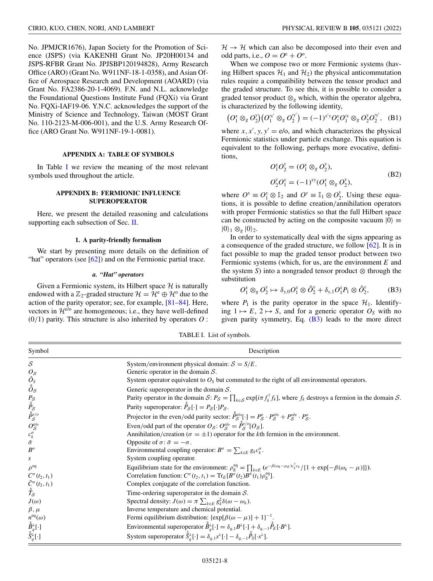<span id="page-7-0"></span>No. JPMJCR1676), Japan Society for the Promotion of Science (JSPS) (via KAKENHI Grant No. JP20H00134 and JSPS-RFBR Grant No. JPJSBP120194828), Army Research Office (ARO) (Grant No. W911NF-18-1-0358), and Asian Office of Aerospace Research and Development (AOARD) (via Grant No. FA2386-20-1-4069). F.N. and N.L. acknowledge the Foundational Questions Institute Fund (FQXi) via Grant No. FQXi-IAF19-06. Y.N.C. acknowledges the support of the Ministry of Science and Technology, Taiwan (MOST Grant No. 110-2123-M-006-001), and the U.S. Army Research Office (ARO Grant No. W911NF-19-1-0081).

#### **APPENDIX A: TABLE OF SYMBOLS**

In Table I we review the meaning of the most relevant symbols used throughout the article.

# **APPENDIX B: FERMIONIC INFLUENCE SUPEROPERATOR**

Here, we present the detailed reasoning and calculations supporting each subsection of Sec. [II.](#page-1-0)

#### **1. A parity-friendly formalism**

We start by presenting more details on the definition of "hat" operators (see  $[62]$ ) and on the Fermionic partial trace.

#### *a. "Hat" operators*

Given a Fermionic system, its Hilbert space  $H$  is naturally endowed with a  $\mathbb{Z}_2$ -graded structure  $\mathcal{H} = \mathcal{H}^e \oplus \mathcal{H}^o$  due to the action of the parity operator; see, for example, [\[81–84\]](#page-26-0). Here, vectors in  $\mathcal{H}^{e/\sigma}$  are homogeneous; i.e., they have well-defined (0/1) parity. This structure is also inherited by operators *O* :  $H \rightarrow H$  which can also be decomposed into their even and odd parts, i.e.,  $O = O^e + O^o$ .

When we compose two or more Fermionic systems (having Hilbert spaces  $\mathcal{H}_1$  and  $\mathcal{H}_2$ ) the physical anticommutation rules require a compatibility between the tensor product and the graded structure. To see this, it is possible to consider a graded tensor product  $\otimes_{g}$  which, within the operator algebra, is characterized by the following identity,

$$
(O_1^x \otimes_g O_2^y)(O_1^{x'} \otimes_g O_2^{y'}) = (-1)^{x'y} O_1^x O_1^{x} \otimes_g O_2^{y} O_2^{y'}, \quad (B1)
$$

where  $x$ ,  $x'$ ,  $y$ ,  $y' = e$ /o, and which characterizes the physical Fermionic statistics under particle exchange. This equation is equivalent to the following, perhaps more evocative, definitions,

$$
O_1^x O_2^y = (O_1^x \otimes_g O_2^y),
$$
  
\n
$$
O_2^y O_1^x = (-1)^{xy} (O_1^x \otimes_g O_2^y),
$$
\n(B2)

where  $O^x \equiv O_1^x \otimes \mathbb{I}_2$  and  $O^y \equiv \mathbb{I}_1 \otimes O_2^y$ . Using these equations, it is possible to define creation/annihilation operators with proper Fermionic statistics so that the full Hilbert space can be constructed by acting on the composite vacuum  $|0\rangle \equiv$  $|0\rangle_1 \otimes_g |0\rangle_2.$ 

In order to systematically deal with the signs appearing as a consequence of the graded structure, we follow [\[62\]](#page-26-0). It is in fact possible to map the graded tensor product between two Fermionic systems (which, for us, are the environment *E* and the system *S*) into a nongraded tensor product  $\otimes$  through the substitution

$$
O_1^x \otimes_g O_2^y \mapsto \delta_{y,0} O_1^x \otimes \hat{O}_2^y + \delta_{y,1} O_1^x P_1 \otimes \hat{O}_2^y, \tag{B3}
$$

where  $P_1$  is the parity operator in the space  $\mathcal{H}_1$ . Identifying  $1 \mapsto E$ ,  $2 \mapsto S$ , and for a generic operator  $O<sub>S</sub>$  with no given parity symmetry, Eq.  $(B3)$  leads to the more direct

TABLE I. List of symbols.

| Symbol                                                                                            | Description                                                                                                                                                        |
|---------------------------------------------------------------------------------------------------|--------------------------------------------------------------------------------------------------------------------------------------------------------------------|
| $\mathcal{S}_{0}$                                                                                 | System/environment physical domain: $S = S/E$ .                                                                                                                    |
|                                                                                                   | Generic operator in the domain $S$ .                                                                                                                               |
|                                                                                                   | System operator equivalent to $O_s$ but commuted to the right of all environmental operators.                                                                      |
| $\begin{matrix} O_{\mathcal{S}}\ \hat{O}_{\mathcal{S}}\ \hat{\hat{O}}_{\mathcal{S}} \end{matrix}$ | Generic superoperator in the domain $S$ .                                                                                                                          |
|                                                                                                   | Parity operator in the domain S: $P_S = \prod_{k \in S} \exp[i\pi f_k^{\dagger} f_k]$ , where $f_k$ destroys a fermion in the domain S.                            |
|                                                                                                   | Parity superoperator: $\hat{P}_{S}[\cdot] = P_{S}[\cdot]P_{S}$ .                                                                                                   |
| $P_{\mathcal{S}}$<br>$\hat{\hat{P}}_{\mathcal{S}}$<br>$\hat{\hat{P}}_{\mathcal{S}}^{e/o}$         | Projector in the even/odd parity sector: $\hat{P}_S^{\text{e/o}}[\cdot] = P_S^{\text{e}} \cdot P_S^{\text{e/o}} + P_S^{\text{o/e}} \cdot P_S^{\text{o}}$ .         |
| $\frac{O_\mathcal{S}^\text{e/o}}{c_k^\sigma}$                                                     | Even/odd part of the operator $O_S$ : $O_S^{e/o} = \hat{P}_S^{e/o} [O_S]$ .                                                                                        |
|                                                                                                   | Annihilation/creation ( $\sigma = \pm 1$ ) operator for the kth fermion in the environment.                                                                        |
|                                                                                                   | Opposite of $\sigma$ : $\bar{\sigma} = -\sigma$ .                                                                                                                  |
| $B^{\sigma}$                                                                                      | Environmental coupling operator: $B^{\sigma} = \sum_{k \in E} g_k c_k^{\sigma}$ .                                                                                  |
| S                                                                                                 | System coupling operator.                                                                                                                                          |
| $\rho^{\text{eq}}$                                                                                | Equilibrium state for the environment: $\rho_E^{\text{eq}} = \prod_{k \in E} (e^{-\beta(\omega_k - \mu_E)c_k^{\dagger}c_k}/\{1 + \exp[-\beta(\omega_k - \mu)]\}).$ |
| $C^{\sigma}(t_2,t_1)$                                                                             | Correlation function: $C^{\sigma}(t_2, t_1) = \text{Tr}_E[B^{\sigma}(t_2)B^{\bar{\sigma}}(t_1)\rho_E^{\text{eq}}].$                                                |
|                                                                                                   | Complex conjugate of the correlation function.                                                                                                                     |
| $\bar{C}^{\sigma}(t_2,t_1)$<br>$\hat{\tilde{T}}_{\mathcal{S}}$                                    | Time-ordering superoperator in the domain $S$ .                                                                                                                    |
| $J(\omega)$                                                                                       | Spectral density: $J(\omega) = \pi \sum_{k \in E} g_k^2 \delta(\omega - \omega_k)$ .                                                                               |
| $\beta, \mu$                                                                                      | Inverse temperature and chemical potential.                                                                                                                        |
|                                                                                                   | Fermi equilibrium distribution: $\{\exp[\beta(\omega-\mu)]+1\}^{-1}$ .                                                                                             |
|                                                                                                   | Environmental superoperator $\hat{B}_{q}^{\lambda}[\cdot] = \delta_{q,1} B^{\lambda}[\cdot] + \delta_{q,-1} \hat{P}_{E}[\cdot B^{\lambda}].$                       |
| $n^{\rm eq}(\omega) \ \hat{\hat{B}}_q^{\lambda}[\cdot] \ \hat{\hat{S}}_q^{\lambda}[\cdot]$        | System superoperator $\hat{S}_{a}^{\lambda}[\cdot] = \delta_{q,1} s^{\lambda}[\cdot] - \delta_{q,-1} \hat{P}_{S}[\cdot s^{\lambda}].$                              |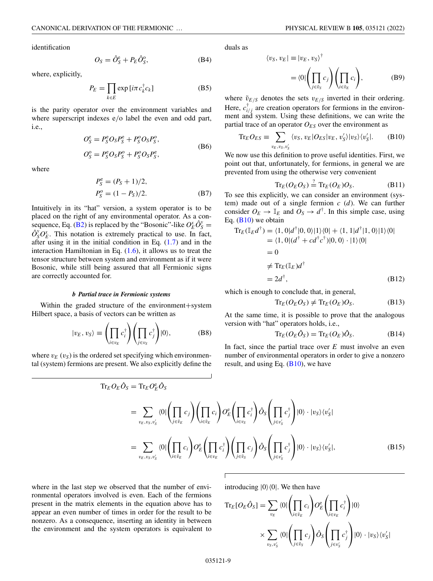<span id="page-8-0"></span>identification

$$
O_S = \hat{O}_S^{\text{e}} + P_E \hat{O}_S^{\text{o}},\tag{B4}
$$

where, explicitly,

$$
P_E = \prod_{k \in E} \exp[i\pi c_k^{\dagger} c_k]
$$
 (B5)

is the parity operator over the environment variables and where superscript indexes  $e/o$  label the even and odd part, i.e.,

$$
O_S^e = P_S^e O_S P_S^e + P_S^o O_S P_S^o,
$$
  
\n
$$
O_S^o = P_S^e O_S P_S^o + P_S^o O_S P_S^e,
$$
\n(B6)

where

$$
P_S^e = (P_S + 1)/2,
$$
  
\n
$$
P_S^o = (1 - P_S)/2.
$$
 (B7)

Intuitively in its "hat" version, a system operator is to be placed on the right of any environmental operator. As a con-sequence, Eq. [\(B2\)](#page-7-0) is replaced by the "Bosonic"-like  $O_E^x \hat{O}_S^y$  =  $\hat{O}_S^y O_E^x$ . This notation is extremely practical to use. In fact, after using it in the initial condition in Eq. [\(1.7\)](#page-1-0) and in the interaction Hamiltonian in Eq.  $(1.6)$ , it allows us to treat the tensor structure between system and environment as if it were Bosonic, while still being assured that all Fermionic signs are correctly accounted for.

#### *b Partial trace in Fermionic systems*

Within the graded structure of the environment+system Hilbert space, a basis of vectors can be written as

$$
|v_E, v_S\rangle \equiv \left(\prod_{i \in v_E} c_i^{\dagger}\right) \left(\prod_{j \in v_S} c_j^{\dagger}\right) |0\rangle, \tag{B8}
$$

where  $v_E(v_S)$  is the ordered set specifying which environmental (system) fermions are present. We also explicitly define the duals as

$$
\langle v_S, v_E | \equiv |v_E, v_S \rangle^{\dagger} = \langle 0 | \left( \prod_{j \in \tilde{v}_S} c_j \right) \left( \prod_{i \in \tilde{v}_E} c_i \right),
$$
 (B9)

where  $\tilde{v}_{E/S}$  denotes the sets  $v_{E/S}$  inverted in their ordering. Here,  $c_{i/j}^{\dagger}$  are creation operators for fermions in the environment and system. Using these definitions, we can write the partial trace of an operator  $O_{ES}$  over the environment as

$$
\text{Tr}_E O_{ES} \equiv \sum_{v_E, v_S, v_S'} \langle v_S, v_E | O_{ES} | v_E, v_S' \rangle | v_S \rangle \langle v_S' |.
$$
 (B10)

We now use this definition to prove useful identities. First, we point out that, unfortunately, for fermions, in general we are prevented from using the otherwise very convenient

$$
\operatorname{Tr}_{E}(O_{E}O_{S}) \stackrel{?}{=} \operatorname{Tr}_{E}(O_{E})O_{S}. \tag{B11}
$$

To see this explicitly, we can consider an environment (system) made out of a single fermion *c* (*d*). We can further consider  $O_E \rightarrow \mathbb{I}_E$  and  $O_S \rightarrow d^{\dagger}$ . In this simple case, using Eq.  $(B10)$  we obtain

$$
\begin{aligned} \text{Tr}_E(\mathbb{I}_E d^\dagger) &= \langle 1, 0 | d^\dagger | 0, 0 \rangle | 1 \rangle \langle 0 | + \langle 1, 1 | d^\dagger | 1, 0 \rangle | 1 \rangle \langle 0 | \\ &= \langle 1, 0 | (d^\dagger + c d^\dagger c^\dagger) | 0, 0 \rangle \cdot | 1 \rangle \langle 0 | \\ &= 0 \\ &\neq \text{Tr}_E(\mathbb{I}_E) d^\dagger \\ &= 2d^\dagger, \end{aligned} \tag{B12}
$$

which is enough to conclude that, in general,

$$
\operatorname{Tr}_E(O_E O_S) \neq \operatorname{Tr}_E(O_E)O_S. \tag{B13}
$$

At the same time, it is possible to prove that the analogous version with "hat" operators holds, i.e.,

$$
\operatorname{Tr}_E(O_E \hat{O}_S) = \operatorname{Tr}_E(O_E) \hat{O}_S. \tag{B14}
$$

In fact, since the partial trace over  $E$  must involve an even number of environmental operators in order to give a nonzero result, and using Eq.  $(B10)$ , we have

$$
\begin{split} \text{Tr}_{E}O_{E}\hat{O}_{S} &= \text{Tr}_{E}O_{E}^{\text{e}}\hat{O}_{S} \\ &= \sum_{v_{E},v_{S},v_{S}'} \langle 0|\left(\prod_{j\in\tilde{v}_{E}}c_{j}\right)\left(\prod_{i\in\tilde{v}_{E}}c_{i}\right)O_{E}^{\text{e}}\left(\prod_{i\in v_{S}}c_{i}^{\dagger}\right)\hat{O}_{S}\left(\prod_{j\in v_{S}'}c_{j}^{\dagger}\right)|0\rangle\cdot|v_{S}\rangle\langle v_{S}'| \\ &= \sum_{v_{E},v_{S},v_{S}'} \langle 0|\left(\prod_{i\in\tilde{v}_{E}}c_{i}\right)O_{E}^{\text{e}}\left(\prod_{i\in v_{E}}c_{i}^{\dagger}\right)\left(\prod_{j\in\tilde{v}_{S}}c_{j}\right)\hat{O}_{S}\left(\prod_{j\in v_{S}'}c_{j}^{\dagger}\right)|0\rangle\cdot|v_{S}\rangle\langle v_{S}'|, \end{split} \tag{B15}
$$

introducing  $|0\rangle\langle 0|$ . We then have

where in the last step we observed that the number of environmental operators involved is even. Each of the fermions present in the matrix elements in the equation above has to appear an even number of times in order for the result to be nonzero. As a consequence, inserting an identity in between the environment and the system operators is equivalent to

$$
\mathrm{Tr}_{E}[O_{E}\hat{O}_{S}] = \sum_{v_{E}} \langle 0|\left(\prod_{i\in\tilde{v}_{E}}c_{i}\right)O_{E}^{\circ}\left(\prod_{i\in v_{E}}c_{i}^{\dagger}\right)|0\rangle
$$

$$
\times \sum_{v_{S},v_{S}'} \langle 0|\left(\prod_{j\in\tilde{v}_{S}}c_{j}\right)\hat{O}_{S}\left(\prod_{j\in v_{S}'}c_{j}^{\dagger}\right)|0\rangle \cdot |v_{S}\rangle\langle v_{S}'|
$$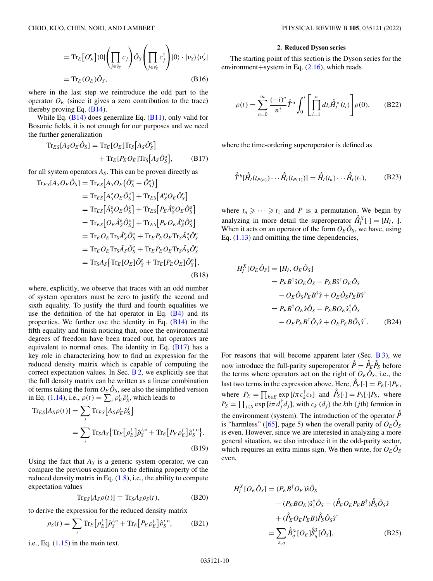<span id="page-9-0"></span>
$$
= \mathrm{Tr}_{E} \big[ O_{E}^{\mathbf{e}} \big] \langle 0 | \bigg( \prod_{j \in \tilde{v}_{S}} c_{j} \bigg) \hat{O}_{S} \bigg( \prod_{j \in v_{S}'} c_{j}^{\dagger} \bigg) |0\rangle \cdot |v_{S}\rangle \langle v_{S}' |
$$
  

$$
= \mathrm{Tr}_{E} (O_{E}) \hat{O}_{S}, \qquad (B16)
$$

where in the last step we reintroduce the odd part to the operator  $O_E$  (since it gives a zero contribution to the trace) thereby proving Eq.  $(B14)$ .

While Eq.  $(B14)$  does generalize Eq.  $(B11)$ , only valid for Bosonic fields, it is not enough for our purposes and we need the further generalization

$$
\begin{aligned} \text{Tr}_{ES}[A_S O_E \hat{O}_S] &= \text{Tr}_E[O_E] \text{Tr}_S[A_S \hat{O}_S^e] \\ &+ \text{Tr}_E[P_E O_E] \text{Tr}_S[A_S \hat{O}_S^o], \end{aligned} \tag{B17}
$$

for all system operators  $A<sub>S</sub>$ . This can be proven directly as

$$
\begin{split}\n\text{Tr}_{ES}[A_{S}O_{E}\hat{O}_{S}] &= \text{Tr}_{ES}[A_{S}O_{E}(\hat{O}_{S}^{e} + \hat{O}_{S}^{o})] \\
&= \text{Tr}_{ES}[A_{S}^{e}O_{E}\hat{O}_{S}^{e}] + \text{Tr}_{ES}[A_{S}^{o}O_{E}\hat{O}_{S}^{o}] \\
&= \text{Tr}_{ES}[\hat{A}_{S}^{e}O_{E}\hat{O}_{S}^{e}] + \text{Tr}_{ES}[P_{E}\hat{A}_{S}^{o}O_{E}\hat{O}_{S}^{o}] \\
&= \text{Tr}_{ES}[O_{E}\hat{A}_{S}^{e}\hat{O}_{S}^{e}] + \text{Tr}_{ES}[P_{E}O_{E}\hat{A}_{S}^{o}\hat{O}_{S}^{o}] \\
&= \text{Tr}_{E}O_{E}\text{Tr}_{S}\hat{A}_{S}^{e}\hat{O}_{S}^{e} + \text{Tr}_{E}P_{E}O_{E}\text{Tr}_{S}\hat{A}_{S}^{o}\hat{O}_{S}^{o} \\
&= \text{Tr}_{E}O_{E}\text{Tr}_{S}\hat{A}_{S}\hat{O}_{S}^{e} + \text{Tr}_{E}P_{E}O_{E}\text{Tr}_{S}\hat{A}_{S}\hat{O}_{S}^{o} \\
&= \text{Tr}_{S}A_{S}\{\text{Tr}_{E}[O_{E}]\hat{O}_{S}^{e} + \text{Tr}_{E}[P_{E}O_{E}]\hat{O}_{S}^{o}\},\n\end{split}
$$
\n(B18)

where, explicitly, we observe that traces with an odd number of system operators must be zero to justify the second and sixth equality. To justify the third and fourth equalities we use the definition of the hat operator in Eq.  $(B4)$  and its properties. We further use the identity in Eq.  $(B14)$  in the fifth equality and finish noticing that, once the environmental degrees of freedom have been traced out, hat operators are equivalent to normal ones. The identity in Eq. (B17) has a key role in characterizing how to find an expression for the reduced density matrix which is capable of computing the correct expectation values. In Sec.  $B_2$ , we explicitly see that the full density matrix can be written as a linear combination of terms taking the form  $O_E \hat{O}_S$ , see also the simplified version in Eq. [\(1.14\)](#page-2-0), i.e.,  $\rho(t) = \sum_i \rho_E^i \hat{\rho}_S^i$ , which leads to

$$
\begin{split} \text{Tr}_{ES}[A_S \rho(t)] &= \sum_i \text{Tr}_{ES}[A_S \rho_E^i \hat{\rho}_S^i] \\ &= \sum_i \text{Tr}_S A_S \{ \text{Tr}_E \big[ \rho_E^i \big] \hat{\rho}_S^{i,e} + \text{Tr}_E \big[ P_E \rho_E^i \big] \hat{\rho}_S^{i,o} \}. \end{split} \tag{B19}
$$

Using the fact that  $A<sub>S</sub>$  is a generic system operator, we can compare the previous equation to the defining property of the reduced density matrix in Eq.  $(1.8)$ , i.e., the ability to compute expectation values

$$
Tr_{ES}[A_S \rho(t)] \equiv Tr_S A_S \rho_S(t), \qquad (B20)
$$

to derive the expression for the reduced density matrix

$$
\rho_S(t) = \sum_i \text{Tr}_E \left[ \rho_E^i \right] \hat{\rho}_S^{i,e} + \text{Tr}_E \left[ P_E \rho_E^i \right] \hat{\rho}_S^{i,o}, \tag{B21}
$$

i.e., Eq.  $(1.15)$  in the main text.

#### **2. Reduced Dyson series**

The starting point of this section is the Dyson series for the environment+system in Eq. [\(2.16\)](#page-2-0), which reads

$$
\rho(t) = \sum_{n=0}^{\infty} \frac{(-i)^n}{n!} \hat{T}^{\text{b}} \int_0^t \left[ \prod_{i=1}^n dt_i \hat{H}_i^{\text{x}}(t_i) \right] \rho(0), \qquad (B22)
$$

where the time-ordering superoperator is defined as

$$
\hat{\hat{T}}^{b}[\hat{H}_{I}(t_{P(n)})\cdots\hat{H}_{I}(t_{P(1)})] = \hat{H}_{I}(t_{n})\cdots\hat{H}_{I}(t_{1}),
$$
(B23)

where  $t_n \geqslant \cdots \geqslant t_1$  and *P* is a permutation. We begin by analyzing in more detail the superoperator  $\hat{H}_I^X[\cdot] = [H_I, \cdot]$ . When it acts on an operator of the form  $O_E \hat{O}_S$ , we have, using Eq.  $(1.13)$  and omitting the time dependencies,

$$
H_I^X[O_E\hat{O}_S] = [H_I, O_E\hat{O}_S]
$$
  
=  $P_E B^{\dagger} \delta O_E \hat{O}_S - P_E B \delta^{\dagger} O_E \hat{O}_S$   

$$
- O_E \hat{O}_S P_E B^{\dagger} \hat{s} + O_E \hat{O}_S P_E B \hat{s}^{\dagger}
$$
  
=  $P_E B^{\dagger} O_E \hat{s} \hat{O}_S - P_E B O_E \hat{s}_1^{\dagger} \hat{O}_S$   

$$
- O_E P_E B^{\dagger} \hat{O}_S \hat{s} + O_E P_E B \hat{O}_S \hat{s}^{\dagger}. \qquad (B24)
$$

For reasons that will become apparent later (Sec.  $\overline{B}$  3), we now introduce the full-parity superoperator  $\hat{P} = \hat{P}_E \hat{P}_S$  before the terms where operators act on the right of  $O_E \hat{O}_S$ , i.e., the last two terms in the expression above. Here,  $\hat{P}_E[\cdot] = P_E[\cdot]P_E$ , where  $P_E = \prod_{k \in E} \exp[i\pi c_k^{\dagger} c_k]$  and  $\hat{P}_S[\cdot] = P_S[\cdot]P_S$ , where  $P_S = \prod_{j \in S} \exp[i\pi d_j^{\dagger} d_j]$ , with  $c_k$  (*d<sub>j</sub>*) the *k*th (*j*th) fermion in the environment (system). The introduction of the operator  $\hat{P}$ is "harmless" ([\[65\]](#page-26-0), page 5) when the overall parity of  $O_E\hat{O}_S$ is even. However, since we are interested in analyzing a more general situation, we also introduce it in the odd-parity sector, which requires an extra minus sign. We then write, for  $O_E O_S$ even,

$$
H_I^X[O_E\hat{O}_S] = (P_E B^{\dagger} O_E)\hat{s}\hat{O}_S
$$
  
\n
$$
- (P_E B O_E)\hat{s}_1^{\dagger} \hat{O}_S - (\hat{P}_E O_E P_E B^{\dagger})\hat{P}_S \hat{O}_S \hat{s}
$$
  
\n
$$
+ (\hat{P}_E O_E P_E B) \hat{P}_S \hat{O}_S \hat{s}^{\dagger}
$$
  
\n
$$
= \sum_{\lambda, q} \hat{B}_q^{\lambda} [O_E] \hat{S}_q^{\bar{\lambda}} [\hat{O}_S],
$$
 (B25)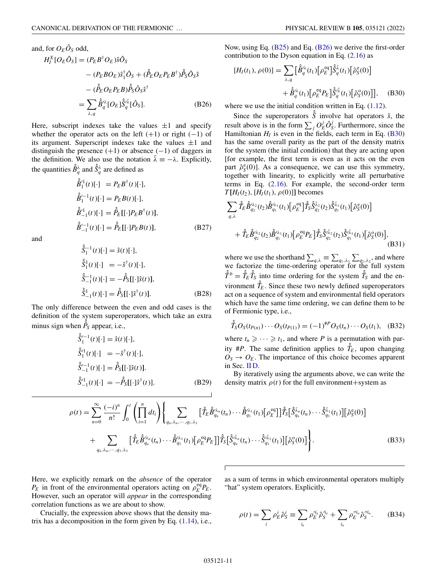<span id="page-10-0"></span>and, for  $O_E \hat{O}_S$  odd,

$$
H_I^X[O_E \hat{O}_S] = (P_E B^{\dagger} O_E) \hat{s} \hat{O}_S
$$
  
\n
$$
- (P_E B O_E) \hat{s}_1^{\dagger} \hat{O}_S + (\hat{P}_E O_E P_E B^{\dagger}) \hat{P}_S \hat{O}_S \hat{s}
$$
  
\n
$$
- (\hat{P}_E O_E P_E B) \hat{P}_S \hat{O}_S \hat{s}^{\dagger}
$$
  
\n
$$
= \sum_{\lambda, q} \hat{B}_q^{\lambda \lambda} [O_E] \hat{S}_q^{\lambda \bar{\lambda}} [\hat{O}_S].
$$
 (B26)

Here, subscript indexes take the values  $\pm 1$  and specify whether the operator acts on the left  $(+1)$  or right  $(-1)$  of its argument. Superscript indexes take the values  $\pm 1$  and distinguish the presence  $(+1)$  or absence  $(-1)$  of daggers in the definition. We also use the notation  $\bar{\lambda} \equiv -\lambda$ . Explicitly, the quantities  $\hat{B}_q^{\lambda}$  and  $\hat{S}_q^{\lambda}$  are defined as

$$
\hat{B}_{1}^{\prime 1}(t)[\cdot] = P_{E}B^{\dagger}(t)[\cdot],\n\hat{B}_{1}^{\prime -1}(t)[\cdot] = P_{E}B(t)[\cdot],\n\hat{B}_{-1}^{\prime 1}(t)[\cdot] = \hat{P}_{E}[[\cdot]P_{E}B^{\dagger}(t)],\n\hat{B}_{-1}^{\prime -1}(t)[\cdot] = \hat{P}_{E}[[\cdot]P_{E}B(t)],
$$
\n(B27)

and

$$
\hat{\delta}_1^{-1}(t)[\cdot] = \hat{s}(t)[\cdot],\n\hat{\delta}_1^1(t)[\cdot] = -\hat{s}^\dagger(t)[\cdot],\n\hat{\delta}_{-1}^{-1}(t)[\cdot] = -\hat{P}_S[[\cdot]\hat{s}(t)],\n\hat{\delta}_{-1}^1(t)[\cdot] = \hat{P}_S[[\cdot]\hat{s}^\dagger(t)].
$$
\n(B28)

The only difference between the even and odd cases is the definition of the system superoperators, which take an extra minus sign when  $\hat{P}_s$  appear, i.e.,

$$
\hat{S}'^{-1}(t)[\cdot] = \hat{s}(t)[\cdot],
$$
  
\n
$$
\hat{S}'^{1}(t)[\cdot] = -\hat{s}^{\dagger}(t)[\cdot],
$$
  
\n
$$
\hat{S}'^{-1}(t)[\cdot] = \hat{P}_{S}[[\cdot]\hat{s}(t)].
$$
  
\n
$$
\hat{S}^{\prime 1}_{-1}(t)[\cdot] = -\hat{P}_{S}[[\cdot]\hat{s}^{\dagger}(t)].
$$
\n(B29)

Now, using Eq.  $(B25)$  and Eq.  $(B26)$  we derive the first-order contribution to the Dyson equation in Eq.  $(2.16)$  as

$$
[H_I(t_1), \rho(0)] = \sum_{\lambda, q} \left[ \hat{B}_q^{\lambda}(t_1) \left[ \rho_E^{eq} \right] \hat{S}_q^{\bar{\lambda}}(t_1) \left[ \hat{\rho}_S^{e}(0) \right] \right. \\ \left. + \hat{B}_q^{\lambda}(t_1) \left[ \rho_E^{eq} P_E \right] \hat{S}_q^{\bar{\lambda}}(t_1) \left[ \hat{\rho}_S^{o}(0) \right] \right], \quad (B30)
$$

where we use the initial condition written in Eq.  $(1.12)$ .

Since the superoperators  $\hat{\hat{S}}$  involve hat operators  $\hat{s}$ , the result above is in the form  $\sum_j O_E^j \hat{O}_S^j$ . Furthermore, since the Hamiltonian  $H_I$  is even in the fields, each term in Eq. (B30) has the same overall parity as the part of the density matrix for the system (the initial condition) that they are acting upon [for example, the first term is even as it acts on the even part  $\hat{\rho}_S^e(0)$ ]. As a consequence, we can use this symmetry, together with linearity, to explicitly write all perturbative terms in Eq. [\(2.16\)](#page-2-0). For example, the second-order term *T*  $[H_I(t_2), [H_I(t_1), \rho(0)]]$  becomes

$$
\sum_{q,\lambda} \hat{\hat{T}}_{E} \hat{\hat{B}}_{q_{2}}^{\lambda_{2}}(t_{2}) \hat{\hat{B}}_{q_{1}}^{\lambda_{1}}(t_{1}) \left[\rho_{E}^{\text{eq}}\right] \hat{\hat{T}}_{S} \hat{\hat{S}}_{q_{2}}^{\bar{\lambda}_{2}}(t_{2}) \hat{\hat{S}}_{q_{1}}^{\bar{\lambda}_{1}}(t_{1}) \left[\hat{\rho}_{S}^{\text{e}}(0)\right] + \hat{\hat{T}}_{E} \hat{\hat{B}}_{q_{2}}^{\lambda_{2}}(t_{2}) \hat{\hat{B}}_{q_{1}}^{\lambda_{1}}(t_{1}) \left[\rho_{E}^{\text{eq}} P_{E}\right] \hat{\hat{T}}_{S} \hat{\hat{S}}_{q_{2}}^{\bar{\lambda}_{2}}(t_{2}) \hat{\hat{S}}_{q_{1}}^{\bar{\lambda}_{1}}(t_{1}) \left[\hat{\rho}_{S}^{\text{o}}(0)\right],
$$
\n(B31)

where we use the shorthand  $\sum_{q,\lambda} \equiv \sum_{q_1,\lambda_1} \sum_{q_2,\lambda_2}$ , and where we factorize the time-ordering operator for the full system  $\hat{T}^b = \hat{T}_E \hat{T}_S$  into time ordering for the system  $\hat{T}_S$  and the environment  $\hat{\hat{T}}_E$ . Since these two newly defined superoperators act on a sequence of system and environmental field operators which have the same time ordering, we can define them to be of Fermionic type, i.e.,

$$
\hat{I}_S O_S(t_{P(n)}) \cdots O_S(t_{P(1)}) = (-1)^{^{\#P}} O_S(t_n) \cdots O_S(t_1), \quad (B32)
$$

where  $t_n \geqslant \cdots \geqslant t_1$ , and where *P* is a permutation with parity #*P*. The same definition applies to  $\hat{T}_E$ , upon changing  $O_S \rightarrow O_E$ . The importance of this choice becomes apparent in Sec. [II D.](#page-3-0)

By iteratively using the arguments above, we can write the density matrix  $\rho(t)$  for the full environment+system as

$$
\rho(t) = \sum_{n=0}^{\infty} \frac{(-i)^n}{n!} \int_0^t \left( \prod_{i=1}^n dt_i \right) \left\{ \sum_{q_n, \lambda_n, \dots, q_1, \lambda_1} \left[ \hat{T}_E \hat{B}_{q_n}^{\lambda_n}(t_n) \dots \hat{B}_{q_1}^{\lambda_1}(t_1) \left[ \rho_E^{eq} \right] \right] \hat{T}_S \left[ \hat{S}_{q_n}^{\bar{\lambda}_n}(t_n) \dots \hat{S}_{q_1}^{\bar{\lambda}_1}(t_1) \right] \left[ \hat{\rho}_S^e(0) \right] \right. \\ \left. + \sum_{q_n, \lambda_n, \dots, q_1, \lambda_1} \left[ \hat{T}_E \hat{B}_{q_n}^{\lambda_n}(t_n) \dots \hat{B}_{q_1}^{\lambda_1}(t_1) \left[ \rho_E^{eq} P_E \right] \right] \hat{T}_S \left[ \hat{S}_{q_n}^{\bar{\lambda}_n}(t_n) \dots \hat{S}_{q_1}^{\bar{\lambda}_1}(t_1) \right] \left[ \hat{\rho}_S^o(0) \right] \right\}.
$$
 (B33)

Here, we explicitly remark on the *absence* of the operator  $P_E$  in front of the environmental operators acting on  $\rho_E^{eq}P_E$ . However, such an operator will *appear* in the corresponding correlation functions as we are about to show.

Crucially, the expression above shows that the density matrix has a decomposition in the form given by Eq.  $(1.14)$ , i.e., as a sum of terms in which environmental operators multiply "hat" system operators. Explicitly,

$$
\rho(t) = \sum_{i} \rho_E^{i} \hat{\rho}_S^{i} \equiv \sum_{i_e} \rho_E^{\prime i_e} \hat{\rho}_S^{\prime i_e} + \sum_{i_o} \rho_E^{\prime \prime i_o} \hat{\rho}_S^{\prime \prime i_o}.
$$
 (B34)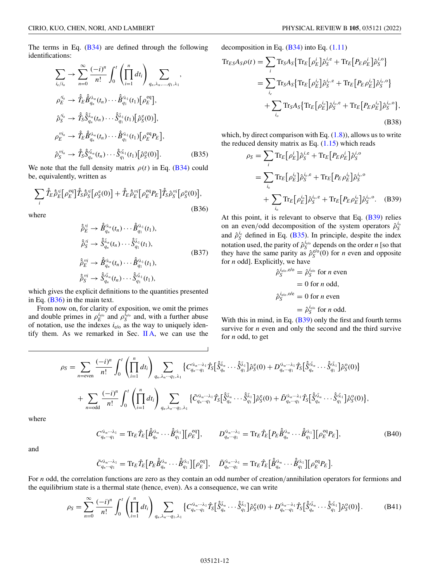<span id="page-11-0"></span>The terms in Eq. [\(B34\)](#page-10-0) are defined through the following identifications:

$$
\sum_{i_{e}/i_{o}} \rightarrow \sum_{n=0}^{\infty} \frac{(-i)^{n}}{n!} \int_{0}^{t} \left( \prod_{i=1}^{n} dt_{i} \right) \sum_{q_{n}, \lambda_{n}, \dots, q_{1}, \lambda_{1}},
$$
\n
$$
\rho_{E}^{\prime i_{e}} \rightarrow \hat{T}_{E} \hat{B}_{q_{n}}^{\prime \lambda_{n}}(t_{n}) \cdots \hat{B}_{q_{1}}^{\prime \lambda_{1}}(t_{1}) \left[ \rho_{E}^{\text{eq}} \right],
$$
\n
$$
\hat{\rho}_{S}^{\prime i_{e}} \rightarrow \hat{T}_{S} \hat{S}_{q_{n}}^{\bar{\lambda}_{n}}(t_{n}) \cdots \hat{S}_{q_{1}}^{\bar{\lambda}_{1}}(t_{1}) \left[ \hat{\rho}_{S}^{\text{e}}(0) \right],
$$
\n
$$
\rho_{E}^{\prime i_{o}} \rightarrow \hat{T}_{E} \hat{B}_{q_{n}}^{\prime \lambda_{n}}(t_{n}) \cdots \hat{B}_{q_{1}}^{\prime \lambda_{1}}(t_{1}) \left[ \rho_{E}^{\text{eq}} P_{E} \right],
$$
\n
$$
\hat{\rho}_{S}^{\prime i_{o}} \rightarrow \hat{T}_{S} \hat{S}_{q_{n}}^{\bar{\lambda}_{n}}(t_{n}) \cdots \hat{S}_{q_{1}}^{\bar{\lambda}_{1}}(t_{1}) \left[ \hat{\rho}_{S}^{\text{e}}(0) \right].
$$
\n(B35)

We note that the full density matrix  $\rho(t)$  in Eq. [\(B34\)](#page-10-0) could be, equivalently, written as

$$
\sum_{i} \hat{\hat{T}}_{E} \hat{\hat{\rho}}_{E}^{\prime i} [\rho_{E}^{\text{eq}}] \hat{\hat{T}}_{S} \hat{\hat{\rho}}_{S}^{\prime i} [\rho_{S}^{\text{e}}(0)] + \hat{\hat{T}}_{E} \hat{\rho}_{E}^{\prime\prime i} [\rho_{E}^{\text{eq}} P_{E}] \hat{\hat{T}}_{S} \hat{\rho}_{S}^{\prime\prime i} [\rho_{S}^{\text{e}}(0)],
$$
\nwhere

\n(B36)

$$
\hat{\hat{\rho}}_E^{\prime i} \rightarrow \hat{\hat{B}}_{q_n}^{\prime \lambda_n}(t_n) \cdots \hat{\hat{B}}_{q_1}^{\prime \lambda_1}(t_1),
$$
\n
$$
\hat{\hat{\rho}}_S^{\prime i} \rightarrow \hat{\hat{S}}_{q_n}^{\bar{\lambda}_n}(t_n) \cdots \hat{\hat{S}}_{q_1}^{\bar{\lambda}_1}(t_1),
$$
\n
$$
\hat{\rho}_E^{\prime \prime i} \rightarrow \hat{\hat{B}}_{q_n}^{\prime \lambda_n}(t_n) \cdots \hat{\hat{B}}_{q_1}^{\prime \lambda_1}(t_1),
$$
\n
$$
\hat{\rho}_S^{\prime \prime i} \rightarrow \hat{\hat{S}}_{q_n}^{\prime \bar{\lambda}_n}(t_n) \cdots \hat{\hat{S}}_{q_1}^{\prime \bar{\lambda}_1}(t_1),
$$
\n(B37)

which gives the explicit definitions to the quantities presented in Eq. (B36) in the main text.

From now on, for clarity of exposition, we omit the primes and double primes in  $\rho_E^{i_{e/o}}$  and  $\rho_S^{i_{e/o}}$  and, with a further abuse of notation, use the indexes  $i_{e/o}$  as the way to uniquely identify them. As we remarked in Sec.  $\mathbb{I}$ A, we can use the

decomposition in Eq. [\(B34\)](#page-10-0) into Eq. [\(1.11\)](#page-2-0)

$$
\begin{split} \text{Tr}_{ES} A_{S} \rho(t) &= \sum_{i} \text{Tr}_{S} A_{S} \{ \text{Tr}_{E} \left[ \rho_{E}^{i} \right] \hat{\rho}_{S}^{i,e} + \text{Tr}_{E} \left[ P_{E} \rho_{E}^{i} \right] \hat{\rho}_{S}^{i,o} \} \\ &= \sum_{i_{e}} \text{Tr}_{S} A_{S} \{ \text{Tr}_{E} \left[ \rho_{E}^{i_{e}} \right] \hat{\rho}_{S}^{i_{e},e} + \text{Tr}_{E} \left[ P_{E} \rho_{E}^{i} \right] \hat{\rho}_{S}^{i_{e},o} \} \\ &+ \sum_{i_{o}} \text{Tr}_{S} A_{S} \{ \text{Tr}_{E} \left[ \rho_{E}^{i_{o}} \right] \hat{\rho}_{S}^{i_{o},e} + \text{Tr}_{E} \left[ P_{E} \rho_{E}^{i_{o}} \right] \hat{\rho}_{S}^{i_{o},o} \}, \end{split} \tag{B38}
$$

which, by direct comparison with Eq.  $(1.8)$ , allows us to write the reduced density matrix as Eq.  $(1.15)$  which reads

$$
\rho_S = \sum_i \text{Tr}_E \left[ \rho_E^i \right] \hat{\rho}_S^{i,e} + \text{Tr}_E \left[ P_E \rho_E^i \right] \hat{\rho}_S^{i,o}
$$
  
= 
$$
\sum_{i_e} \text{Tr}_E \left[ \rho_E^{i_e} \right] \hat{\rho}_S^{i,e} + \text{Tr}_E \left[ P_E \rho_E^{i_e} \right] \hat{\rho}_S^{i,o}
$$
  
+ 
$$
\sum_{i_o} \text{Tr}_E \left[ \rho_E^{i_o} \right] \hat{\rho}_S^{i_o,e} + \text{Tr}_E \left[ P_E \rho_E^{i_o} \right] \hat{\rho}_S^{i_o,o}.
$$
 (B39)

At this point, it is relevant to observe that Eq. (B39) relies on an even/odd decomposition of the system operators  $\hat{\rho}_S^{i_c}$ and  $\hat{\rho}_S^{i_e}$  defined in Eq. (B35). In principle, despite the index notation used, the parity of  $\hat{\rho}_S^{i_{\text{glo}}}$  depends on the order *n* [so that they have the same parity as  $\hat{\rho}_S^{\text{e/o}}(0)$  for *n* even and opposite for *n* odd]. Explicitly, we have

$$
\hat{\rho}_S^{i_{e/o}, e/o} = \hat{\rho}_S^{i_{e/o}}
$$
 for *n* even  
= 0 for *n* odd,  

$$
\hat{\rho}_S^{i_{e/o}, o/o} = 0
$$
 for *n* even  
= 
$$
\hat{\rho}_S^{i_{e/o}}
$$
 for *n* odd.

With this in mind, in Eq. (B39) only the first and fourth terms survive for *n* even and only the second and the third survive for *n* odd, to get

$$
\rho_S = \sum_{n=\text{even}} \frac{(-i)^n}{n!} \int_0^t \left( \prod_{i=1}^n dt_i \right) \sum_{q_n, \lambda_n \cdots q_1, \lambda_1} \left\{ C_{q_n \cdots q_1}^{\lambda_n \cdots \lambda_1} \hat{T}_S \big[ \hat{S}_{q_n}^{\bar{\lambda}_n} \cdots \hat{S}_{q_1}^{\bar{\lambda}_1} \big] \hat{\rho}_S^e(0) + D_{q_n \cdots q_1}^{\lambda_n \cdots \lambda_1} \hat{T}_S \big[ \hat{S}_{q_n}^{\bar{\lambda}_n} \cdots \hat{S}_{q_1}^{\bar{\lambda}_1} \big] \hat{\rho}_S^e(0) \right\} + \sum_{n=\text{odd}} \frac{(-i)^n}{n!} \int_0^t \left( \prod_{i=1}^n dt_i \right) \sum_{q_n, \lambda_n \cdots q_1, \lambda_1} \left\{ \tilde{C}_{q_n \cdots q_1}^{\lambda_n \cdots \lambda_1} \hat{T}_S \big[ \hat{S}_{q_n}^{\bar{\lambda}_n} \cdots \hat{S}_{q_1}^{\bar{\lambda}_1} \big] \hat{\rho}_S^e(0) + \tilde{D}_{q_n \cdots q_1}^{\lambda_n \cdots \lambda_1} \hat{T}_S \big[ \hat{S}_{q_n}^{\bar{\lambda}_n} \cdots \hat{S}_{q_1}^{\bar{\lambda}_1} \big] \hat{\rho}_S^e(0) \right\},
$$

where

$$
C_{q_n\cdots q_1}^{\lambda_n\cdots\lambda_1} = \text{Tr}_E \hat{T}_E \Big[ \hat{B}_{q_n}^{\lambda_n} \cdots \hat{B}_{q_1}^{\lambda_1} \Big] [\rho_E^{eq}], \qquad D_{q_n\cdots q_1}^{\lambda_n\cdots\lambda_1} = \text{Tr}_E \hat{T}_E \Big[ P_E \hat{B}_{q_n}^{\lambda_n} \cdots \hat{B}_{q_1}^{\lambda_1} \Big] [\rho_E^{eq} P_E], \tag{B40}
$$

and

$$
\tilde{C}_{q_n\cdots q_1}^{\prime\lambda_n\cdots\lambda_1}=\mathrm{Tr}_E\hat{T}_E\big[P_E\hat{\hat{B}}_{q_n}^{\prime\lambda_n}\cdots\hat{\hat{B}}_{q_1}^{\prime\lambda_1}\big]\big[\rho_E^{\mathrm{eq}}\big],\quad \tilde{D}_{q_n\cdots q_1}^{\prime\lambda_n\cdots\lambda_1}=\mathrm{Tr}_E\hat{T}_E\big[\hat{\hat{B}}_{q_n}^{\prime\lambda_n}\cdots\hat{\hat{B}}_{q_1}^{\prime\lambda_1}\big]\big[\rho_E^{\mathrm{eq}}P_E\big].
$$

For *n* odd, the correlation functions are zero as they contain an odd number of creation/annihilation operators for fermions and the equilibrium state is a thermal state (hence, even). As a consequence, we can write

$$
\rho_S = \sum_{n=0}^{\infty} \frac{(-i)^n}{n!} \int_0^t \left( \prod_{i=1}^n dt_i \right) \sum_{q_n, \lambda_n \cdots q_1, \lambda_1} \left\{ C_{q_n \cdots q_1}^{\lambda_n \cdots \lambda_1} \hat{T}_S \big[ \hat{S}_{q_n}^{\bar{\lambda}_n} \cdots \hat{S}_{q_1}^{\bar{\lambda}_1} \big] \hat{\rho}_S^{\bar{\bf c}}(0) + D_{q_n \cdots q_1}^{\lambda_n \cdots \lambda_1} \hat{T}_S \big[ \hat{S}_{q_n}^{\bar{\lambda}_n} \cdots \hat{S}_{q_1}^{\bar{\lambda}_1} \big] \hat{\rho}_S^{\bar{\bf c}}(0) \right\}.
$$
 (B41)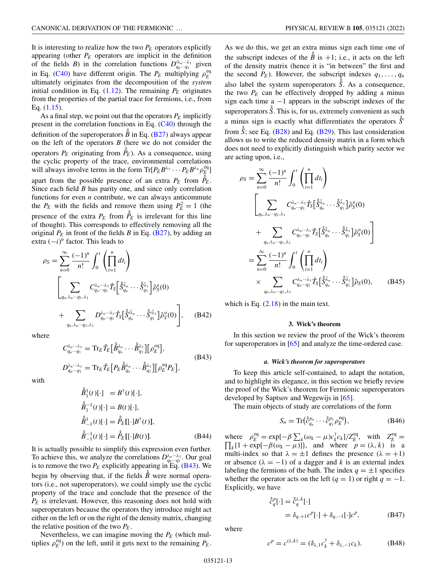<span id="page-12-0"></span>It is interesting to realize how the two  $P_E$  operators explicitly appearing (other  $P_E$  operators are implicit in the definition of the fields *B*) in the correlation functions  $D_{q_n\cdots q_1}^{\lambda_n\cdots\lambda_1}$  given in Eq. [\(C40\)](#page-21-0) have different origin. The  $P_E$  multiplying  $\rho_E^{\text{eq}}$ ultimately originates from the decomposition of the *system* initial condition in Eq.  $(1.12)$ . The remaining  $P_E$  originates from the properties of the partial trace for fermions, i.e., from Eq. [\(1.15\)](#page-2-0).

As a final step, we point out that the operators  $P_E$  implicitly present in the correlation functions in Eq. [\(C40\)](#page-21-0) through the definition of the superoperators  $\hat{\hat{B}}$  in Eq. [\(B27\)](#page-10-0) always appear on the left of the operators *B* (here we do not consider the operators  $P_E$  originating from  $\hat{P}_E$ ). As a consequence, using the cyclic property of the trace, environmental correlations will always involve terms in the form  $\text{Tr}[P_E B^{\lambda_1} \cdots P_E B^{\lambda_n} \rho_E^{\text{eq}}]$ apart from the possible presence of an extra  $P_E$  from  $\hat{\hat{P}}_E$ . Since each field *B* has parity one, and since only correlation functions for even *n* contribute, we can always anticommute the  $P_E$  with the fields and remove them using  $P_E^2 = 1$  (the presence of the extra  $P_E$  from  $\hat{P}_E$  is irrelevant for this line of thought). This corresponds to effectively removing all the original  $P_E$  in front of the fields *B* in Eq. [\(B27\)](#page-10-0), by adding an extra (−*i*) *<sup>n</sup>* factor. This leads to

$$
\rho_S = \sum_{n=0}^{\infty} \frac{(-1)^n}{n!} \int_0^t \left( \prod_{i=1}^n dt_i \right)
$$

$$
\left[ \sum_{q_n, \lambda_n \cdots q_1, \lambda_1} C_{q_n \cdots q_1}^{\lambda_n \cdots \lambda_1} \hat{T}_S \left[ \hat{S}_{q_n}^{\bar{\lambda}_n} \cdots \hat{S}_{q_1}^{\bar{\lambda}_1} \right] \hat{\rho}_S^{\text{c}}(0)
$$

$$
+ \sum_{q_n, \lambda_n \cdots q_1, \lambda_1} D_{q_n \cdots q_1}^{\lambda_n \cdots \lambda_1} \hat{T}_S \left[ \hat{S}_{q_n}^{\bar{\lambda}_n} \cdots \hat{S}_{q_1}^{\bar{\lambda}_1} \right] \hat{\rho}_S^{\text{o}}(0) \right], \quad (B42)
$$

where

$$
C_{q_n\cdots q_1}^{\lambda_n\cdots\lambda_1} = \operatorname{Tr}_E \hat{T}_E \big[\hat{B}_{q_n}^{\lambda_n} \cdots \hat{B}_{q_1}^{\lambda_1}\big] \big[\rho_E^{\text{eq}}\big],
$$
  
\n
$$
D_{q_n\cdots q_1}^{\lambda_n\cdots\lambda_1} = \operatorname{Tr}_E \hat{T}_E \big[P_E \hat{B}_{q_n}^{\lambda_n} \cdots \hat{B}_{q_1}^{\lambda_1}\big] \big[\rho_E^{\text{eq}} P_E\big],
$$
\n(B43)

with

$$
\hat{B}_1^1(t)[\cdot] = B^{\dagger}(t)[\cdot], \n\hat{B}_1^{-1}(t)[\cdot] = B(t)[\cdot], \n\hat{B}_{-1}^1(t)[\cdot] = \hat{P}_E[[\cdot]B^{\dagger}(t)], \n\hat{B}_{-1}^{-1}(t)[\cdot] = \hat{P}_E[[\cdot]B(t)].
$$
\n(B44)

It is actually possible to simplify this expression even further. To achieve this, we analyze the correlations  $D_{q_n \cdots q_1}^{\lambda_n \cdots \lambda_1}$ . Our goal is to remove the two  $P_E$  explicitly appearing in  $E_q$ . (B43). We begin by observing that, if the fields  $\hat{\hat{B}}$  were normal operators (i.e., not superoperators), we could simply use the cyclic property of the trace and conclude that the presence of the  $P_F$  is irrelevant. However, this reasoning does not hold with superoperators because the operators they introduce might act either on the left or on the right of the density matrix, changing the relative position of the two  $P_E$ .

Nevertheless, we can imagine moving the  $P_E$  (which multiplies  $\rho_E^{\text{eq}}$ ) on the left, until it gets next to the remaining  $P_E$ .

As we do this, we get an extra minus sign each time one of the subscript indexes of the  $\hat{B}$  is +1; i.e., it acts on the left of the density matrix (hence it is "in between" the first and the second  $P_E$ ). However, the subscript indexes  $q_1, \ldots, q_n$ also label the system superoperators  $\hat{\hat{S}}$ . As a consequence, the two  $P_E$  can be effectively dropped by adding a minus sign each time a −1 appears in the subscript indexes of the superoperators  $\hat{\hat{S}}$ . This is, for us, extremely convenient as such a minus sign is exactly what differentiates the operators  $\hat{S}$ <sup>*'*</sup> from  $\hat{\hat{S}}$ ; see Eq. [\(B28\)](#page-10-0) and Eq. [\(B29\)](#page-10-0). This last consideration allows us to write the reduced density matrix in a form which does not need to explicitly distinguish which parity sector we are acting upon, i.e.,

$$
\rho_S = \sum_{n=0}^{\infty} \frac{(-1)^n}{n!} \int_0^t \left( \prod_{i=1}^n dt_i \right)
$$
  

$$
\left[ \sum_{q_n, \lambda_n \cdots q_1, \lambda_1} C_{q_n \cdots q_1}^{\lambda_n \cdots \lambda_1} \hat{T}_S \left[ \hat{S}_{q_n}^{\bar{\lambda}_n} \cdots \hat{S}_{q_1}^{\bar{\lambda}_1} \right] \hat{\rho}_S^{\varepsilon}(0)
$$
  

$$
+ \sum_{q_n, \lambda_n \cdots q_1, \lambda_1} C_{q_n \cdots q_1}^{\lambda_n \cdots \lambda_1} \hat{T}_S \left[ \hat{S}_{q_n}^{\bar{\lambda}_n} \cdots \hat{S}_{q_1}^{\bar{\lambda}_1} \right] \hat{\rho}_S^{\varepsilon}(0)
$$
  

$$
= \sum_{n=0}^{\infty} \frac{(-1)^n}{n!} \int_0^t \left( \prod_{i=1}^n dt_i \right)
$$
  

$$
\times \sum_{q_n, \lambda_n \cdots q_1, \lambda_1} C_{q_n \cdots q_1}^{\lambda_n \cdots \lambda_1} \hat{T}_S \left[ \hat{S}_{q_n}^{\bar{\lambda}_n} \cdots \hat{S}_{q_1}^{\bar{\lambda}_1} \right] \hat{\rho}_S(0), \qquad (B45)
$$

which is Eq.  $(2.18)$  in the main text.

#### **3. Wick's theorem**

In this section we review the proof of the Wick's theorem for superoperators in [\[65\]](#page-26-0) and analyze the time-ordered case.

#### *a. Wick's theorem for superoperators*

To keep this article self-contained, to adapt the notation, and to highlight its elegance, in this section we briefly review the proof of the Wick's theorem for Fermionic superoperators developed by Saptsov and Wegewijs in [\[65\]](#page-26-0).

The main objects of study are correlations of the form

$$
S_n = \text{Tr}\left(\hat{c}_{q_n}^{p_n} \cdots \hat{c}_{q_1}^{p_1} \rho_E^{eq}\right),\tag{B46}
$$

where  $\rho_E^{\text{eq}} = \exp[-\beta \sum_k (\omega_k - \mu) c_k^{\dagger} c_k]/Z_E^{\text{eq}}, \text{ with } Z_E^{\text{eq}} =$  $\prod_k \{1 + \exp[-\beta(\omega_k - \mu)]\}$ , and where  $p = (\lambda, k)$  is a multi-index so that  $\lambda = \pm 1$  defines the presence  $(\lambda = +1)$ or absence  $(\lambda = -1)$  of a dagger and *k* is an external index labeling the fermions of the bath. The index  $q = \pm 1$  specifies whether the operator acts on the left  $(q = 1)$  or right  $q = -1$ . Explicitly, we have

$$
\begin{aligned} \hat{\mathcal{C}}_q^p[\cdot] &= \hat{\mathcal{C}}_q^{\lambda,k}[\cdot] \\ &= \delta_{q,+1} c^p[\cdot] + \delta_{q,-1}[\cdot] c^p, \end{aligned} \tag{B47}
$$

where

$$
c^{p} = c^{(\lambda, k)} = (\delta_{\lambda, 1} c_{k}^{\dagger} + \delta_{\lambda, -1} c_{k}).
$$
 (B48)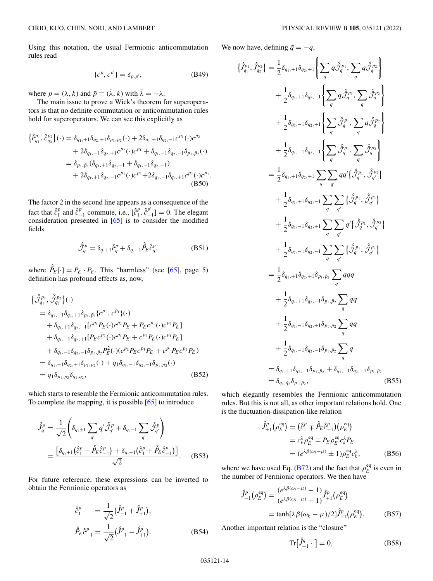<span id="page-13-0"></span>Using this notation, the usual Fermionic anticommutation rules read

$$
\{c^p, c^{p'}\} = \delta_{p, \bar{p}'},\tag{B49}
$$

where  $p = (\lambda, k)$  and  $\bar{p} \equiv (\bar{\lambda}, k)$  with  $\bar{\lambda} = -\lambda$ .

The main issue to prove a Wick's theorem for superoperators is that no definite commutation or anticommutation rules hold for superoperators. We can see this explicitly as

$$
\begin{split} \left\{ \hat{\hat{c}}_{q_1}^{p_1}, \hat{\hat{c}}_{q_2}^{p_2} \right\} (\cdot) &= \delta_{q_1, +1} \delta_{q_2, +1} \delta_{p_1, \bar{p}_2} (\cdot) + 2 \delta_{q_1, +1} \delta_{q_2, -1} c^{p_1} (\cdot) c^{p_2} \\ &+ 2 \delta_{q_1, -1} \delta_{q_2, +1} c^{p_2} (\cdot) c^{p_1} + \delta_{q_1, -1} \delta_{q_2, -1} \delta_{p_1, \bar{p}_2} (\cdot) \\ &= \delta_{p_1, \bar{p}_2} (\delta_{q_1, +1} \delta_{q_2, +1} + \delta_{q_1, -1} \delta_{q_2, -1}) \\ &+ 2 \delta_{q_1, +1} \delta_{q_2, -1} c^{p_1} (\cdot) c^{p_2} + 2 \delta_{q_1, -1} \delta_{q_2, +1} c^{p_2} (\cdot) c^{p_1} . \end{split} \tag{B50}
$$

The factor 2 in the second line appears as a consequence of the fact that  $\hat{c}_1^p$  and  $\hat{c}_{-1}^{p'}$  commute, i.e.,  $[\hat{c}_1^p, \hat{c}_{-1}^{p'}] = 0$ . The elegant consideration presented in [\[65\]](#page-26-0) is to consider the modified fields

$$
\hat{\hat{\mathcal{J}}}_q^p = \delta_{q,+1} \hat{c}_q^p + \delta_{q,-1} \hat{P}_E \hat{c}_q^p, \tag{B51}
$$

where  $\hat{P}_E[\cdot] = P_E \cdot P_E$ . This "harmless" (see [\[65\]](#page-26-0), page 5) definition has profound effects as, now,

$$
\begin{aligned}\n&\{\hat{\mathcal{J}}_{q_1}^{p_1}, \hat{\mathcal{J}}_{q_2}^{p_2}\}(\cdot) \\
&= \delta_{q_1,+1}\delta_{q_2,+1}\delta_{p_1,\bar{p}_2}\{c^{p_1}, c^{\bar{p}_1}\}(\cdot) \\
&+ \delta_{q_1,+1}\delta_{q_2,-1}[c^{p_1}P_E(\cdot)c^{p_2}P_E + P_E c^{p_1}(\cdot)c^{p_2}P_E] \\
&+ \delta_{q_1,-1}\delta_{q_2,+1}[P_E c^{p_2}(\cdot)c^{p_1}P_E + c^{p_2}P_E(\cdot)c^{p_1}P_E] \\
&+ \delta_{q_1,-1}\delta_{q_2,-1}\delta_{p_1,\bar{p}_2}P_E^2(\cdot)(c^{p_2}P_E c^{\bar{p}_1}P_E + c^{p_1}P_E c^{\bar{p}_2}P_E) \\
&= \delta_{q_1,+1}\delta_{q_2,+1}\delta_{p_1,\bar{p}_2}(\cdot) + q_1\delta_{q_1,-1}\delta_{q_2,-1}\delta_{p_1,\bar{p}_2}(\cdot) \\
&= q_1\delta_{p_1,\bar{p}_2}\delta_{q_1,q_2},\n\end{aligned}
$$
(B52)

which starts to resemble the Fermionic anticommutation rules. To complete the mapping, it is possible [\[65\]](#page-26-0) to introduce

$$
\hat{\hat{J}}_{q}^{p} = \frac{1}{\sqrt{2}} \left( \delta_{q,+1} \sum_{q'} q' \hat{\hat{\mathcal{J}}}_{q'}^{p} + \delta_{q,-1} \sum_{q'} \hat{\hat{\mathcal{J}}}_{q'}^{p} \right)
$$
\n
$$
= \frac{\left[ \delta_{q,+1} \left( \hat{\hat{c}}_{1}^{p} - \hat{\hat{P}}_{E} \hat{\hat{c}}_{-1}^{p} \right) + \delta_{q,-1} \left( \hat{\hat{c}}_{1}^{p} + \hat{\hat{P}}_{E} \hat{\hat{c}}_{-1}^{p} \right) \right]}{\sqrt{2}}.
$$
\n(B53)

For future reference, these expressions can be inverted to obtain the Fermionic operators as

$$
\hat{\hat{c}}_1^p = \frac{1}{\sqrt{2}} (\hat{J}_{-1}^p + \hat{J}_{+1}^p), \n\hat{P}_E \hat{c}_{-1}^p = \frac{1}{\sqrt{2}} (\hat{J}_{-1}^p - \hat{J}_{+1}^p).
$$
\n(B54)

 $\mathbf{r}$ 

We now have, defining  $\bar{q} = -q$ ,

$$
\{\hat{J}_{q_{1}}^{p_{1}}, \hat{J}_{q_{2}}^{p_{2}}\} = \frac{1}{2}\delta_{q_{1},+1}\delta_{q_{2},+1}\left\{\sum_{q} q\hat{J}_{q}^{p_{1}}, \sum_{q} q\hat{J}_{q}^{p_{2}}\right\}\n+ \frac{1}{2}\delta_{q_{1},+1}\delta_{q_{2},-1}\left\{\sum_{q} q\hat{J}_{q}^{p_{1}}, \sum_{q} \hat{J}_{q}^{p_{2}}\right\}\n+ \frac{1}{2}\delta_{q_{1},-1}\delta_{q_{2},+1}\left\{\sum_{q} \hat{J}_{q}^{p_{1}}, \sum_{q} q\hat{J}_{q}^{p_{2}}\right\}\n+ \frac{1}{2}\delta_{q_{1},-1}\delta_{q_{2},-1}\left\{\sum_{q} \hat{J}_{q}^{p_{1}}, \sum_{q} q\hat{J}_{q}^{p_{2}}\right\}\n= \frac{1}{2}\delta_{q_{1},+1}\delta_{q_{2},+1}\sum_{q} \sum_{q'} qq'\left\{\hat{J}_{q}^{p_{1}}, \hat{J}_{q'}^{p_{2}}\right\}\n+ \frac{1}{2}\delta_{q_{1},+1}\delta_{q_{2},-1}\sum_{q} \sum_{q'} \left\{\hat{J}_{q}^{p_{1}}, \hat{J}_{q'}^{p_{2}}\right\}\n+ \frac{1}{2}\delta_{q_{1},-1}\delta_{q_{2},-1}\sum_{q} \sum_{q'} \left\{\hat{J}_{q}^{p_{1}}, \hat{J}_{q'}^{p_{2}}\right\}\n+ \frac{1}{2}\delta_{q_{1},-1}\delta_{q_{2},-1}\sum_{q} \sum_{q'} \left\{\hat{J}_{q}^{p_{1}}, \hat{J}_{q'}^{p_{2}}\right\}\n+ \frac{1}{2}\delta_{q_{1},-1}\delta_{q_{2},-1}\sum_{q} \sum_{q'} \left\{\hat{J}_{q}^{p_{1}}, \hat{J}_{q'}^{p_{2}}\right\}\n+ \frac{1}{2}\delta_{q_{1},+1}\delta_{q_{2},-1}\sum_{p_{1},\bar{p}_{2}} \sum_{q} qq\n+ \frac{1}{2}\delta_{q_{1},+1}\delta_{q_{2},-1}\delta_{p_{1},\bar{p}_{2}}\sum_{q} qq\n+ \frac{1}{
$$

which elegantly resembles the Fermionic anticommutation rules. But this is not all, as other important relations hold. One is the fluctuation-dissipation-like relation

$$
\hat{J}_{\pm 1}^p (\rho_E^{\text{eq}}) = (\hat{c}_1^p \mp \hat{P}_E \hat{c}_{-1}^p) (\rho_E^{\text{eq}})
$$
  
\n
$$
= c_k^{\lambda} \rho_E^{\text{eq}} \mp P_E \rho_E^{\text{eq}} c_k^{\lambda} P_E
$$
  
\n
$$
= (e^{\lambda \beta(\omega_k - \mu)} \pm 1) \rho_E^{\text{eq}} c_k^{\lambda}, \qquad (B56)
$$

where we have used Eq. [\(B72\)](#page-15-0) and the fact that  $\rho_E^{\text{eq}}$  is even in the number of Fermionic operators. We then have

$$
\hat{J}_{-1}^{p}(\rho_{E}^{\text{eq}}) = \frac{(e^{\lambda \beta(\omega_{k} - \mu)} - 1)}{(e^{\lambda \beta(\omega_{k} - \mu)} + 1)} \hat{J}_{+1}^{p}(\rho_{E}^{\text{eq}})
$$

$$
= \tanh[\lambda \beta(\omega_{k} - \mu)/2] \hat{J}_{+1}^{p}(\rho_{E}^{\text{eq}}).
$$
(B57)

Another important relation is the "closure"

$$
\operatorname{Tr}\bigl[\hat{J}_{+1}^q \cdot \bigr] = 0,\tag{B58}
$$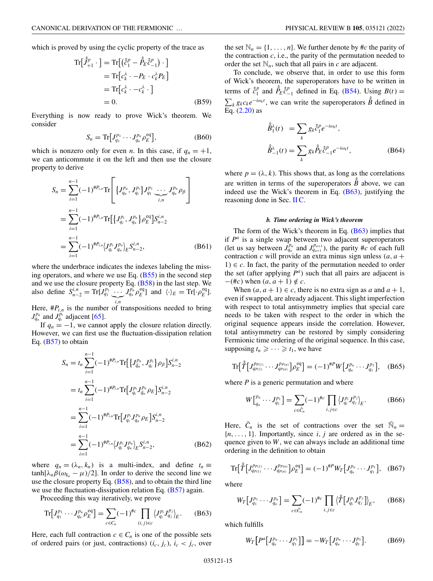<span id="page-14-0"></span>which is proved by using the cyclic property of the trace as

$$
\operatorname{Tr}\left[\hat{J}_{+1}^{p} \cdot \right] = \operatorname{Tr}\left[\left(\hat{c}_{1}^{p} - \hat{P}_{E}\hat{c}_{-1}^{p}\right) \cdot \right]
$$

$$
= \operatorname{Tr}\left[c_{k}^{\lambda} \cdot -P_{E} \cdot c_{k}^{\lambda} P_{E}\right]
$$

$$
= \operatorname{Tr}\left[c_{k}^{\lambda} \cdot -c_{k}^{\lambda} \cdot \right]
$$

$$
= 0. \tag{B59}
$$

Everything is now ready to prove Wick's theorem. We consider

$$
S_n = \text{Tr}\big[J_{q_1}^{p_1} \cdots J_{q_n}^{p_n} \rho_E^{\text{eq}}\big],\tag{B60}
$$

which is nonzero only for even *n*. In this case, if  $q_n = +1$ , we can anticommute it on the left and then use the closure property to derive

$$
S_n = \sum_{i=1}^{n-1} (-1)^{\#P_{i,n}} \text{Tr} \left[ \{J_{q_n}^{p_n}, J_{q_i}^{p_i}\} J_{q_1}^{p_1} \underbrace{\cdots}_{i,n} J_{q_n}^{p_n} \rho_{\beta} \right]
$$
  
\n
$$
= \sum_{i=1}^{n-1} (-1)^{\#P_{i,n}} \text{Tr} \left[ \{J_{q_i}^{p_i}, J_{q_n}^{p_n}\} \rho_E^{eq} \right] S_{n-2}^{i,n}
$$
  
\n
$$
= \sum_{i=1}^{n-1} (-1)^{\#P_{i,n}} \langle J_{q_i}^{p_i} J_{q_n}^{p_n} \rangle_E S_{n-2}^{i,n}, \qquad (B61)
$$

where the underbrace indicates the indexes labeling the missing operators, and where we use Eq.  $(B55)$  in the second step and we use the closure property Eq.  $(B58)$  in the last step. We also define  $S_{n-2}^{i,n} = \text{Tr}[J_{q_1}^{p_1} \cdots]$  $\sum_{i,n}$  $J_{q_n}^{p_n} \rho_E^{\text{eq}}$ ] and  $\langle \cdot \rangle_E = \text{Tr}[\cdot \rho_E^{\text{eq}}]$ .

Here,  $\#P_{i,n}$  is the number of transpositions needed to bring  $J_{q_n}^{p_n}$  and  $J_{q_i}^{p_i}$  adjacent [\[65\]](#page-26-0).

If  $q_n = -1$ , we cannot apply the closure relation directly. However, we can first use the fluctuation-dissipation relation Eq.  $(B57)$  to obtain

$$
S_n = t_n \sum_{i=1}^{n-1} (-1)^{\#P_{i,n}} \text{Tr} \Big[ \{ J_{\bar{q}_n}^{P_n}, J_{q_i}^{P_i} \} \rho_\beta \Big] S_{n-2}^{i,n}
$$
  
\n
$$
= t_n \sum_{i=1}^{n-1} (-1)^{\#P_{i,n}} \text{Tr} \Big[ J_{q_i}^{P_i} J_{\bar{q}_n}^{P_n} \rho_E \Big] S_{n-2}^{i,n}
$$
  
\n
$$
= \sum_{i=1}^{n-1} (-1)^{\#P_{i,n}} \text{Tr} \Big[ J_{q_i}^{P_i} J_{q_n}^{P_n} \rho_E \Big] S_{n-2}^{i,n}
$$
  
\n
$$
= \sum_{i=1}^{n-1} (-1)^{\#P_{i,n}} \langle J_{q_i}^{P_i} J_{q_n}^{P_n} \rangle_E S_{n-2}^{i,n}, \qquad (B62)
$$

where  $q_n = (\lambda_n, k_n)$  is a multi-index, and define  $t_n \equiv$  $\tanh[\lambda_n \beta(\omega_k - \mu)/2]$ . In order to derive the second line we use the closure property Eq.  $(B58)$ , and to obtain the third line we use the fluctuation-dissipation relation Eq. [\(B57\)](#page-13-0) again.

Proceeding this way iteratively, we prove

$$
\text{Tr}\big[J_{q_1}^{p_1}\cdots J_{q_n}^{p_n}\rho_E^{eq}\big] = \sum_{c\in C_n} (-1)^{\#c} \prod_{(i,j)\in c} \left\langle J_{q_i}^{p_i} J_{q_j}^{p_j} \right\rangle_E. \tag{B63}
$$

Here, each full contraction  $c \in C_n$  is one of the possible sets of ordered pairs (or just, contractions)  $(i_c, j_c)$ ,  $i_c < j_c$ , over the set  $\mathbb{N}_n = \{1, \ldots, n\}$ . We further denote by #*c* the parity of the contraction  $c$ , i.e., the parity of the permutation needed to order the set  $\mathbb{N}_n$ , such that all pairs in *c* are adjacent.

To conclude, we observe that, in order to use this form of Wick's theorem, the superoperators have to be written in terms of  $\hat{c}_1^p$  and  $\hat{P}_E \hat{c}_{-1}^p$  defined in Eq. [\(B54\)](#page-13-0). Using  $B(t) =$  $\sum_{k} g_{k} c_{k} e^{-i\omega_{k}t}$ , we can write the superoperators  $\hat{\hat{B}}$  defined in  $E_1^k$  [\(2.20\)](#page-3-0) as

$$
\hat{\hat{B}}_1^{\lambda}(t) = \sum_{k} g_k \hat{c}_1^p e^{-i\omega_k t},
$$
  

$$
\hat{\hat{B}}_{-1}^{\lambda}(t) = \sum_{k} g_k \hat{P}_E \hat{c}_{-1}^p e^{-i\omega_k t},
$$
 (B64)

where  $p = (\lambda, k)$ . This shows that, as long as the correlations are written in terms of the superoperators  $\hat{\hat{B}}$  above, we can indeed use the Wick's theorem in Eq. (B63), justifying the reasoning done in Sec. [II C.](#page-3-0)

#### *b. Time ordering in Wick's theorem*

The form of the Wick's theorem in Eq.  $(B63)$  implies that if *P<sup>a</sup>* is a single swap between two adjacent superoperators (let us say between  $J_{q_a}^{p_a}$  and  $J_{q_{a+1}}^{p_{a+1}}$ ), the parity #*c* of each full contraction *c* will provide an extra minus sign unless  $(a, a +$ 1)  $∈ c$ . In fact, the parity of the permutation needed to order the set (after applying  $P^a$ ) such that all pairs are adjacent is  $-(\#c)$  when  $(a, a + 1) \notin c$ .

When  $(a, a + 1) \in c$ , there is no extra sign as a and  $a + 1$ , even if swapped, are already adjacent. This slight imperfection with respect to total antisymmetry implies that special care needs to be taken with respect to the order in which the original sequence appears inside the correlation. However, total antisymmetry can be restored by simply considering Fermionic time ordering of the original sequence. In this case, supposing  $t_n \geqslant \cdots \geqslant t_1$ , we have

$$
\operatorname{Tr}\bigl[\hat{T}\bigl[J_{q_{P(1)}}^{p_{P(1)}}\cdots J_{q_{P(n)}}^{p_{P(n)}}\bigr]\rho_E^{eq}\bigr] = (-1)^{\#P}W\bigl[J_{q_n}^{p_n}\cdots J_{q_1}^{p_1}\bigr],\quad (B65)
$$

where  $P$  is a generic permutation and where

$$
W\big[_{q_n}^{p_n} \cdots J_{q_1}^{p_1}\big] = \sum_{c \in \bar{C}_n} (-1)^{\#c} \prod_{i,j \in c} \langle J_{q_i}^{p_i} J_{q_j}^{p_j} \rangle_E.
$$
 (B66)

Here,  $\bar{C}_n$  is the set of contractions over the set  $\bar{N}_n =$  ${n, \ldots, 1}$ . Importantly, since *i*, *j* are ordered as in the sequence given to *W*, we can always include an additional time ordering in the definition to obtain

$$
\operatorname{Tr}\bigl[\hat{T}\bigl[J_{q_{P(1)}}^{p_{P(1)}}\cdots J_{q_{P(n)}}^{p_{P(n)}}\bigr]\rho_E^{\text{eq}}\bigr] = (-1)^{\#P}W_T\bigl[J_{q_n}^{p_n}\cdots J_{q_1}^{p_1}\bigr],\quad (B67)
$$

where

$$
W_T\big[J_{q_1}^{p_1}\cdots J_{q_n}^{p_n}\big] = \sum_{c\in\bar{C}_n} (-1)^{\#c} \prod_{i,j\in c} \langle \hat{T}\big[J_{q_i}^{p_i}J_{q_j}^{p_j}\big]\rangle_E, \qquad (B68)
$$

which fulfills

$$
W_T\big[P^a\big[J_{q_n}^{p_n}\cdots J_{q_1}^{p_1}\big]\big] = -W_T\big[J_{q_n}^{p_n}\cdots J_{q_1}^{p_1}\big].\tag{B69}
$$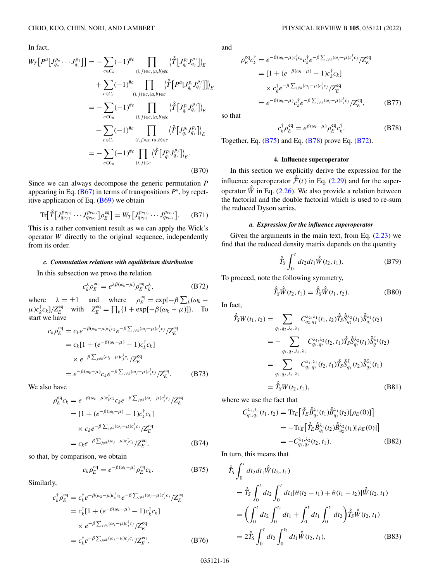<span id="page-15-0"></span>In fact,

$$
W_{T}\left[P^{a}\left[J_{q_{n}}^{p_{n}}\cdots J_{q_{1}}^{p_{1}}\right]\right] = -\sum_{c \in C_{n}} (-1)^{\#c} \prod_{(i,j) \in c,(a,b) \notin c} \langle \hat{T}\left[J_{q_{i}}^{p_{i}}J_{q_{j}}^{p_{j}}\right]\rangle_{E}
$$
  
+ 
$$
\sum_{c \in C_{n}} (-1)^{\#c} \prod_{(i,j) \in c,(a,b) \in c} \langle \hat{T}\left[P^{a}\left[J_{q_{i}}^{p_{i}}J_{q_{j}}^{p_{j}}\right]\right]\rangle_{E}
$$
  
= 
$$
-\sum_{c \in C_{n}} (-1)^{\#c} \prod_{(i,j) \in c,(a,b) \notin c} \langle \hat{T}\left[J_{q_{i}}^{p_{i}}J_{q_{j}}^{p_{j}}\right]\rangle_{E}
$$
  
- 
$$
\sum_{c \in C_{n}} (-1)^{\#c} \prod_{(i,j) \in c,(a,b) \in c} \langle \hat{T}\left[J_{q_{i}}^{p_{i}}J_{q_{j}}^{p_{j}}\right]\rangle_{E}
$$
  
= 
$$
-\sum_{c \in C_{n}} (-1)^{\#c} \prod_{(i,j) \in c} \langle \hat{T}\left[J_{q_{i}}^{p_{i}}J_{q_{j}}^{p_{j}}\right]\rangle_{E}.
$$
  
(B70)

Since we can always decompose the generic permutation *P* appearing in Eq. ( $\overline{B67}$ ) in terms of transpositions  $P^a$ , by repetitive application of Eq.  $(B69)$  we obtain

$$
\text{Tr}\big[\hat{T}\big[J_{q_{P(1)}}^{p_{P(1)}}\cdots J_{q_{P(n)}}^{p_{P(n)}}\big]\rho_E^{\text{eq}}\big] = W_T\big[J_{q_{P(1)}}^{p_{P(1)}}\cdots J_{q_{P(n)}}^{p_{P(n)}}\big].\tag{B71}
$$

This is a rather convenient result as we can apply the Wick's operator *W* directly to the original sequence, independently from its order.

## *c. Commutation relations with equilibrium distribution*

In this subsection we prove the relation

$$
c_k^{\lambda} \rho_E^{\text{eq}} = e^{\lambda \beta(\omega_k - \mu)} \rho_E^{\text{eq}} c_k^{\lambda},\tag{B72}
$$

where  $\lambda = \pm 1$  and where  $\rho_E^{\text{eq}} = \exp[-\beta \sum_k (\omega_k - \lambda_k)$  $\mu$ )*c*<sub>k</sub><sup>†</sup>*c<sub>k</sub>*]/ $Z_E^{\text{eq}}$  with  $Z_E^{\text{eq}} = \prod_k \{1 + \exp[-\beta(\omega_k - \mu)]\}.$  To start we have

$$
c_k \rho_E^{\text{eq}} = c_k e^{-\beta(\omega_k - \mu)c_k^{\dagger} c_k} e^{-\beta \sum_{j \neq k} (\omega_j - \mu)c_j^{\dagger} c_j} / Z_E^{\text{eq}}
$$
  
\n
$$
= c_k [1 + (e^{-\beta(\omega_k - \mu)} - 1)c_k^{\dagger} c_k]
$$
  
\n
$$
\times e^{-\beta \sum_{j \neq k} (\omega_j - \mu)c_j^{\dagger} c_j} / Z_E^{\text{eq}}
$$
  
\n
$$
= e^{-\beta(\omega_k - \mu)} c_k e^{-\beta \sum_{j \neq k} (\omega_j - \mu)c_j^{\dagger} c_j} / Z_E^{\text{eq}}.
$$
 (B73)

We also have

$$
\rho_E^{\text{eq}} c_k = e^{-\beta(\omega_k - \mu)c_k^{\dagger}c_k} c_k e^{-\beta \sum_{j \neq k} (\omega_j - \mu)c_j^{\dagger}c_j} / Z_E^{\text{eq}}
$$
  
\n
$$
= [1 + (e^{-\beta(\omega_k - \mu)} - 1)c_k^{\dagger}c_k]
$$
  
\n
$$
\times c_k e^{-\beta \sum_{j \neq k} (\omega_j - \mu)c_j^{\dagger}c_j} / Z_E^{\text{eq}}
$$
  
\n
$$
= c_k e^{-\beta \sum_{j \neq k} (\omega_j - \mu)c_j^{\dagger}c_j} / Z_E^{\text{eq}},
$$
 (B74)

so that, by comparison, we obtain

$$
c_k \rho_E^{\text{eq}} = e^{-\beta(\omega_k - \mu)} \rho_E^{\text{eq}} c_k. \tag{B75}
$$

Similarly,

$$
c_{k}^{\dagger} \rho_{E}^{\text{eq}} = c_{k}^{\dagger} e^{-\beta(\omega_{k} - \mu)c_{k}^{\dagger}c_{k}} e^{-\beta \sum_{j \neq k} (\omega_{j} - \mu)c_{j}^{\dagger}c_{j}} / Z_{E}^{\text{eq}}
$$
  
\n
$$
= c_{k}^{\dagger} [1 + (e^{-\beta(\omega_{k} - \mu)} - 1)c_{k}^{\dagger}c_{k}]
$$
  
\n
$$
\times e^{-\beta \sum_{j \neq k} (\omega_{j} - \mu)c_{j}^{\dagger}c_{j}} / Z_{E}^{\text{eq}}
$$
  
\n
$$
= c_{k}^{\dagger} e^{-\beta \sum_{j \neq k} (\omega_{j} - \mu)c_{j}^{\dagger}c_{j}} / Z_{E}^{\text{eq}},
$$
 (B76)

and

$$
\rho_E^{\text{eq}} c_k^{\dagger} = e^{-\beta(\omega_k - \mu)c_k^{\dagger}c_k} c_k^{\dagger} e^{-\beta \sum_{j \neq k} (\omega_j - \mu)c_j^{\dagger}c_j} / Z_E^{\text{eq}}
$$
\n
$$
= [1 + (e^{-\beta(\omega_k - \mu)} - 1)c_k^{\dagger}c_k]
$$
\n
$$
\times c_k^{\dagger} e^{-\beta \sum_{j \neq k} (\omega_j - \mu)c_j^{\dagger}c_j} / Z_E^{\text{eq}}
$$
\n
$$
= e^{-\beta(\omega_k - \mu)} c_k^{\dagger} e^{-\beta \sum_{j \neq k} (\omega_j - \mu)c_j^{\dagger}c_j} / Z_E^{\text{eq}}, \qquad (B77)
$$

so that

$$
c_k^{\dagger} \rho_E^{\text{eq}} = e^{\beta(\omega_k - \mu)} \rho_E^{\text{eq}} c_k^{\dagger}.
$$
 (B78)

Together, Eq. (B75) and Eq. (B78) prove Eq. (B72).

## **4. Influence superoperator**

In this section we explicitly derive the expression for the influence superoperator  $\hat{\hat{\mathcal{F}}}(t)$  in Eq. [\(2.29\)](#page-4-0) and for the superoperator  $\hat{\hat{W}}$  in Eq. [\(2.26\)](#page-3-0). We also provide a relation between the factorial and the double factorial which is used to re-sum the reduced Dyson series.

#### *a. Expression for the influence superoperator*

Given the arguments in the main text, from Eq.  $(2.23)$  we find that the reduced density matrix depends on the quantity

$$
\hat{T}_S \int_0^t dt_2 dt_1 \hat{W}(t_2, t_1).
$$
 (B79)

To proceed, note the following symmetry,

$$
\hat{\hat{T}}_{S}\hat{W}(t_2, t_1) = \hat{\hat{T}}_{S}\hat{W}(t_1, t_2).
$$
 (B80)

In fact, ˆ *T*ˆ

$$
\hat{S}_{s}^{k}(W(t_{1}, t_{2})) = \sum_{q_{1}, q_{2}, \lambda_{1}, \lambda_{2}} C_{q_{2}, q_{1}}^{\lambda_{2}, \lambda_{1}}(t_{1}, t_{2}) \hat{f}_{S} \hat{S}_{q_{2}}^{\bar{\lambda}_{2}}(t_{1}) \hat{S}_{q_{1}}^{\bar{\lambda}_{1}}(t_{2})
$$
\n
$$
= - \sum_{q_{1}, q_{2}, \lambda_{1}, \lambda_{2}} C_{q_{1}, q_{2}}^{\lambda_{1}, \lambda_{2}}(t_{2}, t_{1}) \hat{f}_{S} \hat{S}_{q_{2}}^{\bar{\lambda}_{2}}(t_{1}) \hat{S}_{q_{1}}^{\bar{\lambda}_{1}}(t_{2})
$$
\n
$$
= \sum_{q_{1}, q_{2}, \lambda_{1}, \lambda_{2}} C_{q_{1}, q_{2}}^{\lambda_{1}, \lambda_{2}}(t_{2}, t_{1}) \hat{f}_{S} \hat{S}_{q_{1}}^{\bar{\lambda}_{1}}(t_{2}) \hat{S}_{q_{2}}^{\bar{\lambda}_{2}}(t_{1})
$$
\n
$$
= \hat{f}_{S} W(t_{2}, t_{1}), \qquad (B81)
$$

where we use the fact that

$$
C_{q_2,q_1}^{\lambda_2,\lambda_1}(t_1, t_2) = \text{Tr}_E \Big[ \hat{T}_E \hat{\hat{B}}_{q_2}^{\lambda_2}(t_1) \hat{\hat{B}}_{q_1}^{\lambda_1}(t_2) [\rho_E(0)] \Big] = -\text{Tr}_E \Big[ \hat{T}_E \hat{\hat{B}}_{q_1}^{\lambda_1}(t_2) \hat{\hat{B}}_{q_2}^{\lambda_2}(t_1) [\rho_E(0)] \Big] = -C_{q_1,q_2}^{\lambda_1,\lambda_2}(t_2, t_1).
$$
 (B82)

In turn, this means that

$$
\hat{T}_S \int_0^t dt_2 dt_1 \hat{W}(t_2, t_1) \n= \hat{T}_S \int_0^t dt_2 \int_0^t dt_1 [\theta(t_2 - t_1) + \theta(t_1 - t_2)] \hat{W}(t_2, t_1) \n= \left( \int_0^t dt_2 \int_0^{t_2} dt_1 + \int_0^t dt_1 \int_0^{t_1} dt_2 \right) \hat{T}_S \hat{W}(t_2, t_1) \n= 2 \hat{T}_S \int_0^t dt_2 \int_0^{t_2} dt_1 \hat{W}(t_2, t_1),
$$
\n(B83)

035121-16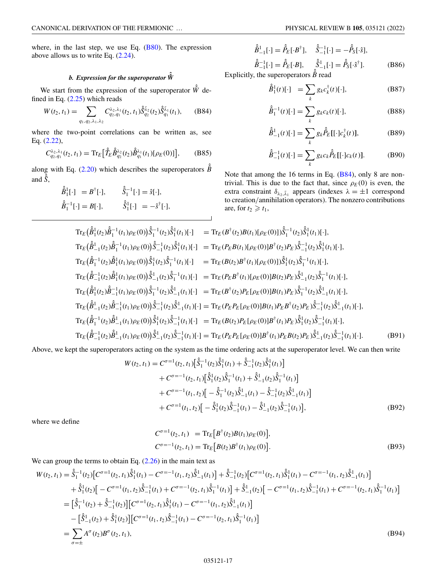<span id="page-16-0"></span>where, in the last step, we use Eq.  $(B80)$ . The expression above allows us to write Eq.  $(2.24)$ .

# *b. Expression for the superoperator*  $\hat{\hat{W}}$

We start from the expression of the superoperator  $\hat{W}$  defined in Eq.  $(2.25)$  which reads

$$
W(t_2, t_1) = \sum_{q_1, q_2, \lambda_1, \lambda_2} C_{q_2, q_1}^{\lambda_2, \lambda_1}(t_2, t_1) \hat{\tilde{S}}_{q_2}^{\bar{\lambda}_2}(t_2) \hat{\tilde{S}}_{q_1}^{\bar{\lambda}_1}(t_1), \quad (B84)
$$

where the two-point correlations can be written as, see Eq. [\(2.22\)](#page-3-0),

$$
C_{q_2,q_1}^{\lambda_2,\lambda_1}(t_2,t_1) = \text{Tr}_E\big[\hat{T}_E \hat{\hat{B}}_{q_2}^{\lambda_2}(t_2) \hat{\hat{B}}_{q_1}^{\lambda_1}(t_1) [\rho_E(0)]\big],\tag{B85}
$$

along with Eq. [\(2.20\)](#page-3-0) which describes the superoperators  $\hat{\hat{B}}$ and  $\hat{\hat{S}}$ ,

$$
\hat{B}_1^1[\cdot] = B^{\dagger}[\cdot], \qquad \hat{S}_1^{-1}[\cdot] = \hat{s}[\cdot], \n\hat{B}_1^{-1}[\cdot] = B[\cdot], \qquad \hat{S}_1^1[\cdot] = -\hat{s}^{\dagger}[\cdot],
$$

$$
\hat{B}_{-1}^{1}[\cdot] = \hat{P}_{E}[\cdot B^{\dagger}], \quad \hat{S}_{-1}^{-1}[\cdot] = -\hat{P}_{S}[\cdot \hat{s}],
$$
  
\n
$$
\hat{B}_{-1}^{-1}[\cdot] = \hat{P}_{E}[\cdot B], \quad \hat{S}_{-1}^{1}[\cdot] = \hat{P}_{S}[\cdot \hat{s}^{\dagger}].
$$
\n(B86)

Explicitly, the superoperators  $\hat{\hat{B}}$  read

$$
\hat{\hat{B}}_1^1(t)[\cdot] = \sum_k g_k c_k^{\dagger}(t)[\cdot], \tag{B87}
$$

$$
\hat{B}_1^{-1}(t)[\cdot] = \sum_k g_k c_k(t)[\cdot], \tag{B88}
$$

$$
\hat{\hat{B}}_{-1}^{1}(t)[\cdot] = \sum_{k} g_{k} \hat{\hat{P}}_{E}[[\cdot]c_{k}^{\dagger}(t)], \tag{B89}
$$

$$
\hat{\hat{B}}_{-1}^{-1}(t)[\cdot] = \sum_{k} g_k c_k \hat{P}_E[[\cdot]c_k(t)].
$$
 (B90)

Note that among the 16 terms in Eq. (B84), only 8 are nontrivial. This is due to the fact that, since  $\rho_E(0)$  is even, the extra constraint  $\delta_{\lambda_2,\bar{\lambda}_1}$  appears (indexes  $\lambda = \pm 1$  correspond to creation/annihilation operators). The nonzero contributions are, for  $t_2 \geq t_1$ ,

$$
Tr_{E}(\hat{\hat{B}}_{1}^{1}(t_{1})\hat{\beta}_{1}^{-1}(t_{1})\rho_{E}(0))\hat{\hat{S}}_{1}^{-1}(t_{2})\hat{\hat{S}}_{1}^{1}(t_{1})[\cdot] = Tr_{E}(B^{\dagger}(t_{2})B(t_{1})[\rho_{E}(0)])\hat{\hat{S}}_{1}^{-1}(t_{2})\hat{\hat{S}}_{1}^{1}(t_{1})[\cdot],\nTr_{E}(\hat{\hat{B}}_{-1}^{1}(t_{2})\hat{\hat{B}}_{1}^{-1}(t_{1})\rho_{E}(0))\hat{\hat{S}}_{-1}^{-1}(t_{2})\hat{\hat{S}}_{1}^{1}(t_{1})[\cdot] = Tr_{E}(P_{E}B(t_{1})[\rho_{E}(0)]B^{\dagger}(t_{2})P_{E})\hat{\hat{S}}_{-1}^{-1}(t_{2})\hat{\hat{S}}_{1}^{1}(t_{1})[\cdot],\nTr_{E}(\hat{\hat{B}}_{1}^{-1}(t_{2})\hat{\hat{B}}_{1}^{1}(t_{1})\rho_{E}(0))\hat{\hat{S}}_{1}^{1}(t_{2})\hat{\hat{S}}_{1}^{-1}(t_{1})[\cdot] = Tr_{E}(B(t_{2})B^{\dagger}(t_{1})[\rho_{E}(0)])\hat{\hat{S}}_{1}^{1}(t_{2})\hat{\hat{S}}_{1}^{-1}(t_{1})[\cdot],\nTr_{E}(\hat{\hat{B}}_{-1}^{-1}(t_{2})\hat{\hat{B}}_{1}^{1}(t_{1})\rho_{E}(0))\hat{\hat{S}}_{-1}^{-1}(t_{2})\hat{\hat{S}}_{1}^{-1}(t_{1})[\cdot] = Tr_{E}(P_{E}B^{\dagger}(t_{1})[\rho_{E}(0)]B(t_{2})P_{E})\hat{\hat{S}}_{-1}^{-1}(t_{2})\hat{\hat{S}}_{-1}^{-1}(t_{1})[\cdot],\nTr_{E}(\hat{\hat{B}}_{1}^{1}(t_{2})\hat{\hat{B}}_{-1}^{-1}(t_{1})\rho_{E}(0))\hat{\hat{S}}_{-1}^{-1}(t_{2})\hat{\hat{S}}_{-1}^{-1}(t_{1})[\cdot] = Tr_{E}(B^{\dagger}(t_{2})P_{E}[\rho_{E}(0)]B(t_{1})P_{E})\hat{\hat{S}}_{1}^{-1}(t_{2})\hat
$$

Above, we kept the superoperators acting on the system as the time ordering acts at the superoperator level. We can then write

$$
W(t_2, t_1) = C^{\sigma=1}(t_2, t_1) \left[ \hat{S}_1^{-1}(t_2) \hat{S}_1^1(t_1) + \hat{S}_{-1}^{-1}(t_2) \hat{S}_1^1(t_1) \right]
$$
  
+  $C^{\sigma=-1}(t_2, t_1) \left[ \hat{S}_1^1(t_2) \hat{S}_1^{-1}(t_1) + \hat{S}_{-1}^1(t_2) \hat{S}_1^{-1}(t_1) \right]$   
+  $C^{\sigma=-1}(t_1, t_2) \left[ -\hat{S}_1^{-1}(t_2) \hat{S}_{-1}^1(t_1) - \hat{S}_{-1}^{-1}(t_2) \hat{S}_{-1}^1(t_1) \right]$   
+  $C^{\sigma=1}(t_1, t_2) \left[ -\hat{S}_1^1(t_2) \hat{S}_{-1}^{-1}(t_1) - \hat{S}_{-1}^1(t_2) \hat{S}_{-1}^{-1}(t_1) \right],$  (B92)

where we define

$$
C^{\sigma=1}(t_2, t_1) = \text{Tr}_E[B^{\dagger}(t_2)B(t_1)\rho_E(0)],
$$
  
\n
$$
C^{\sigma=-1}(t_2, t_1) = \text{Tr}_E[B(t_2)B^{\dagger}(t_1)\rho_E(0)].
$$
\n(B93)

We can group the terms to obtain Eq.  $(2.26)$  in the main text as

$$
W(t_2, t_1) = \hat{\delta}_1^{-1}(t_2) \left[ C^{\sigma=1}(t_2, t_1) \hat{\delta}_1^1(t_1) - C^{\sigma=-1}(t_1, t_2) \hat{\delta}_{-1}^1(t_1) \right] + \hat{\delta}_{-1}^{-1}(t_2) \left[ C^{\sigma=1}(t_2, t_1) \hat{\delta}_1^1(t_1) - C^{\sigma=-1}(t_1, t_2) \hat{\delta}_{-1}^1(t_1) \right]
$$
  
+  $\hat{\delta}_1^1(t_2) \left[ -C^{\sigma=1}(t_1, t_2) \hat{\delta}_{-1}^{-1}(t_1) + C^{\sigma=-1}(t_2, t_1) \hat{\delta}_1^{-1}(t_1) \right] + \hat{\delta}_{-1}^1(t_2) \left[ -C^{\sigma=1}(t_1, t_2) \hat{\delta}_{-1}^{-1}(t_1) + C^{\sigma=-1}(t_2, t_1) \hat{\delta}_1^{-1}(t_1) \right]$   
=  $\left[ \hat{\delta}_1^{-1}(t_2) + \hat{\delta}_{-1}^{-1}(t_2) \right] \left[ C^{\sigma=1}(t_2, t_1) \hat{\delta}_1^1(t_1) - C^{\sigma=-1}(t_1, t_2) \hat{\delta}_{-1}^1(t_1) \right]$   
-  $\left[ \hat{\delta}_{-1}^1(t_2) + \hat{\delta}_1^1(t_2) \right] \left[ C^{\sigma=1}(t_1, t_2) \hat{\delta}_{-1}^{-1}(t_1) - C^{\sigma=-1}(t_2, t_1) \hat{\delta}_1^{-1}(t_1) \right]$   
=  $\sum_{\sigma=\pm} A^{\sigma}(t_2) B^{\sigma}(t_2, t_1),$  (B94)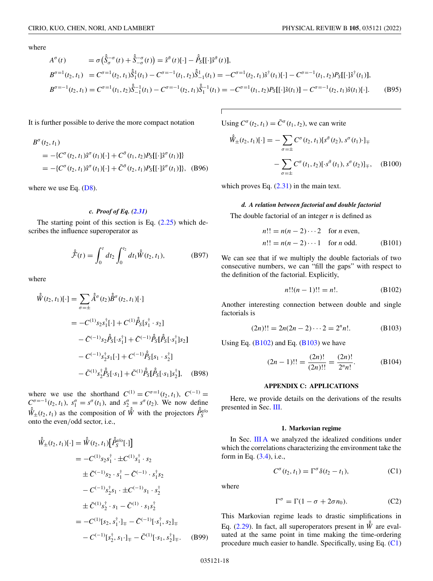<span id="page-17-0"></span>where

$$
A^{\sigma}(t) = \sigma(\hat{\delta}_{\sigma}^{-\sigma}(t) + \hat{\delta}_{-\sigma}^{-\sigma}(t)) = \hat{s}^{\bar{\sigma}}(t)[\cdot] - \hat{P}_{S}[[\cdot]\hat{s}^{\bar{\sigma}}(t)],
$$
  
\n
$$
B^{\sigma=1}(t_2, t_1) = C^{\sigma=1}(t_2, t_1)\hat{\delta}_1^1(t_1) - C^{\sigma=-1}(t_1, t_2)\hat{\delta}_{-1}^1(t_1) = -C^{\sigma=1}(t_2, t_1)\hat{s}^{\dagger}(t_1)[\cdot] - C^{\sigma=-1}(t_1, t_2)P_{S}[[\cdot]\hat{s}^{\dagger}(t_1)],
$$
  
\n
$$
B^{\sigma=-1}(t_2, t_1) = C^{\sigma=1}(t_1, t_2)\hat{\delta}_{-1}^{-1}(t_1) - C^{\sigma=-1}(t_2, t_1)\hat{\delta}_1^{-1}(t_1) = -C^{\sigma=1}(t_1, t_2)P_{S}[[\cdot]\hat{s}(t_1)] - C^{\sigma=-1}(t_2, t_1)\hat{s}(t_1)[\cdot].
$$
 (B95)

It is further possible to derive the more compact notation

$$
B^{\sigma}(t_2, t_1)
$$
  
= -{ $C^{\sigma}(t_2, t_1)\hat{s}^{\sigma}(t_1)[\cdot] + C^{\bar{\sigma}}(t_1, t_2)P_{\bar{s}}[[\cdot]\hat{s}^{\sigma}(t_1)]$ }  
= -{ $C^{\sigma}(t_2, t_1)\hat{s}^{\sigma}(t_1)[\cdot] + \bar{C}^{\bar{\sigma}}(t_2, t_1)P_{\bar{s}}[[\cdot]\hat{s}^{\sigma}(t_1)]$ }, (B96)

where we use Eq.  $(D8)$ .

## *c. Proof of Eq. [\(2.31\)](#page-4-0)*

The starting point of this section is Eq.  $(2.25)$  which describes the influence superoperator as

$$
\hat{\mathcal{F}}(t) = \int_0^t dt_2 \int_0^{t_2} dt_1 \hat{W}(t_2, t_1), \tag{B97}
$$

where

$$
\hat{W}(t_2, t_1)[\cdot] = \sum_{\sigma = \pm} \hat{A}^{\sigma}(t_2) \hat{B}^{\sigma}(t_2, t_1)[\cdot]
$$
\n
$$
= -C^{(1)} s_2 s_1^{\dagger} [\cdot] + C^{(1)} \hat{P}_S[s_1^{\dagger} \cdot s_2]
$$
\n
$$
- \bar{C}^{(-1)} s_2 \hat{P}_S[\cdot s_1^{\dagger}] + \bar{C}^{(-1)} \hat{P}_S[\hat{P}_S[\cdot s_1^{\dagger}] s_2]
$$
\n
$$
- C^{(-1)} s_2^{\dagger} s_1 [\cdot] + C^{(-1)} \hat{P}_S[s_1 \cdot s_2^{\dagger}]
$$
\n
$$
- \bar{C}^{(1)} s_2^{\dagger} \hat{P}_S[\cdot s_1] + \bar{C}^{(1)} \hat{P}_S[\hat{P}_S[\cdot s_1] s_2^{\dagger}], \quad (B98)
$$

where we use the shorthand  $C^{(1)} = C^{\sigma=1}(t_2, t_1)$ ,  $C^{(-1)} =$  $C^{\sigma=-1}(t_2, t_1)$ ,  $s_1^{\sigma} = s^{\sigma}(t_1)$ , and  $s_2^{\sigma} = s^{\sigma}(t_2)$ . We now define  $\hat{W}_{\pm}(t_2, t_1)$  as the composition of  $\hat{W}$  with the projectors  $\hat{P}_{S}^{e/\alpha}$ onto the even/odd sector, i.e.,

$$
\hat{W}_{\pm}(t_2, t_1)[\cdot] = \hat{W}(t_2, t_1) [\hat{P}_S^{e/o}[\cdot]]
$$
\n
$$
= -C^{(1)} s_2 s_1^{\dagger} \cdot \pm C^{(1)} s_1^{\dagger} \cdot s_2
$$
\n
$$
\pm \bar{C}^{(-1)} s_2 \cdot s_1^{\dagger} - \bar{C}^{(-1)} \cdot s_1^{\dagger} s_2
$$
\n
$$
- C^{(-1)} s_2^{\dagger} s_1 \cdot \pm C^{(-1)} s_1 \cdot s_2^{\dagger}
$$
\n
$$
\pm \bar{C}^{(1)} s_2^{\dagger} \cdot s_1 - \bar{C}^{(1)} \cdot s_1 s_2^{\dagger}
$$
\n
$$
= -C^{(1)}[s_2, s_1^{\dagger} \cdot]_{\mp} - \bar{C}^{(-1)}[\cdot s_1^{\dagger}, s_2]_{\mp}
$$
\n
$$
- C^{(-1)}[s_2^{\dagger}, s_1 \cdot]_{\mp} - \bar{C}^{(1)}[\cdot s_1, s_2^{\dagger}]_{\mp}.
$$
\n(B99)

Using  $C^{\sigma}(t_2, t_1) = \overline{C}^{\sigma}(t_1, t_2)$ , we can write

$$
\hat{W}_{\pm}(t_2, t_1)[\cdot] = -\sum_{\sigma=\pm} C^{\sigma}(t_2, t_1)[s^{\bar{\sigma}}(t_2), s^{\sigma}(t_1) \cdot]_{\mp}
$$

$$
-\sum_{\sigma=\pm} C^{\sigma}(t_1, t_2)[\cdot s^{\bar{\sigma}}(t_1), s^{\sigma}(t_2)]_{\mp}, \quad (B100)
$$

which proves Eq.  $(2.31)$  in the main text.

#### *d. A relation between factorial and double factorial*

The double factorial of an integer *n* is defined as

$$
n!! = n(n-2)\cdots 2 \text{ for } n \text{ even,}
$$
  
\n
$$
n!! = n(n-2)\cdots 1 \text{ for } n \text{ odd.}
$$
 (B101)

We can see that if we multiply the double factorials of two consecutive numbers, we can "fill the gaps" with respect to the definition of the factorial. Explicitly,

$$
n!!(n-1)!! = n!.
$$
 (B102)

Another interesting connection between double and single factorials is

$$
(2n)!! = 2n(2n-2)\cdots 2 = 2nn!.
$$
 (B103)

Using Eq.  $(B102)$  and Eq.  $(B103)$  we have

$$
(2n-1)!! = \frac{(2n)!}{(2n)!!} = \frac{(2n)!}{2^n n!}.
$$
 (B104)

## **APPENDIX C: APPLICATIONS**

Here, we provide details on the derivations of the results presented in Sec. [III.](#page-4-0)

## **1. Markovian regime**

In Sec. [III A](#page-4-0) we analyzed the idealized conditions under which the correlations characterizing the environment take the form in Eq. [\(3.4\)](#page-4-0), i.e.,

$$
C^{\sigma}(t_2, t_1) = \Gamma^{\sigma} \delta(t_2 - t_1), \qquad (C1)
$$

where

$$
\Gamma^{\sigma} = \Gamma(1 - \sigma + 2\sigma n_0). \tag{C2}
$$

This Markovian regime leads to drastic simplifications in Eq. [\(2.29\)](#page-4-0). In fact, all superoperators present in  $\hat{W}$  are evaluated at the same point in time making the time-ordering procedure much easier to handle. Specifically, using Eq. (C1)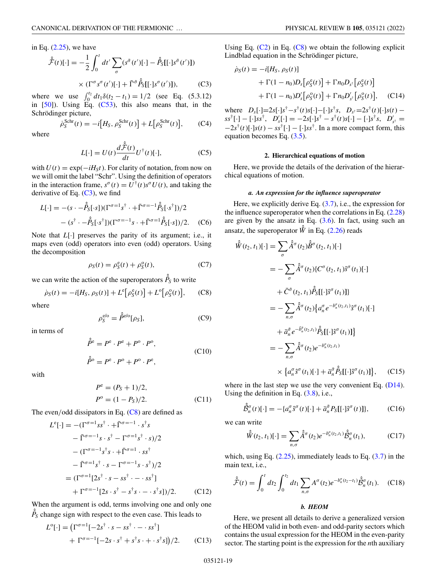<span id="page-18-0"></span>in Eq.  $(2.25)$ , we have

$$
\hat{\mathcal{F}}(t)[\cdot] = -\frac{1}{2} \int_0^t dt' \sum_{\sigma} (s^{\tilde{\sigma}}(t')[\cdot] - \hat{P}_S[[\cdot]s^{\tilde{\sigma}}(t')])
$$

$$
\times (\Gamma^{\sigma} s^{\sigma}(t')[\cdot] + \bar{\Gamma}^{\tilde{\sigma}} \hat{P}_S[[\cdot]s^{\sigma}(t')]), \tag{C3}
$$

where we use  $\int_0^{t_2} dt_1 \delta(t_2 - t_1) = 1/2$  (see Eq. (5.3.12) in  $[50]$ ). Using Eq.  $(C53)$ , this also means that, in the Schrödinger picture,

$$
\dot{\rho}_S^{\text{Schr}}(t) = -i[H_S, \rho_S^{\text{Schr}}(t)] + L[\rho_S^{\text{Schr}}(t)], \qquad (C4)
$$

where

$$
L[\cdot] = U(t) \frac{d\hat{\hat{\mathcal{F}}}(t)}{dt} U^{\dagger}(t)[\cdot], \tag{C5}
$$

with  $U(t) = \exp(-iH<sub>S</sub>t)$ . For clarity of notation, from now on we will omit the label "Schr". Using the definition of operators in the interaction frame,  $s^{\sigma}(t) = U^{\dagger}(t)s^{\sigma}U(t)$ , and taking the derivative of Eq.  $(C3)$ , we find

$$
L[\cdot] = -(s \cdot -\hat{\beta}_S[\cdot s])(\Gamma^{\sigma=1} s^{\dagger} \cdot + \bar{\Gamma}^{\sigma=-1} \hat{\beta}_S[\cdot s^{\dagger}])/2
$$

$$
- (s^{\dagger} \cdot -\hat{\beta}_S[\cdot s^{\dagger}])(\Gamma^{\sigma=-1} s \cdot + \bar{\Gamma}^{\sigma=1} \hat{\beta}_S[\cdot s])/2.
$$
 (C6)

Note that *L*[·] preserves the parity of its argument; i.e., it maps even (odd) operators into even (odd) operators. Using the decomposition

$$
\rho_S(t) = \rho_S^e(t) + \rho_S^o(t),\tag{C7}
$$

we can write the action of the superoperators  $\hat{P}_S$  to write

$$
\dot{\rho}_S(t) = -i[H_S, \rho_S(t)] + L^e[\rho_S^e(t)] + L^o[\rho_S^o(t)], \quad (C8)
$$

where

$$
\rho_S^{\text{e/o}} = \hat{P}^{\text{e/o}}[\rho_S],\tag{C9}
$$

in terms of

$$
\hat{P}^{\rm e} = P^{\rm e} \cdot P^{\rm e} + P^{\rm o} \cdot P^{\rm o},
$$
  
\n
$$
\hat{P}^{\rm o} = P^{\rm e} \cdot P^{\rm o} + P^{\rm o} \cdot P^{\rm e},
$$
\n(C10)

with

$$
Pe = (PS + 1)/2,
$$
  
\n
$$
Po = (1 - PS)/2.
$$
 (C11)

The even/odd dissipators in Eq. (C8) are defined as

$$
L^{e}[\cdot] = -(\Gamma^{\sigma=1} s s^{\dagger} \cdot + \bar{\Gamma}^{\sigma=-1} \cdot s^{\dagger} s
$$
  

$$
- \bar{\Gamma}^{\sigma=-1} s \cdot s^{\dagger} - \Gamma^{\sigma=1} s^{\dagger} \cdot s)/2
$$
  

$$
- (\Gamma^{\sigma=-1} s^{\dagger} s \cdot + \bar{\Gamma}^{\sigma=1} \cdot s s^{\dagger})
$$
  

$$
- \bar{\Gamma}^{\sigma=1} s^{\dagger} \cdot s - \Gamma^{\sigma=-1} s \cdot s^{\dagger})/2
$$
  

$$
= (\Gamma^{\sigma=1}[2s^{\dagger} \cdot s - s s^{\dagger} \cdot - \cdot s s^{\dagger}]
$$
  

$$
+ \Gamma^{\sigma=-1}[2s \cdot s^{\dagger} - s^{\dagger} s \cdot - \cdot s^{\dagger} s])/2.
$$
 (C12)

When the argument is odd, terms involving one and only one  $\hat{P}_s$  change sign with respect to the even case. This leads to

$$
L^{\circ}[\cdot] = (\Gamma^{\sigma=1}[-2s^{\dagger} \cdot s - ss^{\dagger} \cdot - \cdot ss^{\dagger}]
$$
  
+ 
$$
\Gamma^{\sigma=-1}[-2s \cdot s^{\dagger} + s^{\dagger}s \cdot + \cdot s^{\dagger}s]/2.
$$
 (C13)

Using Eq.  $(C2)$  in Eq.  $(C8)$  we obtain the following explicit Lindblad equation in the Schrödinger picture,

$$
\dot{\rho}_S(t) = -i[H_S, \rho_S(t)] \n+ \Gamma(1 - n_0)D_s[\rho_S^e(t)] + \Gamma n_0 D_{s^{\dagger}}[\rho_S^e(t)] \n+ \Gamma(1 - n_0)D_s'[\rho_S^o(t)] + \Gamma n_0 D_{s^{\dagger}}[\rho_S^o(t)], \quad (C14)
$$

where  $D_s[\cdot]=2s[\cdot]s^{\dagger}-s^{\dagger}(t)s[\cdot]-[\cdot]s^{\dagger}s, \quad D_{s^{\dagger}}=2s^{\dagger}(t)[\cdot]s(t)$  −  $s s^{\dagger}[\cdot] - [\cdot] s s^{\dagger}, D'_{s}[\cdot] = -2s[\cdot] s^{\dagger} - s^{\dagger}(t) s[\cdot] - [\cdot] s^{\dagger} s, D'_{s^{\dagger}} =$  $-2s^{\dagger}(t)[\cdot]s(t) - ss^{\dagger}[\cdot] - [\cdot]ss^{\dagger}$ . In a more compact form, this equation becomes Eq. [\(3.5\)](#page-5-0).

#### **2. Hierarchical equations of motion**

Here, we provide the details of the derivation of the hierarchical equations of motion.

## *a. An expression for the influence superoperator*

Here, we explicitly derive Eq. [\(3.7\)](#page-5-0), i.e., the expression for the influence superoperator when the correlations in Eq.  $(2.28)$ are given by the ansatz in Eq.  $(3.6)$ . In fact, using such an ansatz, the superoperator  $\hat{W}$  in Eq. [\(2.26\)](#page-3-0) reads

$$
\hat{W}(t_2, t_1)[\cdot] = \sum_{\sigma} \hat{A}^{\sigma}(t_2) \hat{B}^{\sigma}(t_2, t_1)[\cdot]
$$
\n
$$
= -\sum_{\sigma} \hat{A}^{\sigma}(t_2) \{ C^{\sigma}(t_2, t_1) \hat{s}^{\sigma}(t_1)[\cdot]
$$
\n
$$
+ \bar{C}^{\bar{\sigma}}(t_2, t_1) \hat{P}_{S}[[\cdot] \hat{s}^{\sigma}(t_1)]\}
$$
\n
$$
= -\sum_{n, \sigma} \hat{A}^{\sigma}(t_2) \{ a_n^{\sigma} e^{-b_n^{\sigma}(t_2, t_1)} \hat{s}^{\sigma}(t_1)[\cdot]
$$
\n
$$
+ \bar{a}_n^{\bar{\sigma}} e^{-\bar{b}_n^{\bar{\sigma}}(t_2, t_1)} \hat{P}_{S}[[\cdot] \hat{s}^{\sigma}(t_1)]\}
$$
\n
$$
= -\sum_{n, \sigma} \hat{A}^{\sigma}(t_2) e^{-b_n^{\sigma}(t_2, t_1)}
$$
\n
$$
\times \{ a_n^{\sigma} \hat{s}^{\sigma}(t_1)[\cdot] + \bar{a}_n^{\bar{\sigma}} \hat{P}_{S}[[\cdot] \hat{s}^{\sigma}(t_1)]\}, \quad (C15)
$$

where in the last step we use the very convenient Eq.  $(D14)$ . Using the definition in Eq.  $(3.8)$ , i.e.,

$$
\hat{\beta}_{n}^{\sigma}(t)[\cdot] = -\{a_{n}^{\sigma}\hat{s}^{\sigma}(t)[\cdot] + \bar{a}_{n}^{\bar{\sigma}}P_{S}[[\cdot]\hat{s}^{\sigma}(t)]\},\tag{C16}
$$

we can write

$$
\hat{\hat{W}}(t_2, t_1)[\cdot] = \sum_{n, \sigma} \hat{\hat{A}}^{\sigma}(t_2) e^{-b_n^{\sigma}(t_2, t_1)} \hat{\hat{B}}_n^{\sigma}(t_1), \qquad (C17)
$$

which, using Eq.  $(2.25)$ , immediately leads to Eq.  $(3.7)$  in the main text, i.e.,

$$
\hat{\hat{\mathcal{F}}}(t) = \int_0^t dt_2 \int_0^{t_2} dt_1 \sum_{n,\sigma} A^{\sigma}(t_2) e^{-b_n^{\sigma}(t_2 - t_1)} \hat{\mathcal{B}}_n^{\sigma}(t_1).
$$
 (C18)

#### *b. HEOM*

Here, we present all details to derive a generalized version of the HEOM valid in both even- and odd-parity sectors which contains the usual expression for the HEOM in the even-parity sector. The starting point is the expression for the *n*th auxiliary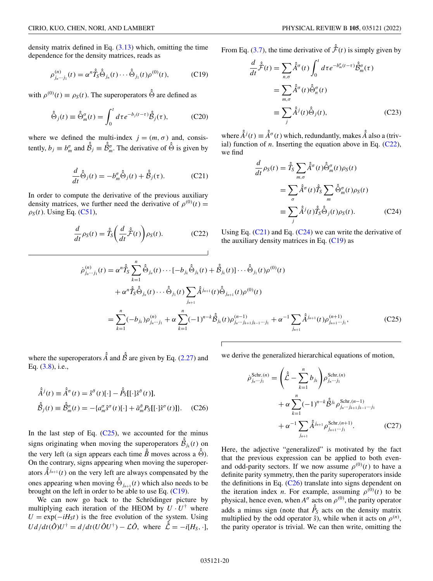<span id="page-19-0"></span>density matrix defined in Eq.  $(3.13)$  which, omitting the time dependence for the density matrices, reads as

$$
\rho_{j_n\cdots j_1}^{(n)}(t) = \alpha^n \hat{T}_S \hat{\Theta}_{j_n}(t) \cdots \hat{\Theta}_{j_1}(t) \rho^{(0)}(t),
$$
\n(C19)

with  $\rho^{(0)}(t) \equiv \rho_S(t)$ . The superoperators  $\hat{\hat{\Theta}}$  are defined as

$$
\hat{\hat{\Theta}}_j(t) \equiv \hat{\Theta}_m^{\sigma}(t) = \int_0^t d\tau e^{-b_j(t-\tau)} \hat{\hat{\beta}}_j(\tau), \qquad (C20)
$$

where we defined the multi-index  $j = (m, \sigma)$  and, consistently,  $b_j \equiv b_m^{\sigma}$  and  $\hat{\beta}_j \equiv \hat{\beta}_m^{\sigma}$ . The derivative of  $\hat{\Theta}$  is given by

$$
\frac{d}{dt}\hat{\hat{\Theta}}_j(t) = -b_m^{\sigma}\hat{\hat{\Theta}}_j(t) + \hat{\hat{\mathcal{B}}}_j(\tau). \tag{C21}
$$

In order to compute the derivative of the previous auxiliary density matrices, we further need the derivative of  $\rho^{(0)}(t)$  =  $\rho_S(t)$ . Using Eq. [\(C51\)](#page-23-0),

$$
\frac{d}{dt}\rho_S(t) = \hat{T}_S\bigg(\frac{d}{dt}\hat{\hat{\mathcal{F}}}(t)\bigg)\rho_S(t). \tag{C22}
$$

From Eq. [\(3.7\)](#page-5-0), the time derivative of  $\hat{F}(t)$  is simply given by

$$
\frac{d}{dt}\hat{\mathcal{F}}(t) = \sum_{n,\sigma} \hat{A}^{\sigma}(t) \int_{0}^{t} dt e^{-b_{m}^{\sigma}(t-\tau)} \hat{\beta}_{m}^{\sigma}(\tau)
$$

$$
= \sum_{m,\sigma} \hat{A}^{\sigma}(t) \hat{\Theta}_{n}^{\sigma}(t)
$$

$$
\equiv \sum_{j} \hat{A}^{j}(t) \hat{\Theta}_{j}(t), \qquad (C23)
$$

where  $\hat{A}^j(t) \equiv \hat{A}^{\sigma}(t)$  which, redundantly, makes  $\hat{A}$  also a (trivial) function of  $n$ . Inserting the equation above in Eq.  $(C22)$ , we find

$$
\frac{d}{dt}\rho_S(t) = \hat{T}_S \sum_{m,\sigma} \hat{A}^\sigma(t) \hat{\Theta}_m^\sigma(t) \rho_S(t)
$$

$$
= \sum_{\sigma} \hat{A}^\sigma(t) \hat{T}_S \sum_{m} \hat{\Theta}_m^\sigma(t) \rho_S(t)
$$

$$
\equiv \sum_{j} \hat{A}^j(t) \hat{T}_S \hat{\Theta}_j(t) \rho_S(t). \tag{C24}
$$

Using Eq.  $(C21)$  and Eq.  $(C24)$  we can write the derivative of the auxiliary density matrices in Eq.  $(C19)$  as

$$
\dot{\rho}_{j_n\cdots j_1}^{(n)}(t) = \alpha^n \hat{T}_S \sum_{k=1}^n \hat{\Theta}_{j_n}(t) \cdots [-b_{j_k} \hat{\Theta}_{j_k}(t) + \hat{\beta}_{j_k}(t)] \cdots \hat{\Theta}_{j_1}(t) \rho^{(0)}(t) \n+ \alpha^n \hat{T}_S \hat{\Theta}_{j_n}(t) \cdots \hat{\Theta}_{j_1}(t) \sum_{j_{n+1}} \hat{A}^{j_{n+1}}(t) \hat{\Theta}_{j_{n+1}}(t) \rho^{(0)}(t) \n= \sum_{k=1}^n (-b_{j_k}) \rho_{j_n\cdots j_1}^{(n)} + \alpha \sum_{k=1}^n (-1)^{n-k} \hat{\beta}_{j_k}(t) \rho_{j_n\cdots j_{k+1}j_{k-1}\cdots j_1}^{(n-1)} + \alpha^{-1} \sum_{j_{n+1}} \hat{A}^{j_{n+1}}(t) \rho_{j_{n+1}\cdots j_1}^{(n+1)},
$$
\n(C25)

where the superoperators  $\hat{A}$  and  $\hat{B}$  are given by Eq. [\(2.27\)](#page-3-0) and Eq. [\(3.8\)](#page-5-0), i.e.,

$$
\hat{A}^j(t) \equiv \hat{A}^\sigma(t) = \hat{s}^\sigma(t)[\cdot] - \hat{P}_S[[\cdot]\hat{s}^\sigma(t)],
$$
  

$$
\hat{B}_j(t) \equiv \hat{B}_m^\sigma(t) = -\{a_m^\sigma \hat{s}^\sigma(t)[\cdot] + \bar{a}_m^\sigma P_S[[\cdot]\hat{s}^\sigma(t)]\}.
$$
 (C26)

In the last step of Eq.  $(C25)$ , we accounted for the minus signs originating when moving the superoperators  $\hat{\hat{\beta}}_{j_k}(t)$  on the very left (a sign appears each time  $\hat{B}$  moves across a  $\hat{\hat{\Theta}}$ ). On the contrary, signs appearing when moving the superoperators  $\hat{A}^{j_{n+1}}(t)$  on the very left are always compensated by the ones appearing when moving  $\hat{\Theta}_{j_{n+1}}(t)$  which also needs to be brought on the left in order to be able to use Eq.  $(C19)$ .

We can now go back to the Schrödinger picture by multiplying each iteration of the HEOM by  $U \cdot U^{\dagger}$  where  $U = \exp(-iH<sub>S</sub>t)$  is the free evolution of the system. Using  $U d/dt (\hat{O}) U^{\dagger} = d/dt (U \hat{O} U^{\dagger}) - \mathcal{L} \hat{O}$ , where  $\hat{\hat{\mathcal{L}}} = -i[H_S, \cdot]$ ,

we derive the generalized hierarchical equations of motion,

$$
\dot{\rho}_{j_n \cdots j_1}^{\text{Schr},(n)} = \left(\hat{\hat{\mathcal{L}}} - \sum_{k=1}^n b_{j_k}\right) \rho_{j_n \cdots j_1}^{\text{Schr},(n)} \n+ \alpha \sum_{k=1}^n (-1)^{n-k} \hat{\beta}^{j_k} \rho_{j_n \cdots j_{k+1} j_{k-1} \cdots j_1}^{\text{Schr},(n-1)} \n+ \alpha^{-1} \sum_{j_{n+1}} \hat{\hat{A}}^{j_{n+1}} \rho_{j_{n+1} \cdots j_1}^{\text{Schr},(n+1)}.
$$
\n(C27)

Here, the adjective "generalized" is motivated by the fact that the previous expression can be applied to both evenand odd-parity sectors. If we now assume  $\rho^{(0)}(t)$  to have a definite parity symmetry, then the parity superoperators inside the definitions in Eq.  $(C26)$  translate into signs dependent on the iteration index *n*. For example, assuming  $\rho^{(0)}(t)$  to be physical, hence even, when  $A^{\sigma}$  acts on  $\rho^{(0)}$ , the parity operator adds a minus sign (note that  $\hat{P}_s$  acts on the density matrix multiplied by the odd operator  $\hat{s}$ ), while when it acts on  $\rho^{(n)}$ , the parity operator is trivial. We can then write, omitting the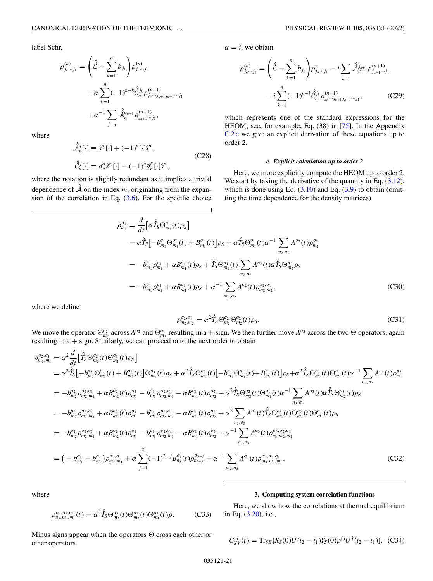<span id="page-20-0"></span>label Schr,

$$
\begin{split} \dot{\rho}_{j_n\cdots j_1}^{(n)} = \Bigg( \hat{\hat{\mathcal{L}}} - \sum_{k=1}^n b_{j_k} \Bigg) \rho_{j_n\cdots j_1}^{(n)} \\ &- \alpha \sum_{k=1}^n (-1)^{n-k} \hat{\hat{\mathcal{C}}}_{n}^{j_k} \rho_{j_n\cdots j_{k+1}j_{k-1}\cdots j_1}^{(n-1)} \\ &+ \alpha^{-1} \sum_{j_{n+1}} \hat{\hat{\mathcal{A}}}_{n}^{\sigma_{n+1}} \rho_{j_{n+1}\cdots j_1}^{(n+1)}, \end{split}
$$

where

$$
\hat{\hat{\mathcal{A}}}_{n}^{j}[\cdot] \equiv \hat{s}^{\bar{\sigma}}[\cdot] + (-1)^{n}[\cdot]\hat{s}^{\bar{\sigma}},
$$
\n
$$
\hat{\hat{C}}_{n}^{j}[\cdot] \equiv a_{n}^{\sigma}\hat{s}^{\sigma}[\cdot] - (-1)^{n}\bar{a}_{n}^{\bar{\sigma}}[\cdot]\hat{s}^{\sigma},
$$
\n(C28)

where the notation is slightly redundant as it implies a trivial dependence of  $\hat{A}$  on the index *m*, originating from the expansion of the correlation in Eq.  $(3.6)$ . For the specific choice  $\alpha = i$ , we obtain

$$
\dot{\rho}_{j_n\cdots j_1}^{(n)} = \left(\hat{\hat{\mathcal{L}}}-\sum_{k=1}^n b_{j_k}\right) \rho_{j_n\cdots j_1}^n - i \sum_{j_{n+1}} \hat{\mathcal{A}}_{n}^{j_{n+1}} \rho_{j_{n+1}\cdots j_1}^{(n+1)} \n- i \sum_{k=1}^n (-1)^{n-k} \hat{\mathcal{C}}_{n}^{j_k} \rho_{j_n\cdots j_{k+1}j_{k-1}\cdots j_1}^{(n-1)},
$$
\n(C29)

which represents one of the standard expressions for the HEOM; see, for example, Eq. (38) in [\[75\]](#page-26-0). In the Appendix C2c we give an explicit derivation of these equations up to order 2.

## *c. Explicit calculation up to order 2*

Here, we more explicitly compute the HEOM up to order 2. We start by taking the derivative of the quantity in Eq.  $(3.12)$ , which is done using Eq.  $(3.10)$  and Eq.  $(3.9)$  to obtain (omitting the time dependence for the density matrices)

$$
\dot{\rho}_{m_1}^{\sigma_1} = \frac{d}{dt} \Big[ \alpha \hat{T}_S \Theta_{m_1}^{\sigma_1}(t) \rho_S \Big] \n= \alpha \hat{\tilde{T}}_S \Big[ -b_{m_1}^{\sigma_1} \Theta_{m_1}^{\sigma_1}(t) + B_{m_1}^{\sigma_1}(t) \Big] \rho_S + \alpha \hat{\tilde{T}}_S \Theta_{m_1}^{\sigma_1}(t) \alpha^{-1} \sum_{m_2, \sigma_2} A^{\sigma_2}(t) \rho_{m_2}^{\sigma_2} \n= -b_{m_1}^{\sigma_1} \rho_{m_1}^{\sigma_1} + \alpha B_{m_1}^{\sigma_1}(t) \rho_S + \hat{\tilde{T}}_S \Theta_{m_1}^{\sigma_1}(t) \sum_{m_2, \sigma_2} A^{\sigma_2}(t) \alpha \hat{\tilde{T}}_S \Theta_{m_2}^{\sigma_2} \rho_S \n= -b_{m_1}^{\sigma_1} \rho_{m_1}^{\sigma_1} + \alpha B_{m_1}^{\sigma_1}(t) \rho_S + \alpha^{-1} \sum_{m_2, \sigma_2} A^{\sigma_2}(t) \rho_{m_2, m_2}^{\sigma_2, \sigma_1},
$$
\n(C30)

where we define

$$
\rho_{m_2,m_2}^{\sigma_2,\sigma_1} = \alpha^2 \hat{T}_S \Theta_{m_2}^{\sigma_2} \Theta_{m_2}^{\sigma_2}(t) \rho_S.
$$
\n(C31)

We move the operator  $\Theta_{m_2}^{\sigma_2}$  across  $A^{\sigma_2}$  and  $\Theta_{m_1}^{\sigma_1}$  resulting in a + sign. We then further move  $A^{\sigma_2}$  across the two  $\Theta$  operators, again resulting in  $a + sign$ . Similarly, we can proceed onto the next order to obtain

$$
\dot{\rho}_{m_2,m_1}^{\sigma_2,\sigma_1} = \alpha^2 \frac{d}{dt} \Big[ \hat{f}_S \Theta_{m_2}^{\sigma_2}(t) \Theta_{m_1}^{\sigma_1}(t) \rho_S \Big] \n= \alpha^2 \hat{f}_S \Big[ -b_{m_2}^{\sigma_2} \Theta_{m_2}^{\sigma_2}(t) + B_{m_2}^{\sigma_2}(t) \Big] \Theta_{m_1}^{\sigma_1}(t) \rho_S + \alpha^2 \hat{f}_S \Theta_{m_2}^{\sigma_2}(t) \Big[ -b_{m_1}^{\sigma_1} \Theta_{m_1}^{\sigma_1}(t) + B_{m_1}^{\sigma_1}(t) \Big] \rho_S + \alpha^2 \hat{f}_S \Theta_{m_2}^{\sigma_2}(t) \Theta_{m_1}^{\sigma_1}(t) \alpha^{-1} \sum_{n_3, \sigma_3} A^{\sigma_3}(t) \rho_{n_3}^{\sigma_3} \n= -b_{m_2}^{\sigma_2} \rho_{m_2,m_1}^{\sigma_2,\sigma_1} + \alpha B_{m_2}^{\sigma_2}(t) \rho_{m_1}^{\sigma_1} - b_{m_1}^{\sigma_1} \rho_{m_2,m_1}^{\sigma_2,\sigma_1} - \alpha B_{m_1}^{\sigma_1}(t) \rho_{m_2}^{\sigma_2} + \alpha^2 \hat{f}_S \Theta_{m_2}^{\sigma_2}(t) \Theta_{m_1}^{\sigma_1}(t) \alpha^{-1} \sum_{n_3, \sigma_3} A^{\sigma_3}(t) \alpha \hat{f}_S \Theta_{m_2}^{\sigma_3}(t) \rho_S \n= -b_{m_2}^{\sigma_2} \rho_{m_2,m_1}^{\sigma_2,\sigma_1} + \alpha B_{m_2}^{\sigma_2}(t) \rho_{m_1}^{\sigma_1} - b_{m_1}^{\sigma_1} \rho_{m_2,m_1}^{\sigma_2,\sigma_1} - \alpha B_{m_1}^{\sigma_1}(t) \rho_{m_2}^{\sigma_2} + \alpha^2 \sum_{n_3, \sigma_3} A^{\sigma_3}(t) \hat{f}_S \Theta_{m_2}^{\sigma_3}(t) \Theta_{m_2}^{\sigma_3}(t) \Theta_{m_1}^{\sigma_1}(t) \rho_S \n= -
$$

where

$$
\rho_{n_3,m_2,m_1}^{\sigma_3,\sigma_2,\sigma_1}(t) = \alpha^3 \hat{T}_S \Theta_{m_2}^{\sigma_3}(t) \Theta_{m_2}^{\sigma_2}(t) \Theta_{m_1}^{\sigma_1}(t) \rho.
$$
 (C33)

# **3. Computing system correlation functions**

Here, we show how the correlations at thermal equilibrium in Eq. [\(3.20\)](#page-6-0), i.e.,

Minus signs appear when the operators  $\Theta$  cross each other or other operators.

$$
C_{XY}^{\text{th}}(t) = \text{Tr}_{SE}[X_S(0)U(t_2 - t_1)Y_S(0)\rho^{\text{th}}U^{\dagger}(t_2 - t_1)], \quad (C34)
$$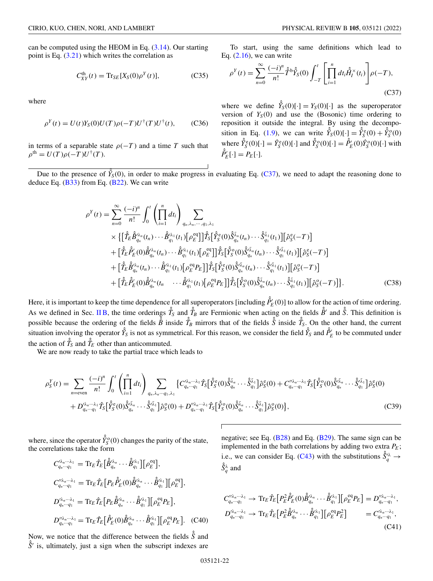<span id="page-21-0"></span>can be computed using the HEOM in Eq. [\(3.14\)](#page-5-0). Our starting point is Eq.  $(3.21)$  which writes the correlation as

$$
C_{XY}^{\text{th}}(t) = \text{Tr}_{SE}[X_S(0)\rho^Y(t)],\tag{C35}
$$

where

$$
\rho^{Y}(t) = U(t)Y_{S}(0)U(T)\rho(-T)U^{\dagger}(T)U^{\dagger}(t), \qquad (C36)
$$

in terms of a separable state  $\rho(-T)$  and a time *T* such that  $\rho^{\text{th}} = U(T)\rho(-T)U^{\dagger}(T).$ 

To start, using the same definitions which lead to Eq.  $(2.16)$ , we can write

$$
\rho^{Y}(t) = \sum_{n=0}^{\infty} \frac{(-i)^n}{n!} \hat{\hat{T}}^{\mathfrak{b}} \hat{Y}_{S}(0) \int_{-T}^{t} \left[ \prod_{i=1}^{n} dt_i \hat{H}_i^{X}(t_i) \right] \rho(-T), \tag{C37}
$$

where we define  $\hat{Y}_S(0)[\cdot] = Y_S(0)[\cdot]$  as the superoperator version of  $Y_S(0)$  and use the (Bosonic) time ordering to reposition it outside the integral. By using the decompo-sition in Eq. [\(1.9\)](#page-2-0), we can write  $\hat{Y}_S(0)[\cdot] = \hat{Y}_S^{\text{e}}(0) + \hat{Y}_S^{\text{o}}(0)$ where  $\hat{Y}_{S}^{\text{e}}(0)[\cdot] = \hat{Y}_{S}^{\text{e}}(0)[\cdot]$  and  $\hat{Y}_{S}^{\text{o}}(0)[\cdot] = \hat{P}_{E}^{\text{o}}(0)\hat{Y}_{S}^{\text{o}}(0)[\cdot]$  with  $\hat{P}'_E[\cdot] = P_E[\cdot].$ 

Due to the presence of  $\hat{Y}_s(0)$ , in order to make progress in evaluating Eq. (C37), we need to adapt the reasoning done to deduce Eq. [\(B33\)](#page-10-0) from Eq. [\(B22\)](#page-9-0). We can write

$$
\rho^{Y}(t) = \sum_{n=0}^{\infty} \frac{(-i)^{n}}{n!} \int_{0}^{t} \left( \prod_{i=1}^{n} dt_{i} \right) \sum_{q_{n}, \lambda_{n}, \dots, q_{1}, \lambda_{1}} \times \left\{ \left[ \hat{T}_{E} \hat{B}_{q_{n}}^{\lambda_{n}}(t_{n}) \cdots \hat{B}_{q_{1}}^{\lambda_{1}}(t_{1}) \left[ \rho_{E}^{\text{eq}} \right] \right] \hat{T}_{S} \left[ \hat{Y}_{S}^{\text{e}}(0) \hat{S}_{q_{n}}^{\lambda_{n}}(t_{n}) \cdots \hat{S}_{q_{1}}^{\lambda_{1}}(t_{1}) \right] \left[ \hat{\rho}_{S}^{\text{e}}(-T) \right] \right. \\
\left. + \left[ \hat{T}_{E} \hat{P}_{E}^{\prime}(0) \hat{B}_{q_{n}}^{\lambda_{n}}(t_{n}) \cdots \hat{B}_{q_{1}}^{\lambda_{1}}(t_{1}) \left[ \rho_{E}^{\text{eq}} \right] \right] \hat{T}_{S} \left[ \hat{Y}_{S}^{\text{e}}(0) \hat{S}_{q_{n}}^{\lambda_{n}}(t_{n}) \cdots \hat{S}_{q_{1}}^{\lambda_{1}}(t_{1}) \right] \left[ \hat{\rho}_{S}^{\text{e}}(-T) \right] \right. \\
\left. + \left[ \hat{T}_{E} \hat{B}_{q_{n}}^{\lambda_{n}}(t_{n}) \cdots \hat{B}_{q_{1}}^{\lambda_{1}}(t_{1}) \left[ \rho_{E}^{\text{eq}} P_{E} \right] \right] \hat{T}_{S} \left[ \hat{Y}_{S}^{\text{e}}(0) \hat{S}_{q_{n}}^{\lambda_{n}}(t_{n}) \cdots \hat{S}_{q_{1}}^{\lambda_{1}}(t_{1}) \right] \left[ \hat{\rho}_{S}^{\text{e}}(-T) \right] \right. \\
\left. + \left[ \hat{T}_{E} \hat{B}_{q_{n}}^{\lambda_{n}}(t_{n}) \cdots \hat{B}_{q_{1}}^{\lambda_{1}}(t_{1}) \left[ \rho_{E}^{\text{eq}} P_{E} \right] \right] \hat{T}_{S} \left[ \hat{Y}_{S}^{\text{e}}(0) \hat{S}_{q_{n}}^{\lambda_{n}}(t_{n}) \cdots \hat{S}_{q_{1}}
$$

Here, it is important to keep the time dependence for all superoperators [including  $\hat{P}'_E(0)$ ] to allow for the action of time ordering. As we defined in Sec. IIB, the time orderings  $\hat{T}_S$  and  $\hat{T}_B$  are Fermionic when acting on the fields  $\hat{B}^{\prime}$  and  $\hat{S}$ . This definition is possible because the ordering of the fields  $\hat{B}$  inside  $\hat{T}_B$  mirrors that of the fields  $\hat{S}$  inside  $\hat{T}_S$ . On the other hand, the current situation involving the operator  $\hat{Y}_S$  is not as symmetrical. For this reason, we consider the field  $\hat{Y}_S$  and  $\hat{P}'_E$  to be commuted under the action of  $\hat{T}_S$  and  $\hat{T}_E$  other than anticommuted.

We are now ready to take the partial trace which leads to

$$
\rho_{S}^{Y}(t) = \sum_{n=\text{even}} \frac{(-i)^{n}}{n!} \int_{0}^{t} \left( \prod_{i=1}^{n} dt_{i} \right) \sum_{q_{n}, \lambda_{n} \cdots q_{1}, \lambda_{1}} \left\{ C_{q_{n} \cdots q_{1}}^{\lambda_{n} \cdots \lambda_{1}} \hat{T}_{S} \left[ \hat{Y}_{S}^{\text{e}}(0) \hat{S}_{q_{n}}^{\bar{\lambda}_{n}} \cdots \hat{S}_{q_{1}}^{\bar{\lambda}_{1}} \right] \hat{\rho}_{S}^{\text{e}}(0) + C_{q_{n} \cdots q_{1}}^{\prime \lambda_{n} \cdots \lambda_{1}} \hat{T}_{S} \left[ \hat{Y}_{S}^{\text{o}}(0) \hat{S}_{q_{n}}^{\bar{\lambda}_{n}} \cdots \hat{S}_{q_{1}}^{\bar{\lambda}_{1}} \right] \hat{\rho}_{S}^{\text{e}}(0) + D_{q_{n} \cdots q_{1}}^{\prime \lambda_{n} \cdots \lambda_{1}} \hat{T}_{S} \left[ \hat{Y}_{S}^{\text{o}}(0) \hat{S}_{q_{n}}^{\bar{\lambda}_{n}} \cdots \hat{S}_{q_{1}}^{\bar{\lambda}_{1}} \right] \hat{\rho}_{S}^{\text{o}}(0) + D_{q_{n} \cdots q_{1}}^{\prime \lambda_{n} \cdots \lambda_{1}} \hat{T}_{S} \left[ \hat{Y}_{S}^{\text{o}}(0) \hat{S}_{q_{n}}^{\bar{\lambda}_{n}} \cdots \hat{S}_{q_{1}}^{\bar{\lambda}_{1}} \right] \hat{\rho}_{S}^{\text{o}}(0) \}, \tag{C39}
$$

where, since the operator  $\hat{Y}_S^{\circ}(0)$  changes the parity of the state, the correlations take the form

$$
C_{q_n\cdots q_1}^{\prime\lambda_n\cdots\lambda_1} = \mathrm{Tr}_E \hat{T}_E \Big[ \hat{B}_{q_n}^{\prime\lambda_n} \cdots \hat{B}_{q_1}^{\prime\lambda_1} \Big] \Big[ \rho_E^{\mathrm{eq}} \Big],
$$
  
\n
$$
C_{q_n\cdots q_1}^{\prime\prime\lambda_n\cdots\lambda_1} = \mathrm{Tr}_E \hat{T}_E \Big[ P_E \hat{P}_E^{\prime}(0) \hat{B}_{q_n}^{\prime\lambda_n} \cdots \hat{B}_{q_1}^{\prime\lambda_1} \Big] \Big[ \rho_E^{\mathrm{eq}} \Big],
$$
  
\n
$$
D_{q_n\cdots q_1}^{\prime\lambda_n\cdots\lambda_1} = \mathrm{Tr}_E \hat{T}_E \Big[ P_E \hat{B}_{q_n}^{\prime\lambda_n} \cdots \hat{B}_{q_1}^{\prime\lambda_1} \Big] \Big[ \rho_E^{\mathrm{eq}} P_E \Big],
$$
  
\n
$$
D_{q_n\cdots q_1}^{\prime\prime\lambda_n\cdots\lambda_1} = \mathrm{Tr}_E \hat{T}_E \Big[ \hat{P}_E^{\prime}(0) \hat{B}_{q_n}^{\prime\lambda_n} \cdots \hat{B}_{q_1}^{\prime\lambda_1} \Big] \Big[ \rho_E^{\mathrm{eq}} P_E \Big].
$$
 (C40)

Now, we notice that the difference between the fields  $\hat{\hat{S}}$  and  $\hat{\hat{S}}$  is ultimately just a sign when the subscript indexes are  $\hat{S}'$  is, ultimately, just a sign when the subscript indexes are negative; see Eq. [\(B28\)](#page-10-0) and Eq. [\(B29\)](#page-10-0). The same sign can be implemented in the bath correlations by adding two extra  $P_E$ ; i.e., we can consider Eq. [\(C43\)](#page-22-0) with the substitutions  $\hat{S}_q^{\prime\lambda} \rightarrow$  $\hat{S}_q^{\lambda}$  and

$$
C_{q_n\cdots q_1}^{\prime\prime\lambda_n\cdots\lambda_1} \rightarrow \text{Tr}_E \hat{T}_E \Big[ P_E^2 \hat{P}_E^{\prime}(0) \hat{B}_{q_n}^{\prime\lambda_n} \cdots \hat{B}_{q_1}^{\prime\lambda_1} \Big] \Big[ \rho_E^{eq} P_E \Big] = D_{q_n\cdots q_1}^{\prime\prime\lambda_n\cdots\lambda_1},
$$
  
\n
$$
D_{q_n\cdots q_1}^{\prime\lambda_n\cdots\lambda_1} \rightarrow \text{Tr}_E \hat{T}_E \Big[ P_E^2 \hat{B}_{q_n}^{\prime\lambda_n} \cdots \hat{B}_{q_1}^{\prime\lambda_1} \Big] \Big[ \rho_E^{eq} P_E^2 \Big] = C_{q_n\cdots q_1}^{\prime\lambda_n\cdots\lambda_1},
$$
  
\n(C41)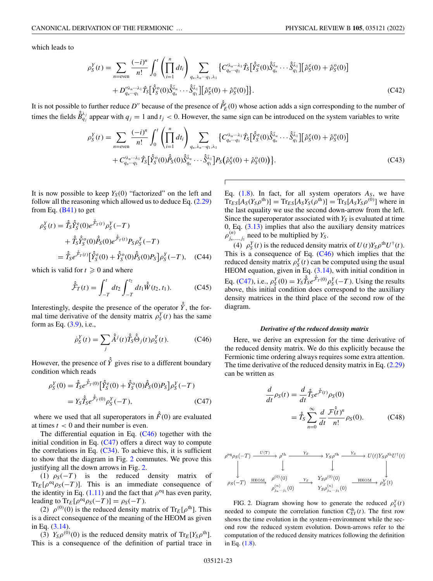<span id="page-22-0"></span>which leads to

$$
\rho_{S}^{Y}(t) = \sum_{n=\text{even}} \frac{(-i)^{n}}{n!} \int_{0}^{t} \left( \prod_{i=1}^{n} dt_{i} \right) \sum_{q_{n}, \lambda_{n} \cdots q_{1}, \lambda_{1}} \left\{ C_{q_{n} \cdots q_{1}}^{\lambda_{n} \cdots \lambda_{1}} \hat{T}_{S} \left[ \hat{Y}_{S}^{\text{e}}(0) \hat{S}_{q_{n}}^{\bar{\lambda}_{n}} \cdots \hat{S}_{q_{1}}^{\bar{\lambda}_{1}} \right] \left[ \hat{\rho}_{S}^{\text{e}}(0) + \hat{\rho}_{S}^{\text{o}}(0) \right] + D_{q_{n} \cdots q_{1}}^{\prime \lambda_{n} \cdots \lambda_{1}} \hat{T}_{S} \left[ \hat{Y}_{S}^{\text{e}}(0) \hat{S}_{q_{n}}^{\bar{\lambda}_{n}} \cdots \hat{S}_{q_{1}}^{\bar{\lambda}_{1}} \right] \left[ \hat{\rho}_{S}^{\text{e}}(0) + \hat{\rho}_{S}^{\text{o}}(0) \right] \right\}.
$$
\n(C42)

It is not possible to further reduce  $D''$  because of the presence of  $\hat{P}'_E(0)$  whose action adds a sign corresponding to the number of times the fields  $\hat{B}_{qj}^{\lambda_j}$  appear with  $q_j = 1$  and  $t_j < 0$ . However, the same sign can be introduced on the system variables to write

$$
\rho_{S}^{Y}(t) = \sum_{n=\text{even}} \frac{(-i)^{n}}{n!} \int_{0}^{t} \left( \prod_{i=1}^{n} dt_{i} \right) \sum_{q_{n}, \lambda_{n} \cdots q_{1}, \lambda_{1}} \left\{ C_{q_{n} \cdots q_{1}}^{\lambda_{n} \cdots \lambda_{1}} \hat{T}_{S} \left[ \hat{Y}_{S}^{\text{e}}(0) \hat{S}_{q_{n}}^{\lambda_{n}} \cdots \hat{S}_{q_{1}}^{\lambda_{1}} \right] \left[ \hat{\rho}_{S}^{\text{e}}(0) + \hat{\rho}_{S}^{\text{e}}(0) \right] + C_{q_{n} \cdots q_{1}}^{\lambda_{n} \cdots \lambda_{1}} \hat{T}_{S} \left[ \hat{Y}_{S}^{\text{e}}(0) \hat{S}_{q_{n}}^{\lambda_{n}} \cdots \hat{S}_{q_{1}}^{\lambda_{1}} \right] P_{S} \left( \hat{\rho}_{S}^{\text{e}}(0) + \hat{\rho}_{S}^{\text{o}}(0) \right) \right\}.
$$
\n(C43)

It is now possible to keep  $Y<sub>S</sub>(0)$  "factorized" on the left and follow all the reasoning which allowed us to deduce Eq. [\(2.29\)](#page-4-0) from Eq.  $(B41)$  to get

$$
\rho_S^Y(t) = \hat{T}_S \hat{Y}_S^{\hat{e}}(0) e^{\hat{\mathcal{F}}_T(t)} \rho_S^Y(-T) \n+ \hat{T}_S \hat{Y}_S^{\hat{o}}(0) \hat{P}_S(0) e^{\hat{\mathcal{F}}_T(t)} P_S \rho_S^Y(-T) \n= \hat{T}_S e^{\hat{\mathcal{F}}_T(t)} [\hat{Y}_S^{\hat{e}}(0) + \hat{Y}_S^{\hat{o}}(0) \hat{P}_S(0) P_S] \rho_S^Y(-T), \quad (C44)
$$

which is valid for  $t \geq 0$  and where

$$
\hat{\mathcal{F}}_T(t) = \int_{-T}^t dt_2 \int_{-T}^{t_2} dt_1 \hat{W}(t_2, t_1).
$$
 (C45)

Interestingly, despite the presence of the operator  $\hat{Y}$ , the formal time derivative of the density matrix  $\rho_S^Y(t)$  has the same form as Eq.  $(3.9)$ , i.e.,

$$
\dot{\rho}_S^Y(t) = \sum_j \hat{A}^j(t) \hat{T}_S \hat{\Theta}_j(t) \rho_S^Y(t). \tag{C46}
$$

However, the presence of  $\hat{Y}$  gives rise to a different boundary condition which reads

$$
\rho_S^Y(0) = \hat{T}_S e^{\hat{\hat{\mathcal{F}}}_T(0)} \left[ \hat{Y}_S^{\hat{e}}(0) + \hat{Y}_S^{\hat{o}}(0) \hat{P}_S(0) P_S \right] \rho_S^Y(-T)
$$
  
=  $Y_S \hat{T}_S e^{\hat{\hat{\mathcal{F}}}_T(0)} \rho_S^Y(-T),$  (C47)

where we used that all superoperators in  $\hat{F}(0)$  are evaluated at times *t* < 0 and their number is even.

The differential equation in Eq.  $(C46)$  together with the initial condition in Eq.  $(C47)$  offers a direct way to compute the correlations in Eq. [\(C34\)](#page-20-0). To achieve this, it is sufficient to show that the diagram in Fig. 2 commutes. We prove this justifying all the down arrows in Fig. 2.

(1)  $\rho_S(-T)$  is the reduced density matrix of  $Tr_E[\rho^{eq}\rho_S(-T)]$ . This is an immediate consequence of the identity in Eq. [\(1.11\)](#page-2-0) and the fact that  $\rho^{\text{eq}}$  has even parity, leading to  $\text{Tr}_{E}[\rho^{\text{eq}}\rho_{S}(-T)] = \rho_{S}(-T)$ .

(2)  $\rho^{(0)}(0)$  is the reduced density matrix of Tr<sub>E</sub> [ $\rho$ <sup>th</sup>]. This is a direct consequence of the meaning of the HEOM as given in Eq. [\(3.14\)](#page-5-0).

(3)  $Y_S \rho^{(0)}(0)$  is the reduced density matrix of  $Tr_E[Y_S \rho^{th}]$ . This is a consequence of the definition of partial trace in Eq.  $(1.8)$ . In fact, for all system operators  $A<sub>S</sub>$ , we have  $Tr_{ES}[A_S(Y_S\rho^{th})] = Tr_{ES}[A_SY_S(\rho^{th})] = Tr_S[A_SY_S\rho^{(0)}]$  where in the last equality we use the second down-arrow from the left. Since the superoperator associated with  $Y<sub>S</sub>$  is evaluated at time 0, Eq.  $(3.13)$  implies that also the auxiliary density matrices  $\rho_{j_n,\dots,j_1}^{(n)}$  need to be multiplied by  $Y_s$ .

(4)  $\rho_S^Y(t)$  is the reduced density matrix of  $U(t)Y_S \rho^{th} U^{\dagger}(t)$ . This is a consequence of Eq.  $(C46)$  which implies that the reduced density matrix  $\rho_S^Y(t)$  can be computed using the usual HEOM equation, given in Eq.  $(3.14)$ , with initial condition in Eq. (C47), i.e.,  $\rho_S^Y(0) = Y_S \hat{T}_S e^{\hat{\mathcal{F}}_T(0)} \rho_S^Y(-T)$ . Using the results above, this initial condition does correspond to the auxiliary density matrices in the third place of the second row of the diagram.

#### *Derivative of the reduced density matrix*

Here, we derive an expression for the time derivative of the reduced density matrix. We do this explicitly because the Fermionic time ordering always requires some extra attention. The time derivative of the reduced density matrix in Eq.  $(2.29)$ can be written as

$$
\frac{d}{dt}\rho_S(t) = \frac{d}{dt}\hat{T}_S e^{\hat{\mathcal{F}}(t)}\rho_S(0)
$$

$$
= \hat{T}_S \sum_{n=0}^{\infty} \frac{d}{dt} \frac{\mathcal{F}(\hat{t})^n}{n!} \rho_S(0). \tag{C48}
$$

$$
\rho^{\text{eq}} \rho_S(-T) \xrightarrow{U(T)} \rho^{\text{th}} \xrightarrow{Y_S} Y_S \rho^{\text{th}} \xrightarrow{Y_S} U(t) Y_S \rho^{\text{th}} U^{\dagger}(t)
$$
\n
$$
\downarrow \qquad \qquad \downarrow \qquad \qquad \downarrow \qquad \qquad \downarrow
$$
\n
$$
\rho_S(-T) \xrightarrow{\text{HEOM}} \rho^{(0)}(0) \xrightarrow{Y_S} Y_S \rho^{(0)}(0) \xrightarrow{\text{HEOM}} \rho^{Y_S}_S(t)
$$
\n
$$
\rho^{(n)}_{j_n \dots j_1}(0) \xrightarrow{Y_S \rho^{(n)}_{j_n \dots j_1}(0)} \xrightarrow{\text{HEOM}} \rho^{Y_S}_S(t)
$$

FIG. 2. Diagram showing how to generate the reduced  $\rho_S^Y(t)$ needed to compute the correlation function  $C_{XY}^{th}(t)$ . The first row shows the time evolution in the system+environment while the second row the reduced system evolution. Down-arrows refer to the computation of the reduced density matrices following the definition in Eq. [\(1.8\)](#page-1-0).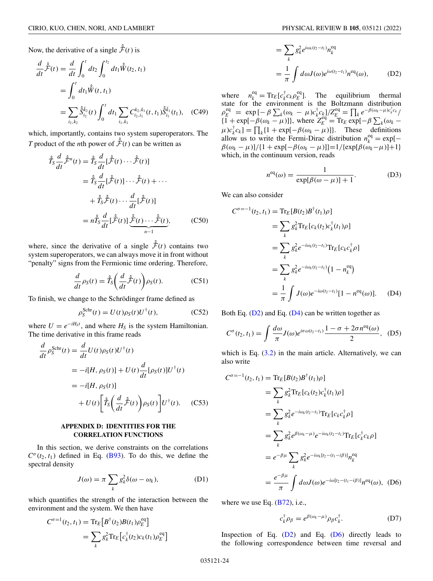<span id="page-23-0"></span>Now, the derivative of a single  $\hat{\hat{\mathcal{F}}}(t)$  is

$$
\frac{d}{dt}\hat{\mathcal{F}}(t) = \frac{d}{dt}\int_0^t dt_2 \int_0^{t_2} dt_1 \hat{W}(t_2, t_1)
$$
  
\n
$$
= \int_0^t dt_1 \hat{W}(t, t_1)
$$
  
\n
$$
= \sum_{i_2, k_2} \hat{S}_{i_2}^{\bar{k}_2}(t) \int_0^t dt_1 \sum_{i_1, k_1} C_{i_2, i_1}^{k_2, k_1}(t, t_1) \hat{S}_{i_1}^{\bar{k}_1}(t_1), \quad (C49)
$$

which, importantly, contains two system superoperators. The *T* product of the *n*th power of  $\hat{F}(t)$  can be written as

$$
\hat{T}_S \frac{d}{dt} \hat{\mathcal{F}}^n(t) = \hat{T}_S \frac{d}{dt} [\hat{\mathcal{F}}(t) \cdots \hat{\mathcal{F}}(t)]
$$
\n
$$
= \hat{T}_S \frac{d}{dt} [\hat{\mathcal{F}}(t)] \cdots \hat{\mathcal{F}}(t) + \cdots
$$
\n
$$
+ \hat{T}_S \hat{\mathcal{F}}(t) \cdots \frac{d}{dt} [\hat{\mathcal{F}}(t)]
$$
\n
$$
= n \hat{T}_S \frac{d}{dt} [\hat{\mathcal{F}}(t)] \underbrace{\hat{\mathcal{F}}(t) \cdots \hat{\mathcal{F}}(t)}_{n-1}, \qquad (C50)
$$

where, since the derivative of a single  $\hat{\hat{\mathcal{F}}}(t)$  contains two system superoperators, we can always move it in front without "penalty" signs from the Fermionic time ordering. Therefore,

$$
\frac{d}{dt}\rho_S(t) = \hat{T}_S\bigg(\frac{d}{dt}\hat{\hat{\mathcal{F}}}(t)\bigg)\rho_S(t). \tag{C51}
$$

To finish, we change to the Schrödinger frame defined as

$$
\rho_S^{\text{Schr}}(t) = U(t)\rho_S(t)U^{\dagger}(t),\tag{C52}
$$

where  $U = e^{-iH_S t}$ , and where  $H_S$  is the system Hamiltonian. The time derivative in this frame reads

$$
\frac{d}{dt} \rho_S^{\text{Schr}}(t) = \frac{d}{dt} U(t) \rho_S(t) U^{\dagger}(t)
$$
\n
$$
= -i[H, \rho_S(t)] + U(t) \frac{d}{dt} [\rho_S(t)] U^{\dagger}(t)
$$
\n
$$
= -i[H, \rho_S(t)]
$$
\n
$$
+ U(t) \left[ \hat{T}_S \left( \frac{d}{dt} \hat{\mathcal{F}}(t) \right) \rho_S(t) \right] U^{\dagger}(t). \quad (C53)
$$

## **APPENDIX D: IDENTITIES FOR THE CORRELATION FUNCTIONS**

In this section, we derive constraints on the correlations  $C^{\sigma}(t_2, t_1)$  defined in Eq. [\(B93\)](#page-16-0). To do this, we define the spectral density

$$
J(\omega) = \pi \sum_{k} g_k^2 \delta(\omega - \omega_k), \tag{D1}
$$

which quantifies the strength of the interaction between the environment and the system. We then have

$$
C^{\sigma=1}(t_2, t_1) = \text{Tr}_E \left[ B^{\dagger}(t_2) B(t_1) \rho_E^{\text{eq}} \right]
$$
  
= 
$$
\sum_k g_k^2 \text{Tr}_E \left[ c_k^{\dagger}(t_2) c_k(t_1) \rho_E^{\text{eq}} \right]
$$

$$
= \sum_{k} g_{k}^{2} e^{i\omega_{k}(t_{2}-t_{1})} n_{k}^{eq}
$$

$$
= \frac{1}{\pi} \int d\omega J(\omega) e^{i\omega(t_{2}-t_{1})} n^{eq}(\omega), \qquad (D2)
$$

where  $n_k^{\text{eq}} = \text{Tr}_E[c_k^{\dagger} c_k \rho_E^{\text{eq}}]$ . The equilibrium thermal state for the environment is the Boltzmann distribution  $\rho_E^{\text{eq}} = \exp \left[ -\beta \sum_k (\omega_k - \mu) c_k^{\dagger} c_k \right] / Z_E^{\text{eq}} = \prod_k e^{-\beta (\omega_k - \mu) c_k^{\dagger} c_k} /$  $\{1 + \exp[-\beta(\omega_k - \mu)]\}$ , where  $Z_E^{\text{eq}} = \text{Tr}_E \exp[-\beta \sum_k (\omega_k - \mu)]$  $\mu$ )*c*<sub>k</sub><sup>†</sup>*c<sub>k</sub>*] =  $\prod_k$ {1 + exp[ $-\beta(\omega_k - \mu)$ ]}. These definitions allow us to write the Fermi-Dirac distribution  $n_k^{\text{eq}} = \exp[-\frac{1}{2}$ β(ω*<sup>k</sup>* − μ)]/{1 + exp[−β(ω*<sup>k</sup>* − μ)]}=1/{exp[β(ω*k*−μ)]+1} which, in the continuum version, reads

$$
n^{\text{eq}}(\omega) = \frac{1}{\exp[\beta(\omega - \mu)] + 1}.
$$
 (D3)

We can also consider

$$
C^{\sigma=-1}(t_2, t_1) = \text{Tr}_E[B(t_2)B^{\dagger}(t_1)\rho]
$$
  
\n
$$
= \sum_k g_k^2 \text{Tr}_E[c_k(t_2)c_k^{\dagger}(t_1)\rho]
$$
  
\n
$$
= \sum_k g_k^2 e^{-i\omega_k(t_2 - t_1)} \text{Tr}_E[c_k c_k^{\dagger}\rho]
$$
  
\n
$$
= \sum_k g_k^2 e^{-i\omega_k(t_2 - t_1)} (1 - n_k^{\text{eq}})
$$
  
\n
$$
= \frac{1}{\pi} \int J(\omega) e^{-i\omega(t_2 - t_1)} [1 - n^{\text{eq}}(\omega)]. \quad (D4)
$$

Both Eq.  $(D2)$  and Eq.  $(D4)$  can be written together as

$$
C^{\sigma}(t_2, t_1) = \int \frac{d\omega}{\pi} J(\omega) e^{i\sigma \omega(t_2 - t_1)} \frac{1 - \sigma + 2\sigma n^{\text{eq}}(\omega)}{2}, \quad (D5)
$$

which is Eq.  $(3.2)$  in the main article. Alternatively, we can also write

$$
C^{\sigma=-1}(t_2, t_1) = \text{Tr}_E[B(t_2)B^{\dagger}(t_1)\rho]
$$
  
\n
$$
= \sum_k g_k^2 \text{Tr}_E[c_k(t_2)c_k^{\dagger}(t_1)\rho]
$$
  
\n
$$
= \sum_k g_k^2 e^{-i\omega_k(t_2 - t_1)} \text{Tr}_E[c_k c_k^{\dagger}\rho]
$$
  
\n
$$
= \sum_k g_k^2 e^{\beta(\omega_k - \mu)} e^{-i\omega_k(t_2 - t_1)} \text{Tr}_E[c_k^{\dagger}c_k\rho]
$$
  
\n
$$
= e^{-\beta\mu} \sum_k g_k^2 e^{-i\omega_k[t_2 - (t_1 - i\beta)]} n_k^{\text{eq}}
$$
  
\n
$$
= \frac{e^{-\beta\mu}}{\pi} \int d\omega J(\omega) e^{-i\omega[t_2 - (t_1 - i\beta)]} n^{\text{eq}}(\omega), \text{ (D6)}
$$

where we use Eq.  $(B72)$ , i.e.,

$$
c_k^{\dagger} \rho_{\beta} = e^{\beta(\omega_k - \mu)} \rho_{\beta} c_k^{\dagger}.
$$
 (D7)

Inspection of Eq.  $(D2)$  and Eq.  $(D6)$  directly leads to the following correspondence between time reversal and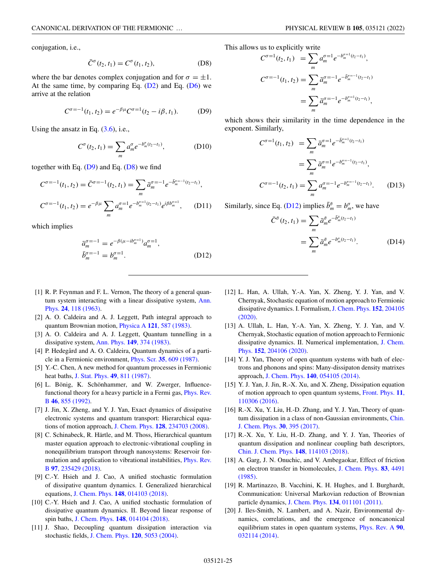<span id="page-24-0"></span>conjugation, i.e.,

$$
\bar{C}^{\sigma}(t_2, t_1) = C^{\sigma}(t_1, t_2), \tag{D8}
$$

where the bar denotes complex conjugation and for  $\sigma = \pm 1$ . At the same time, by comparing Eq.  $(D2)$  and Eq.  $(D6)$  we arrive at the relation

$$
C^{\sigma=-1}(t_1, t_2) = e^{-\beta \mu} C^{\sigma=1}(t_2 - i\beta, t_1).
$$
 (D9)

Using the ansatz in Eq.  $(3.6)$ , i.e.,

$$
C^{\sigma}(t_2, t_1) = \sum_{m} a_m^{\sigma} e^{-b_m^{\sigma}(t_2 - t_1)}, \qquad (D10)
$$

together with Eq.  $(D9)$  and Eq.  $(D8)$  we find

$$
C^{\sigma=-1}(t_1, t_2) = \bar{C}^{\sigma=-1}(t_2, t_1) = \sum_m \bar{a}_m^{\sigma=-1} e^{-\bar{b}_m^{\sigma=-1}(t_2 - t_1)},
$$
  

$$
C^{\sigma=-1}(t_1, t_2) = e^{-\beta \mu} \sum_m a_m^{\sigma=1} e^{-b_m^{\sigma=1}(t_2 - t_1)} e^{i\beta b_m^{\sigma=1}}, \quad \text{(D11)}
$$

which implies

$$
\bar{a}_{m}^{\sigma=-1} = e^{-\beta(\mu - i b_{m}^{\sigma=1})} a_{m}^{\sigma=1},
$$
\n
$$
\bar{b}_{m}^{\sigma=-1} = b_{m}^{\sigma=1}.
$$
\n(D12)

- [1] R. P. Feynman and F. L. Vernon, The theory of a general quan[tum system interacting with a linear dissipative system,](https://doi.org/10.1016/0003-4916(63)90068-X) Ann. Phys. **24**, 118 (1963).
- [2] A. O. Caldeira and A. J. Leggett, Path integral approach to quantum Brownian motion, Physica A **121**[, 587 \(1983\).](https://doi.org/10.1016/0378-4371(83)90013-4)
- [3] A. O. Caldeira and A. J. Leggett, Quantum tunnelling in a dissipative system, Ann. Phys. **149**[, 374 \(1983\).](https://doi.org/10.1016/0003-4916(83)90202-6)
- [4] P. Hedegård and A. O. Caldeira, Quantum dynamics of a particle in a Fermionic environment, Phys. Scr. **35**[, 609 \(1987\).](https://doi.org/10.1088/0031-8949/35/5/001)
- [5] Y.-C. Chen, A new method for quantum processes in Fermionic heat baths, [J. Stat. Phys.](https://doi.org/10.1007/BF01009357) **49**, 811 (1987).
- [6] L. Bönig, K. Schönhammer, and W. Zwerger, Influence[functional theory for a heavy particle in a Fermi gas,](https://doi.org/10.1103/PhysRevB.46.855) Phys. Rev. B **46**, 855 (1992).
- [7] J. Jin, X. Zheng, and Y. J. Yan, Exact dynamics of dissipative electronic systems and quantum transport: Hierarchical equations of motion approach, J. Chem. Phys. **128**[, 234703 \(2008\).](https://doi.org/10.1063/1.2938087)
- [8] C. Schinabeck, R. Härtle, and M. Thoss, Hierarchical quantum master equation approach to electronic-vibrational coupling in nonequilibrium transport through nanosystems: Reservoir for[mulation and application to vibrational instabilities,](https://doi.org/10.1103/PhysRevB.97.235429) Phys. Rev. B **97**, 235429 (2018).
- [9] C.-Y. Hsieh and J. Cao, A unified stochastic formulation of dissipative quantum dynamics. I. Generalized hierarchical equations, J. Chem. Phys. **148**[, 014103 \(2018\).](https://doi.org/10.1063/1.5018725)
- [10] C.-Y. Hsieh and J. Cao, A unified stochastic formulation of dissipative quantum dynamics. II. Beyond linear response of spin baths, J. Chem. Phys. **148**[, 014104 \(2018\).](https://doi.org/10.1063/1.5018726)
- [11] J. Shao, Decoupling quantum dissipation interaction via stochastic fields, [J. Chem. Phys.](https://doi.org/10.1063/1.1647528) **120**, 5053 (2004).

This allows us to explicitly write

$$
C^{\sigma=1}(t_2, t_1) = \sum_{m} a_m^{\sigma=1} e^{-b_m^{\sigma=1}(t_2 - t_1)},
$$
  

$$
C^{\sigma=-1}(t_1, t_2) = \sum_{m} \bar{a}_m^{\sigma=-1} e^{-\bar{b}_m^{\sigma=-1}(t_2 - t_1)}
$$
  

$$
= \sum_{m} \bar{a}_m^{\sigma=-1} e^{-b_m^{\sigma=1}(t_2 - t_1)},
$$

which shows their similarity in the time dependence in the exponent. Similarly,

$$
C^{\sigma=1}(t_1, t_2) = \sum_{m} \bar{a}_m^{\sigma=1} e^{-\bar{b}_m^{\sigma=1}(t_2 - t_1)}
$$
  
= 
$$
\sum_{m} \bar{a}_m^{\sigma=1} e^{-b_m^{\sigma=-1}(t_2 - t_1)},
$$
  

$$
C^{\sigma=-1}(t_2, t_1) = \sum_{m} a_m^{\sigma=-1} e^{-b_m^{\sigma=-1}(t_2 - t_1)}.
$$
 (D13)

Similarly, since Eq. (D12) implies  $\bar{b}_m^{\bar{\sigma}} = b_m^{\sigma}$ , we have

$$
\bar{C}^{\bar{\sigma}}(t_2, t_1) = \sum_{m} \bar{a}^{\bar{\sigma}}_{m} e^{-\bar{b}^{\bar{\sigma}}_{m}(t_2 - t_1)} \n= \sum_{m} \bar{a}^{\bar{\sigma}}_{m} e^{-b^{\sigma}_{m}(t_2 - t_1)}.
$$
\n(D14)

- [12] L. Han, A. Ullah, Y.-A. Yan, X. Zheng, Y. J. Yan, and V. Chernyak, Stochastic equation of motion approach to Fermionic [dissipative dynamics. I. Formalism,](https://doi.org/10.1063/1.5142164) J. Chem. Phys. **152**, 204105 (2020).
- [13] A. Ullah, L. Han, Y.-A. Yan, X. Zheng, Y. J. Yan, and V. Chernyak, Stochastic equation of motion approach to Fermionic [dissipative dynamics. II. Numerical implementation,](https://doi.org/10.1063/1.5142166) J. Chem. Phys. **152**, 204106 (2020).
- [14] Y. J. Yan, Theory of open quantum systems with bath of electrons and phonons and spins: Many-dissipaton density matrixes approach, J. Chem. Phys. **140**[, 054105 \(2014\).](https://doi.org/10.1063/1.4863379)
- [15] Y. J. Yan, J. Jin, R.-X. Xu, and X. Zheng, Dissipation equation [of motion approach to open quantum systems,](https://doi.org/10.1007/s11467-016-0513-5) Front. Phys. **11**, 110306 (2016).
- [16] R.-X. Xu, Y. Liu, H.-D. Zhang, and Y. J. Yan, Theory of quan[tum dissipation in a class of non-Gaussian environments,](https://doi.org/10.1063/1674-0068/30/cjcp1706123) Chin. J. Chem. Phys. **30**, 395 (2017).
- [17] R.-X. Xu, Y. Liu, H.-D. Zhang, and Y. J. Yan, Theories of quantum dissipation and nonlinear coupling bath descriptors, [Chin. J. Chem. Phys.](https://doi.org/10.1063/1.4991779) **148**, 114103 (2018).
- [18] A. Garg, J. N. Onuchic, and V. Ambegaokar, Effect of friction [on electron transfer in biomolecules,](https://doi.org/10.1063/1.449017) J. Chem. Phys. **83**, 4491 (1985).
- [19] R. Martinazzo, B. Vacchini, K. H. Hughes, and I. Burghardt, Communication: Universal Markovian reduction of Brownian particle dynamics, J. Chem. Phys. **134**[, 011101 \(2011\).](https://doi.org/10.1063/1.3532408)
- [20] J. Iles-Smith, N. Lambert, and A. Nazir, Environmental dynamics, correlations, and the emergence of noncanonical [equilibrium states in open quantum systems,](https://doi.org/10.1103/PhysRevA.90.032114) Phys. Rev. A **90**, 032114 (2014).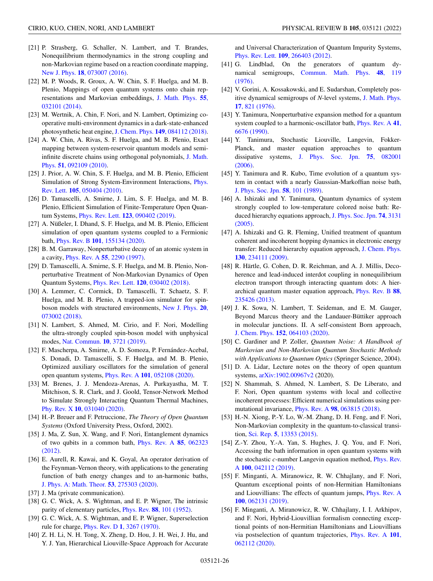- <span id="page-25-0"></span>[21] P. Strasberg, G. Schaller, N. Lambert, and T. Brandes, Nonequilibrium thermodynamics in the strong coupling and non-Markovian regime based on a reaction coordinate mapping, New J. Phys. **18**[, 073007 \(2016\).](https://doi.org/10.1088/1367-2630/18/7/073007)
- [22] M. P. Woods, R. Groux, A. W. Chin, S. F. Huelga, and M. B. Plenio, Mappings of open quantum systems onto chain rep[resentations and Markovian embeddings,](https://doi.org/10.1063/1.4866769) J. Math. Phys. **55**, 032101 (2014).
- [23] M. Wertnik, A. Chin, F. Nori, and N. Lambert, Optimizing cooperative multi-environment dynamics in a dark-state-enhanced photosynthetic heat engine, J. Chem. Phys. **149**[, 084112 \(2018\).](https://doi.org/10.1063/1.5040898)
- [24] A. W. Chin, A. Rivas, S. F. Huelga, and M. B. Plenio, Exact mapping between system-reservoir quantum models and semi[infinite discrete chains using orthogonal polynomials,](https://doi.org/10.1063/1.3490188) J. Math. Phys. **51**, 092109 (2010).
- [25] J. Prior, A. W. Chin, S. F. Huelga, and M. B. Plenio, Efficient [Simulation of Strong System-Environment Interactions,](https://doi.org/10.1103/PhysRevLett.105.050404) Phys. Rev. Lett. **105**, 050404 (2010).
- [26] D. Tamascelli, A. Smirne, J. Lim, S. F. Huelga, and M. B. Plenio, Efficient Simulation of Finite-Temperature Open Quantum Systems, Phys. Rev. Lett. **123**[, 090402 \(2019\).](https://doi.org/10.1103/PhysRevLett.123.090402)
- [27] A. Nüßeler, I. Dhand, S. F. Huelga, and M. B. Plenio, Efficient simulation of open quantum systems coupled to a Fermionic bath, Phys. Rev. B **101**[, 155134 \(2020\).](https://doi.org/10.1103/PhysRevB.101.155134)
- [28] B. M. Garraway, Nonperturbative decay of an atomic system in a cavity, Phys. Rev. A **55**[, 2290 \(1997\).](https://doi.org/10.1103/PhysRevA.55.2290)
- [29] D. Tamascelli, A. Smirne, S. F. Huelga, and M. B. Plenio, Nonperturbative Treatment of Non-Markovian Dynamics of Open Quantum Systems, Phys. Rev. Lett. **120**[, 030402 \(2018\).](https://doi.org/10.1103/PhysRevLett.120.030402)
- [30] A. Lemmer, C. Cormick, D. Tamascelli, T. Schaetz, S. F. Huelga, and M. B. Plenio, A trapped-ion simulator for spin[boson models with structured environments,](https://doi.org/10.1088/1367-2630/aac87d) New J. Phys. **20**, 073002 (2018).
- [31] N. Lambert, S. Ahmed, M. Cirio, and F. Nori, Modelling the ultra-strongly coupled spin-boson model with unphysical modes, [Nat. Commun.](https://doi.org/10.1038/s41467-019-11656-1) **10**, 3721 (2019).
- [32] F. Mascherpa, A. Smirne, A. D. Somoza, P. Fernández-Acebal, S. Donadi, D. Tamascelli, S. F. Huelga, and M. B. Plenio, Optimized auxiliary oscillators for the simulation of general open quantum systems, Phys. Rev. A **101**[, 052108 \(2020\).](https://doi.org/10.1103/PhysRevA.101.052108)
- [33] M. Brenes, J. J. Mendoza-Arenas, A. Purkayastha, M. T. Mitchison, S. R. Clark, and J. Goold, Tensor-Network Method to Simulate Strongly Interacting Quantum Thermal Machines, Phy. Rev. X **10**[, 031040 \(2020\).](https://doi.org/10.1103/PhysRevX.10.031040)
- [34] H.-P. Breuer and F. Petruccione, *The Theory of Open Quantum Systems* (Oxford University Press, Oxford, 2002).
- [35] J. Ma, Z. Sun, X. Wang, and F. Nori, Entanglement dynamics [of two qubits in a common bath,](https://doi.org/10.1103/PhysRevA.85.062323) Phys. Rev. A **85**, 062323 (2012).
- [36] E. Aurell, R. Kawai, and K. Goyal, An operator derivation of the Feynman-Vernon theory, with applications to the generating function of bath energy changes and to an-harmonic baths, [J. Phys. A: Math. Theor.](https://doi.org/10.1088/1751-8121/ab9274) **53**, 275303 (2020).
- [37] J. Ma (private communication).
- [38] G. C. Wick, A. S. Wightman, and E. P. Wigner, The intrinsic parity of elementary particles, Phys. Rev. **88**[, 101 \(1952\).](https://doi.org/10.1103/PhysRev.88.101)
- [39] G. C. Wick, A. S. Wightman, and E. P. Wigner, Superselection rule for charge, Phys. Rev. D **1**[, 3267 \(1970\).](https://doi.org/10.1103/PhysRevD.1.3267)
- [40] Z. H. Li, N. H. Tong, X. Zheng, D. Hou, J. H. Wei, J. Hu, and Y. J. Yan, Hierarchical Liouville-Space Approach for Accurate

and Universal Characterization of Quantum Impurity Systems, Phys. Rev. Lett. **109**[, 266403 \(2012\).](https://doi.org/10.1103/PhysRevLett.109.266403)

- [41] G. Lindblad, On the generators of quantum dynamical semigroups, [Commun. Math. Phys.](https://doi.org/10.1007/BF01608499) **48**, 119 (1976).
- [42] V. Gorini, A. Kossakowski, and E. Sudarshan, Completely pos[itive dynamical semigroups of](https://doi.org/10.1063/1.522979) *N*-level systems, J. Math. Phys. **17**, 821 (1976).
- [43] Y. Tanimura, Nonperturbative expansion method for a quantum [system coupled to a harmonic-oscillator bath,](https://doi.org/10.1103/PhysRevA.41.6676) Phys. Rev. A **41**, 6676 (1990).
- [44] Y. Tanimura, Stochastic Liouville, Langevin, Fokker-Planck, and master equation approaches to quantum dissipative systems, [J. Phys. Soc. Jpn.](https://doi.org/10.1143/JPSJ.75.082001) **75**, 082001 (2006).
- [45] Y. Tanimura and R. Kubo, Time evolution of a quantum system in contact with a nearly Gaussian-Markoffian noise bath, [J. Phys. Soc. Jpn.](https://doi.org/10.1143/JPSJ.58.101) **58**, 101 (1989).
- [46] A. Ishizaki and Y. Tanimura, Quantum dynamics of system strongly coupled to low-temperature colored noise bath: Re[duced hierarchy equations approach,](https://doi.org/10.1143/JPSJ.74.3131) J. Phys. Soc. Jpn. **74**, 3131 (2005).
- [47] A. Ishizaki and G. R. Fleming, Unified treatment of quantum coherent and incoherent hopping dynamics in electronic energy [transfer: Reduced hierarchy equation approach,](https://doi.org/10.1063/1.3155372) J. Chem. Phys. **130**, 234111 (2009).
- [48] R. Härtle, G. Cohen, D. R. Reichman, and A. J. Millis, Decoherence and lead-induced interdot coupling in nonequilibrium electron transport through interacting quantum dots: A hier[archical quantum master equation approach,](https://doi.org/10.1103/PhysRevB.88.235426) Phys. Rev. B **88**, 235426 (2013).
- [49] J. K. Sowa, N. Lambert, T. Seideman, and E. M. Gauger, Beyond Marcus theory and the Landauer-Büttiker approach in molecular junctions. II. A self-consistent Born approach, J. Chem. Phys. **152**[, 064103 \(2020\).](https://doi.org/10.1063/1.5143146)
- [50] C. Gardiner and P. Zoller, *Quantum Noise: A Handbook of Markovian and Non-Markovian Quantum Stochastic Methods with Applications to Quantum Optics* (Springer Science, 2004).
- [51] D. A. Lidar, Lecture notes on the theory of open quantum systems, [arXiv:1902.00967v2](http://arxiv.org/abs/arXiv:1902.00967v2) (2020).
- [52] N. Shammah, S. Ahmed, N. Lambert, S. De Liberato, and F. Nori, Open quantum systems with local and collective incoherent processes: Efficient numerical simulations using permutational invariance, Phys. Rev. A **98**[, 063815 \(2018\).](https://doi.org/10.1103/PhysRevA.98.063815)
- [53] H.-N. Xiong, P.-Y. Lo, W.-M. Zhang, D. H. Feng, and F. Nori, Non-Markovian complexity in the quantum-to-classical transition, Sci. Rep. **5**[, 13353 \(2015\).](https://doi.org/10.1038/srep13353)
- [54] Z.-Y. Zhou, Y.-A. Yan, S. Hughes, J. Q. You, and F. Nori, Accessing the bath information in open quantum systems with the stochastic *c*[-number Langevin equation method,](https://doi.org/10.1103/PhysRevA.100.042112) Phys. Rev. A **100**, 042112 (2019).
- [55] F. Minganti, A. Miranowicz, R. W. Chhajlany, and F. Nori, Quantum exceptional points of non-Hermitian Hamiltonians [and Liouvillians: The effects of quantum jumps,](https://doi.org/10.1103/PhysRevA.100.062131) Phys. Rev. A **100**, 062131 (2019).
- [56] F. Minganti, A. Miranowicz, R. W. Chhajlany, I. I. Arkhipov, and F. Nori, Hybrid-Liouvillian formalism connecting exceptional points of non-Hermitian Hamiltonians and Liouvillians [via postselection of quantum trajectories,](https://doi.org/10.1103/PhysRevA.101.062112) Phys. Rev. A **101**, 062112 (2020).